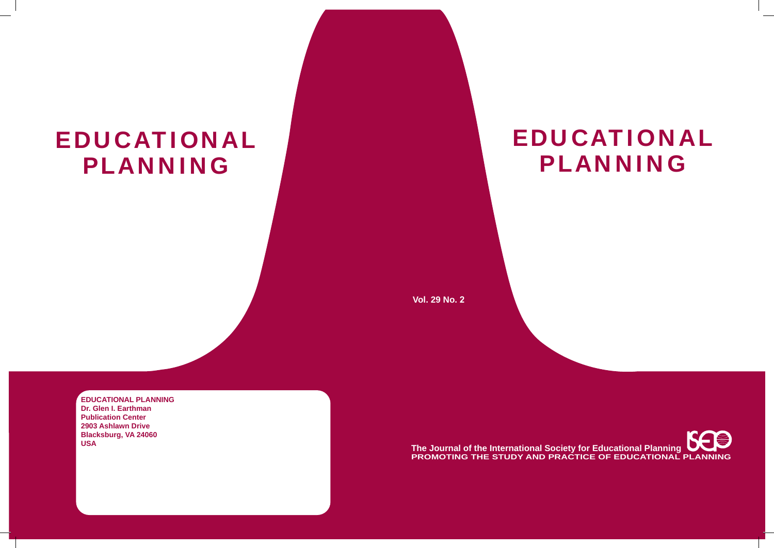# EDUCATIONAL PLANNING

**Vol. 29 No. 2**

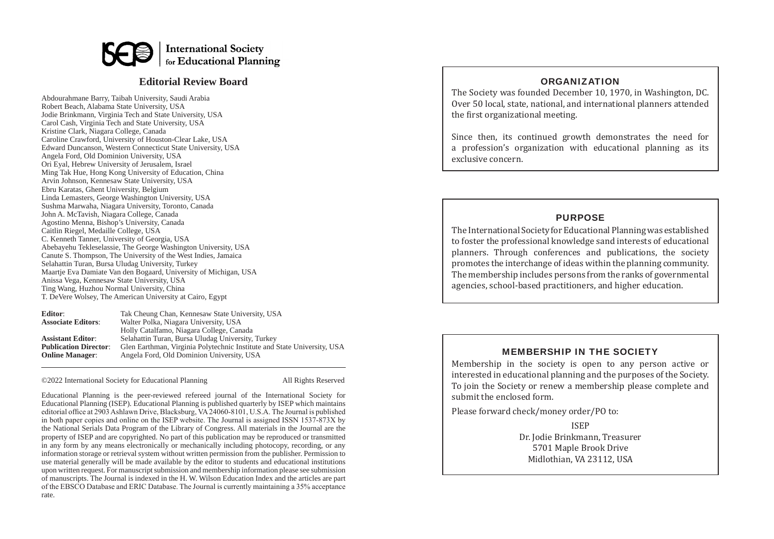# **SCE** International Society

# **Editorial Review Board**

Abdourahmane Barry, Taibah University, Saudi Arabia Robert Beach, Alabama State University, USA Jodie Brinkmann, Virginia Tech and State University, USA Carol Cash, Virginia Tech and State University, USA Kristine Clark, Niagara College, Canada Caroline Crawford, University of Houston-Clear Lake, USA Edward Duncanson, Western Connecticut State University, USA Angela Ford, Old Dominion University, USA Ori Eyal, Hebrew University of Jerusalem, Israel Ming Tak Hue, Hong Kong University of Education, China Arvin Johnson, Kennesaw State University, USA Ebru Karatas, Ghent University, Belgium Linda Lemasters, George Washington University, USA Sushma Marwaha, Niagara University, Toronto, Canada John A. McTavish, Niagara College, Canada Agostino Menna, Bishop's University, Canada Caitlin Riegel, Medaille College, USA C. Kenneth Tanner, University of Georgia, USA Abebayehu Tekleselassie, The George Washington University, USA Canute S. Thompson, The University of the West Indies, Jamaica Selahattin Turan, Bursa Uludag University, Turkey Maartje Eva Damiate Van den Bogaard, University of Michigan, USA Anissa Vega, Kennesaw State University, USA Ting Wang, Huzhou Normal University, China T. DeVere Wolsey, The American University at Cairo, Egypt

| <b>Editor:</b>               | Tak Cheung Chan, Kennesaw State University, USA                         |
|------------------------------|-------------------------------------------------------------------------|
| <b>Associate Editors:</b>    | Walter Polka, Niagara University, USA                                   |
|                              | Holly Catalfamo, Niagara College, Canada                                |
| <b>Assistant Editor:</b>     | Selahattin Turan, Bursa Uludag University, Turkey                       |
| <b>Publication Director:</b> | Glen Earthman, Virginia Polytechnic Institute and State University, USA |
| <b>Online Manager:</b>       | Angela Ford, Old Dominion University, USA                               |
|                              |                                                                         |

©2022 International Society for Educational Planning All Rights Reserved

Educational Planning is the peer-reviewed refereed journal of the International Society for Educational Planning (ISEP). Educational Planning is published quarterly by ISEP which maintains editorial office at 2903 Ashlawn Drive, Blacksburg, VA 24060-8101, U.S.A. The Journal is published in both paper copies and online on the ISEP website. The Journal is assigned ISSN 1537-873X by the National Serials Data Program of the Library of Congress. All materials in the Journal are the property of ISEP and are copyrighted. No part of this publication may be reproduced or transmitted in any form by any means electronically or mechanically including photocopy, recording, or any information storage or retrieval system without written permission from the publisher. Permission to use material generally will be made available by the editor to students and educational institutions upon written request. For manuscript submission and membership information please see submission of manuscripts. The Journal is indexed in the H. W. Wilson Education Index and the articles are part of the EBSCO Database and ERIC Database. The Journal is currently maintaining a 35% acceptance rate.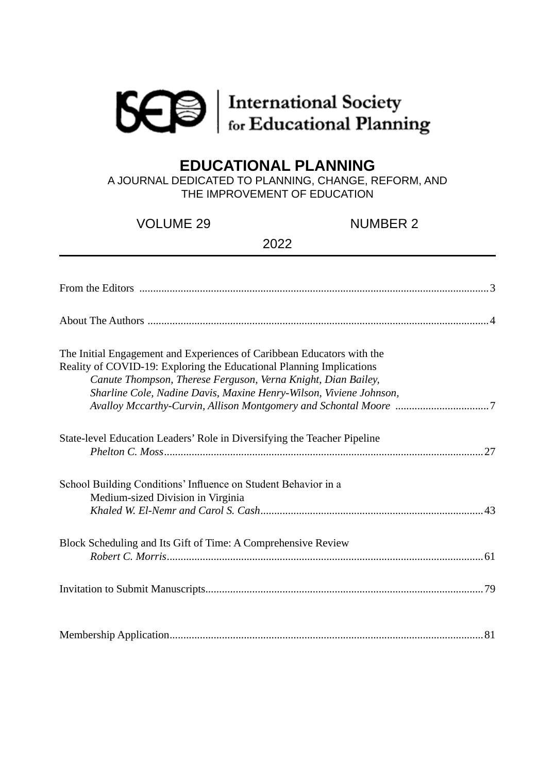

# **EDUCATIONAL PLANNING**

A JOURNAL DEDICATED TO PLANNING, CHANGE, REFORM, AND THE IMPROVEMENT OF EDUCATION

VOLUME 29 NUMBER 2

2022

| The Initial Engagement and Experiences of Caribbean Educators with the<br>Reality of COVID-19: Exploring the Educational Planning Implications<br>Canute Thompson, Therese Ferguson, Verna Knight, Dian Bailey,<br>Sharline Cole, Nadine Davis, Maxine Henry-Wilson, Viviene Johnson, |
|---------------------------------------------------------------------------------------------------------------------------------------------------------------------------------------------------------------------------------------------------------------------------------------|
| State-level Education Leaders' Role in Diversifying the Teacher Pipeline                                                                                                                                                                                                              |
| School Building Conditions' Influence on Student Behavior in a<br>Medium-sized Division in Virginia                                                                                                                                                                                   |
| Block Scheduling and Its Gift of Time: A Comprehensive Review                                                                                                                                                                                                                         |
|                                                                                                                                                                                                                                                                                       |
|                                                                                                                                                                                                                                                                                       |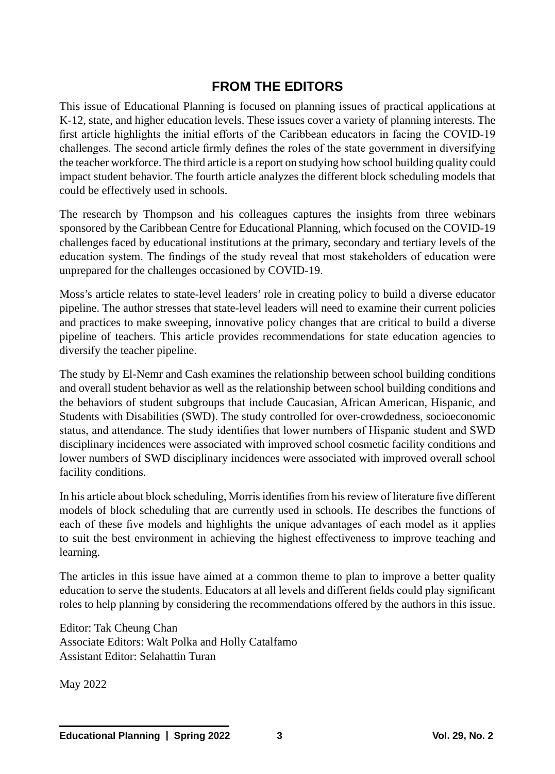# **FROM THE EDITORS**

This issue of Educational Planning is focused on planning issues of practical applications at K-12, state, and higher education levels. These issues cover a variety of planning interests. The first article highlights the initial efforts of the Caribbean educators in facing the COVID-19 challenges. The second article firmly defines the roles of the state government in diversifying the teacher workforce. The third article is a report on studying how school building quality could impact student behavior. The fourth article analyzes the different block scheduling models that could be effectively used in schools.

The research by Thompson and his colleagues captures the insights from three webinars sponsored by the Caribbean Centre for Educational Planning, which focused on the COVID-19 challenges faced by educational institutions at the primary, secondary and tertiary levels of the education system. The findings of the study reveal that most stakeholders of education were unprepared for the challenges occasioned by COVID-19.

Moss's article relates to state-level leaders' role in creating policy to build a diverse educator pipeline. The author stresses that state-level leaders will need to examine their current policies and practices to make sweeping, innovative policy changes that are critical to build a diverse pipeline of teachers. This article provides recommendations for state education agencies to diversify the teacher pipeline.

The study by El-Nemr and Cash examines the relationship between school building conditions and overall student behavior as well as the relationship between school building conditions and the behaviors of student subgroups that include Caucasian, African American, Hispanic, and Students with Disabilities (SWD). The study controlled for over-crowdedness, socioeconomic status, and attendance. The study identifies that lower numbers of Hispanic student and SWD disciplinary incidences were associated with improved school cosmetic facility conditions and lower numbers of SWD disciplinary incidences were associated with improved overall school facility conditions.

In his article about block scheduling, Morris identifies from his review of literature five different models of block scheduling that are currently used in schools. He describes the functions of each of these five models and highlights the unique advantages of each model as it applies to suit the best environment in achieving the highest effectiveness to improve teaching and learning.

The articles in this issue have aimed at a common theme to plan to improve a better quality education to serve the students. Educators at all levels and different fields could play significant roles to help planning by considering the recommendations offered by the authors in this issue.

Editor: Tak Cheung Chan Associate Editors: Walt Polka and Holly Catalfamo Assistant Editor: Selahattin Turan

May 2022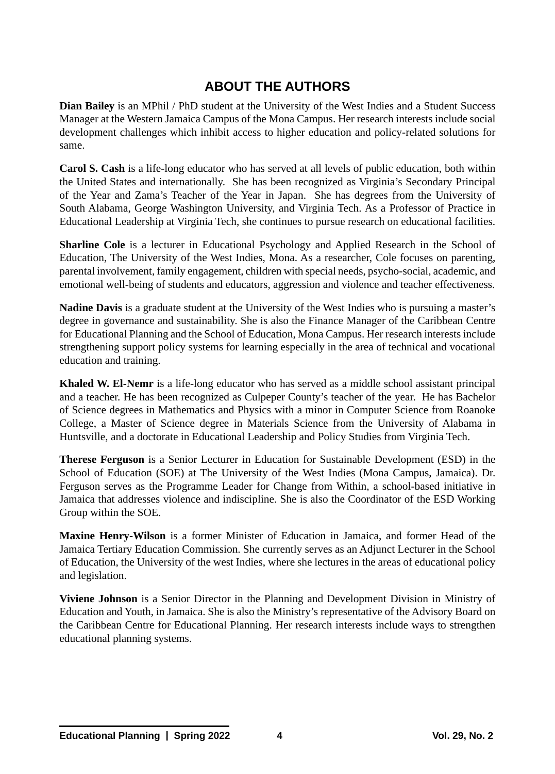# **ABOUT THE AUTHORS**

**Dian Bailey** is an MPhil / PhD student at the University of the West Indies and a Student Success Manager at the Western Jamaica Campus of the Mona Campus. Her research interests include social development challenges which inhibit access to higher education and policy-related solutions for same.

**Carol S. Cash** is a life-long educator who has served at all levels of public education, both within the United States and internationally. She has been recognized as Virginia's Secondary Principal of the Year and Zama's Teacher of the Year in Japan. She has degrees from the University of South Alabama, George Washington University, and Virginia Tech. As a Professor of Practice in Educational Leadership at Virginia Tech, she continues to pursue research on educational facilities.

**Sharline Cole** is a lecturer in Educational Psychology and Applied Research in the School of Education, The University of the West Indies, Mona. As a researcher, Cole focuses on parenting, parental involvement, family engagement, children with special needs, psycho-social, academic, and emotional well-being of students and educators, aggression and violence and teacher effectiveness.

**Nadine Davis** is a graduate student at the University of the West Indies who is pursuing a master's degree in governance and sustainability. She is also the Finance Manager of the Caribbean Centre for Educational Planning and the School of Education, Mona Campus. Her research interests include strengthening support policy systems for learning especially in the area of technical and vocational education and training.

**Khaled W. El-Nemr** is a life-long educator who has served as a middle school assistant principal and a teacher. He has been recognized as Culpeper County's teacher of the year. He has Bachelor of Science degrees in Mathematics and Physics with a minor in Computer Science from Roanoke College, a Master of Science degree in Materials Science from the University of Alabama in Huntsville, and a doctorate in Educational Leadership and Policy Studies from Virginia Tech.

**Therese Ferguson** is a Senior Lecturer in Education for Sustainable Development (ESD) in the School of Education (SOE) at The University of the West Indies (Mona Campus, Jamaica). Dr. Ferguson serves as the Programme Leader for Change from Within, a school-based initiative in Jamaica that addresses violence and indiscipline. She is also the Coordinator of the ESD Working Group within the SOE.

**Maxine Henry-Wilson** is a former Minister of Education in Jamaica, and former Head of the Jamaica Tertiary Education Commission. She currently serves as an Adjunct Lecturer in the School of Education, the University of the west Indies, where she lectures in the areas of educational policy and legislation.

**Viviene Johnson** is a Senior Director in the Planning and Development Division in Ministry of Education and Youth, in Jamaica. She is also the Ministry's representative of the Advisory Board on the Caribbean Centre for Educational Planning. Her research interests include ways to strengthen educational planning systems.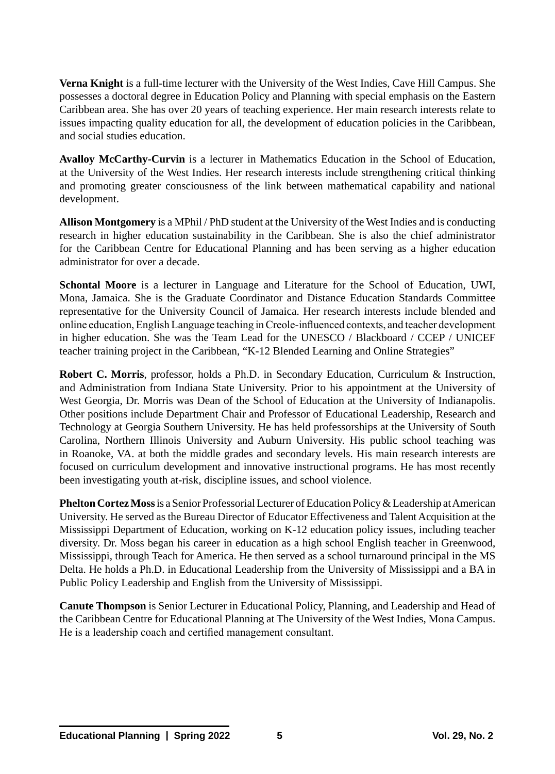**Verna Knight** is a full-time lecturer with the University of the West Indies, Cave Hill Campus. She possesses a doctoral degree in Education Policy and Planning with special emphasis on the Eastern Caribbean area. She has over 20 years of teaching experience. Her main research interests relate to issues impacting quality education for all, the development of education policies in the Caribbean, and social studies education.

**Avalloy McCarthy-Curvin** is a lecturer in Mathematics Education in the School of Education, at the University of the West Indies. Her research interests include strengthening critical thinking and promoting greater consciousness of the link between mathematical capability and national development.

**Allison Montgomery** is a MPhil / PhD student at the University of the West Indies and is conducting research in higher education sustainability in the Caribbean. She is also the chief administrator for the Caribbean Centre for Educational Planning and has been serving as a higher education administrator for over a decade.

**Schontal Moore** is a lecturer in Language and Literature for the School of Education, UWI, Mona, Jamaica. She is the Graduate Coordinator and Distance Education Standards Committee representative for the University Council of Jamaica. Her research interests include blended and online education, English Language teaching in Creole-influenced contexts, and teacher development in higher education. She was the Team Lead for the UNESCO / Blackboard / CCEP / UNICEF teacher training project in the Caribbean, "K-12 Blended Learning and Online Strategies"

**Robert C. Morris**, professor, holds a Ph.D. in Secondary Education, Curriculum & Instruction, and Administration from Indiana State University. Prior to his appointment at the University of West Georgia, Dr. Morris was Dean of the School of Education at the University of Indianapolis. Other positions include Department Chair and Professor of Educational Leadership, Research and Technology at Georgia Southern University. He has held professorships at the University of South Carolina, Northern Illinois University and Auburn University. His public school teaching was in Roanoke, VA. at both the middle grades and secondary levels. His main research interests are focused on curriculum development and innovative instructional programs. He has most recently been investigating youth at-risk, discipline issues, and school violence.

**Phelton Cortez Moss** is a Senior Professorial Lecturer of Education Policy & Leadership at American University. He served as the Bureau Director of Educator Effectiveness and Talent Acquisition at the Mississippi Department of Education, working on K-12 education policy issues, including teacher diversity. Dr. Moss began his career in education as a high school English teacher in Greenwood, Mississippi, through Teach for America. He then served as a school turnaround principal in the MS Delta. He holds a Ph.D. in Educational Leadership from the University of Mississippi and a BA in Public Policy Leadership and English from the University of Mississippi.

**Canute Thompson** is Senior Lecturer in Educational Policy, Planning, and Leadership and Head of the Caribbean Centre for Educational Planning at The University of the West Indies, Mona Campus. He is a leadership coach and certified management consultant.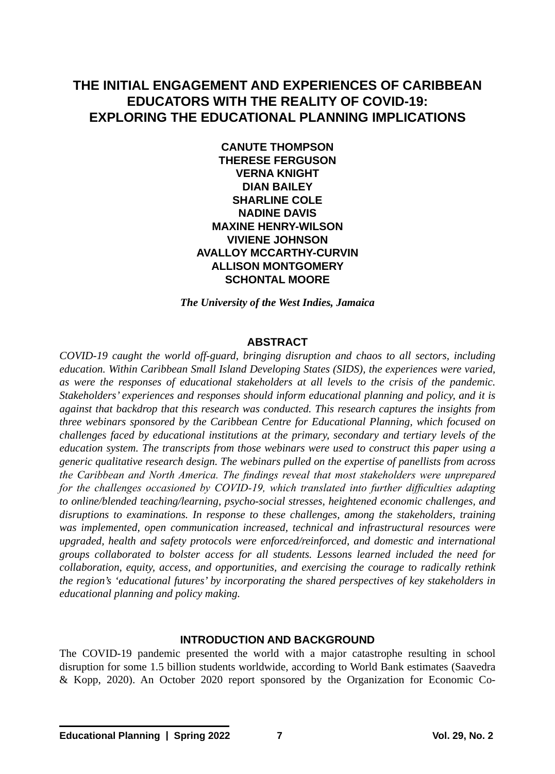# **THE INITIAL ENGAGEMENT AND EXPERIENCES OF CARIBBEAN EDUCATORS WITH THE REALITY OF COVID-19: EXPLORING THE EDUCATIONAL PLANNING IMPLICATIONS**

**CANUTE THOMPSON THERESE FERGUSON VERNA KNIGHT DIAN BAILEY SHARLINE COLE NADINE DAVIS MAXINE HENRY-WILSON VIVIENE JOHNSON AVALLOY MCCARTHY-CURVIN ALLISON MONTGOMERY SCHONTAL MOORE**

*The University of the West Indies, Jamaica*

#### **ABSTRACT**

*COVID-19 caught the world off-guard, bringing disruption and chaos to all sectors, including education. Within Caribbean Small Island Developing States (SIDS), the experiences were varied, as were the responses of educational stakeholders at all levels to the crisis of the pandemic. Stakeholders' experiences and responses should inform educational planning and policy, and it is against that backdrop that this research was conducted. This research captures the insights from three webinars sponsored by the Caribbean Centre for Educational Planning, which focused on challenges faced by educational institutions at the primary, secondary and tertiary levels of the education system. The transcripts from those webinars were used to construct this paper using a generic qualitative research design. The webinars pulled on the expertise of panellists from across the Caribbean and North America. The findings reveal that most stakeholders were unprepared for the challenges occasioned by COVID-19, which translated into further difficulties adapting to online/blended teaching/learning, psycho-social stresses, heightened economic challenges, and disruptions to examinations. In response to these challenges, among the stakeholders, training was implemented, open communication increased, technical and infrastructural resources were upgraded, health and safety protocols were enforced/reinforced, and domestic and international groups collaborated to bolster access for all students. Lessons learned included the need for collaboration, equity, access, and opportunities, and exercising the courage to radically rethink the region's 'educational futures' by incorporating the shared perspectives of key stakeholders in educational planning and policy making.*

# **INTRODUCTION AND BACKGROUND**

The COVID-19 pandemic presented the world with a major catastrophe resulting in school disruption for some 1.5 billion students worldwide, according to World Bank estimates (Saavedra & Kopp, 2020). An October 2020 report sponsored by the Organization for Economic Co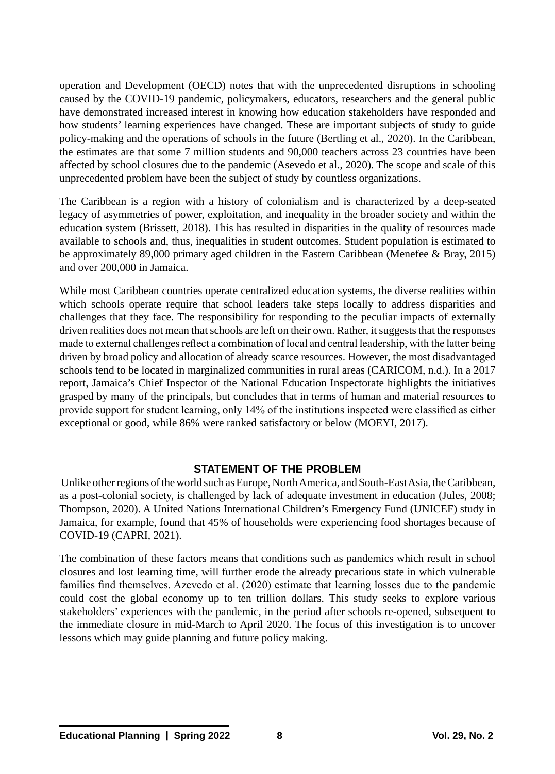operation and Development (OECD) notes that with the unprecedented disruptions in schooling caused by the COVID-19 pandemic, policymakers, educators, researchers and the general public have demonstrated increased interest in knowing how education stakeholders have responded and how students' learning experiences have changed. These are important subjects of study to guide policy-making and the operations of schools in the future (Bertling et al., 2020). In the Caribbean, the estimates are that some 7 million students and 90,000 teachers across 23 countries have been affected by school closures due to the pandemic (Asevedo et al., 2020). The scope and scale of this unprecedented problem have been the subject of study by countless organizations.

The Caribbean is a region with a history of colonialism and is characterized by a deep-seated legacy of asymmetries of power, exploitation, and inequality in the broader society and within the education system (Brissett, 2018). This has resulted in disparities in the quality of resources made available to schools and, thus, inequalities in student outcomes. Student population is estimated to be approximately 89,000 primary aged children in the Eastern Caribbean (Menefee & Bray, 2015) and over 200,000 in Jamaica.

While most Caribbean countries operate centralized education systems, the diverse realities within which schools operate require that school leaders take steps locally to address disparities and challenges that they face. The responsibility for responding to the peculiar impacts of externally driven realities does not mean that schools are left on their own. Rather, it suggests that the responses made to external challenges reflect a combination of local and central leadership, with the latter being driven by broad policy and allocation of already scarce resources. However, the most disadvantaged schools tend to be located in marginalized communities in rural areas (CARICOM, n.d.). In a 2017 report, Jamaica's Chief Inspector of the National Education Inspectorate highlights the initiatives grasped by many of the principals, but concludes that in terms of human and material resources to provide support for student learning, only 14% of the institutions inspected were classified as either exceptional or good, while 86% were ranked satisfactory or below (MOEYI, 2017).

# **STATEMENT OF THE PROBLEM**

 Unlike other regions of the world such as Europe, North America, and South-East Asia, the Caribbean, as a post-colonial society, is challenged by lack of adequate investment in education (Jules, 2008; Thompson, 2020). A United Nations International Children's Emergency Fund (UNICEF) study in Jamaica, for example, found that 45% of households were experiencing food shortages because of COVID-19 (CAPRI, 2021).

The combination of these factors means that conditions such as pandemics which result in school closures and lost learning time, will further erode the already precarious state in which vulnerable families find themselves. Azevedo et al. (2020) estimate that learning losses due to the pandemic could cost the global economy up to ten trillion dollars. This study seeks to explore various stakeholders' experiences with the pandemic, in the period after schools re-opened, subsequent to the immediate closure in mid-March to April 2020. The focus of this investigation is to uncover lessons which may guide planning and future policy making.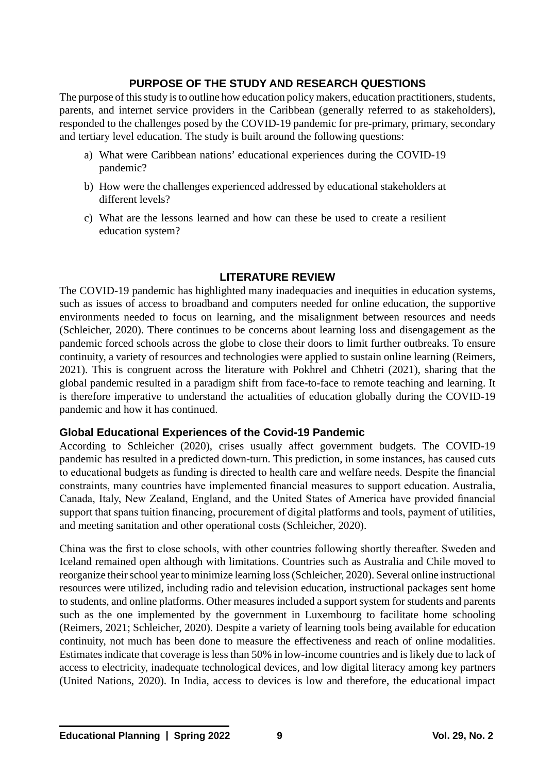# **PURPOSE OF THE STUDY AND RESEARCH QUESTIONS**

The purpose of this study is to outline how education policy makers, education practitioners, students, parents, and internet service providers in the Caribbean (generally referred to as stakeholders), responded to the challenges posed by the COVID-19 pandemic for pre-primary, primary, secondary and tertiary level education. The study is built around the following questions:

- a) What were Caribbean nations' educational experiences during the COVID-19 pandemic?
- b) How were the challenges experienced addressed by educational stakeholders at different levels?
- c) What are the lessons learned and how can these be used to create a resilient education system?

# **LITERATURE REVIEW**

The COVID-19 pandemic has highlighted many inadequacies and inequities in education systems, such as issues of access to broadband and computers needed for online education, the supportive environments needed to focus on learning, and the misalignment between resources and needs (Schleicher, 2020). There continues to be concerns about learning loss and disengagement as the pandemic forced schools across the globe to close their doors to limit further outbreaks. To ensure continuity, a variety of resources and technologies were applied to sustain online learning (Reimers, 2021). This is congruent across the literature with Pokhrel and Chhetri (2021), sharing that the global pandemic resulted in a paradigm shift from face-to-face to remote teaching and learning. It is therefore imperative to understand the actualities of education globally during the COVID-19 pandemic and how it has continued.

#### **Global Educational Experiences of the Covid-19 Pandemic**

According to Schleicher (2020), crises usually affect government budgets. The COVID-19 pandemic has resulted in a predicted down-turn. This prediction, in some instances, has caused cuts to educational budgets as funding is directed to health care and welfare needs. Despite the financial constraints, many countries have implemented financial measures to support education. Australia, Canada, Italy, New Zealand, England, and the United States of America have provided financial support that spans tuition financing, procurement of digital platforms and tools, payment of utilities, and meeting sanitation and other operational costs (Schleicher, 2020).

China was the first to close schools, with other countries following shortly thereafter. Sweden and Iceland remained open although with limitations. Countries such as Australia and Chile moved to reorganize their school year to minimize learning loss (Schleicher, 2020). Several online instructional resources were utilized, including radio and television education, instructional packages sent home to students, and online platforms. Other measures included a support system for students and parents such as the one implemented by the government in Luxembourg to facilitate home schooling (Reimers, 2021; Schleicher, 2020). Despite a variety of learning tools being available for education continuity, not much has been done to measure the effectiveness and reach of online modalities. Estimates indicate that coverage is less than 50% in low-income countries and is likely due to lack of access to electricity, inadequate technological devices, and low digital literacy among key partners (United Nations, 2020). In India, access to devices is low and therefore, the educational impact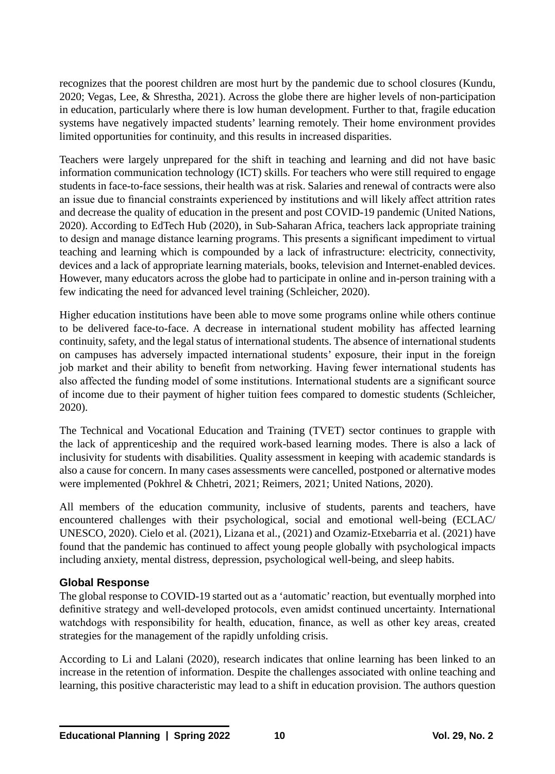recognizes that the poorest children are most hurt by the pandemic due to school closures (Kundu, 2020; Vegas, Lee, & Shrestha, 2021). Across the globe there are higher levels of non-participation in education, particularly where there is low human development. Further to that, fragile education systems have negatively impacted students' learning remotely. Their home environment provides limited opportunities for continuity, and this results in increased disparities.

Teachers were largely unprepared for the shift in teaching and learning and did not have basic information communication technology (ICT) skills. For teachers who were still required to engage students in face-to-face sessions, their health was at risk. Salaries and renewal of contracts were also an issue due to financial constraints experienced by institutions and will likely affect attrition rates and decrease the quality of education in the present and post COVID-19 pandemic (United Nations, 2020). According to EdTech Hub (2020), in Sub-Saharan Africa, teachers lack appropriate training to design and manage distance learning programs. This presents a significant impediment to virtual teaching and learning which is compounded by a lack of infrastructure: electricity, connectivity, devices and a lack of appropriate learning materials, books, television and Internet-enabled devices. However, many educators across the globe had to participate in online and in-person training with a few indicating the need for advanced level training (Schleicher, 2020).

Higher education institutions have been able to move some programs online while others continue to be delivered face-to-face. A decrease in international student mobility has affected learning continuity, safety, and the legal status of international students. The absence of international students on campuses has adversely impacted international students' exposure, their input in the foreign job market and their ability to benefit from networking. Having fewer international students has also affected the funding model of some institutions. International students are a significant source of income due to their payment of higher tuition fees compared to domestic students (Schleicher, 2020).

The Technical and Vocational Education and Training (TVET) sector continues to grapple with the lack of apprenticeship and the required work-based learning modes. There is also a lack of inclusivity for students with disabilities. Quality assessment in keeping with academic standards is also a cause for concern. In many cases assessments were cancelled, postponed or alternative modes were implemented (Pokhrel & Chhetri, 2021; Reimers, 2021; United Nations, 2020).

All members of the education community, inclusive of students, parents and teachers, have encountered challenges with their psychological, social and emotional well-being (ECLAC/ UNESCO, 2020). Cielo et al. (2021), Lizana et al., (2021) and Ozamiz-Etxebarria et al. (2021) have found that the pandemic has continued to affect young people globally with psychological impacts including anxiety, mental distress, depression, psychological well-being, and sleep habits.

# **Global Response**

The global response to COVID-19 started out as a 'automatic' reaction, but eventually morphed into definitive strategy and well-developed protocols, even amidst continued uncertainty. International watchdogs with responsibility for health, education, finance, as well as other key areas, created strategies for the management of the rapidly unfolding crisis.

According to Li and Lalani (2020), research indicates that online learning has been linked to an increase in the retention of information. Despite the challenges associated with online teaching and learning, this positive characteristic may lead to a shift in education provision. The authors question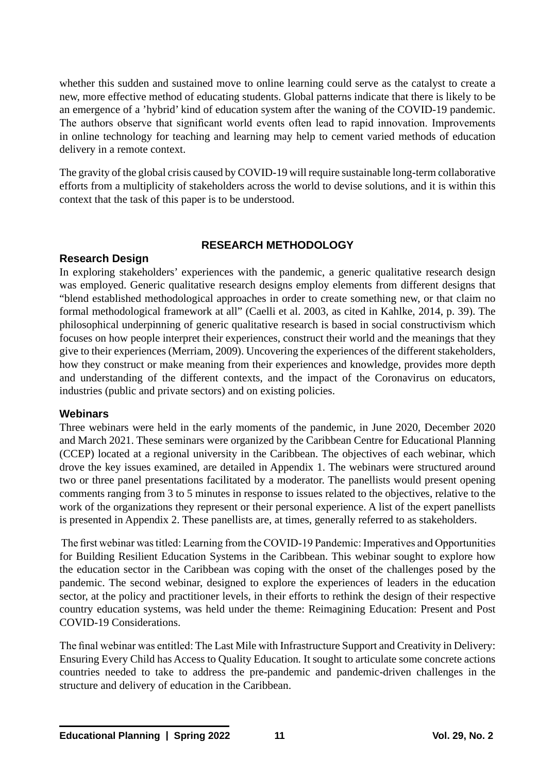whether this sudden and sustained move to online learning could serve as the catalyst to create a new, more effective method of educating students. Global patterns indicate that there is likely to be an emergence of a 'hybrid' kind of education system after the waning of the COVID-19 pandemic. The authors observe that significant world events often lead to rapid innovation. Improvements in online technology for teaching and learning may help to cement varied methods of education delivery in a remote context.

The gravity of the global crisis caused by COVID-19 will require sustainable long-term collaborative efforts from a multiplicity of stakeholders across the world to devise solutions, and it is within this context that the task of this paper is to be understood.

# **RESEARCH METHODOLOGY**

# **Research Design**

In exploring stakeholders' experiences with the pandemic, a generic qualitative research design was employed. Generic qualitative research designs employ elements from different designs that "blend established methodological approaches in order to create something new, or that claim no formal methodological framework at all" (Caelli et al. 2003, as cited in Kahlke, 2014, p. 39). The philosophical underpinning of generic qualitative research is based in social constructivism which focuses on how people interpret their experiences, construct their world and the meanings that they give to their experiences (Merriam, 2009). Uncovering the experiences of the different stakeholders, how they construct or make meaning from their experiences and knowledge, provides more depth and understanding of the different contexts, and the impact of the Coronavirus on educators, industries (public and private sectors) and on existing policies.

# **Webinars**

Three webinars were held in the early moments of the pandemic, in June 2020, December 2020 and March 2021. These seminars were organized by the Caribbean Centre for Educational Planning (CCEP) located at a regional university in the Caribbean. The objectives of each webinar, which drove the key issues examined, are detailed in Appendix 1. The webinars were structured around two or three panel presentations facilitated by a moderator. The panellists would present opening comments ranging from 3 to 5 minutes in response to issues related to the objectives, relative to the work of the organizations they represent or their personal experience. A list of the expert panellists is presented in Appendix 2. These panellists are, at times, generally referred to as stakeholders.

 The first webinar was titled: Learning from the COVID-19 Pandemic: Imperatives and Opportunities for Building Resilient Education Systems in the Caribbean. This webinar sought to explore how the education sector in the Caribbean was coping with the onset of the challenges posed by the pandemic. The second webinar, designed to explore the experiences of leaders in the education sector, at the policy and practitioner levels, in their efforts to rethink the design of their respective country education systems, was held under the theme: Reimagining Education: Present and Post COVID-19 Considerations.

The final webinar was entitled: The Last Mile with Infrastructure Support and Creativity in Delivery: Ensuring Every Child has Access to Quality Education*.* It sought to articulate some concrete actions countries needed to take to address the pre-pandemic and pandemic-driven challenges in the structure and delivery of education in the Caribbean.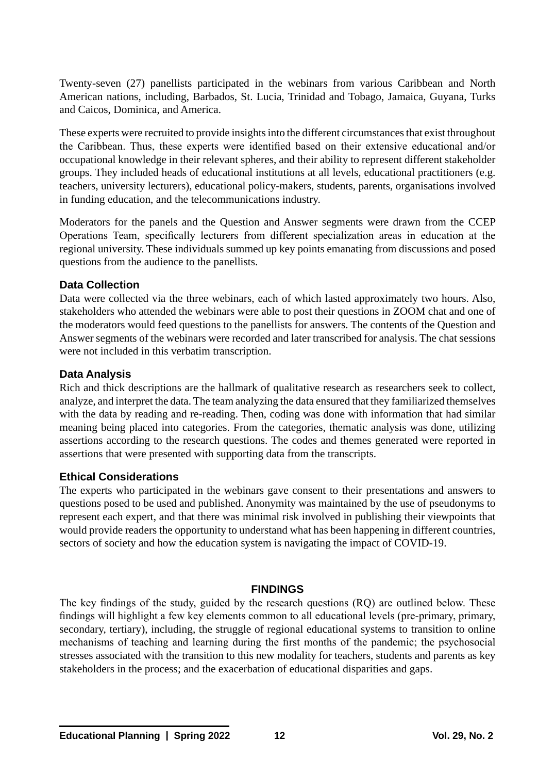Twenty-seven (27) panellists participated in the webinars from various Caribbean and North American nations, including, Barbados, St. Lucia, Trinidad and Tobago, Jamaica, Guyana, Turks and Caicos, Dominica, and America.

These experts were recruited to provide insights into the different circumstances that exist throughout the Caribbean. Thus, these experts were identified based on their extensive educational and/or occupational knowledge in their relevant spheres, and their ability to represent different stakeholder groups. They included heads of educational institutions at all levels, educational practitioners (e.g. teachers, university lecturers), educational policy-makers, students, parents, organisations involved in funding education, and the telecommunications industry.

Moderators for the panels and the Question and Answer segments were drawn from the CCEP Operations Team, specifically lecturers from different specialization areas in education at the regional university. These individuals summed up key points emanating from discussions and posed questions from the audience to the panellists.

# **Data Collection**

Data were collected via the three webinars, each of which lasted approximately two hours. Also, stakeholders who attended the webinars were able to post their questions in ZOOM chat and one of the moderators would feed questions to the panellists for answers. The contents of the Question and Answer segments of the webinars were recorded and later transcribed for analysis. The chat sessions were not included in this verbatim transcription.

# **Data Analysis**

Rich and thick descriptions are the hallmark of qualitative research as researchers seek to collect, analyze, and interpret the data. The team analyzing the data ensured that they familiarized themselves with the data by reading and re-reading. Then, coding was done with information that had similar meaning being placed into categories. From the categories, thematic analysis was done, utilizing assertions according to the research questions. The codes and themes generated were reported in assertions that were presented with supporting data from the transcripts.

# **Ethical Considerations**

The experts who participated in the webinars gave consent to their presentations and answers to questions posed to be used and published. Anonymity was maintained by the use of pseudonyms to represent each expert, and that there was minimal risk involved in publishing their viewpoints that would provide readers the opportunity to understand what has been happening in different countries, sectors of society and how the education system is navigating the impact of COVID-19.

# **FINDINGS**

The key findings of the study, guided by the research questions (RQ) are outlined below. These findings will highlight a few key elements common to all educational levels (pre-primary, primary, secondary, tertiary), including, the struggle of regional educational systems to transition to online mechanisms of teaching and learning during the first months of the pandemic; the psychosocial stresses associated with the transition to this new modality for teachers, students and parents as key stakeholders in the process; and the exacerbation of educational disparities and gaps.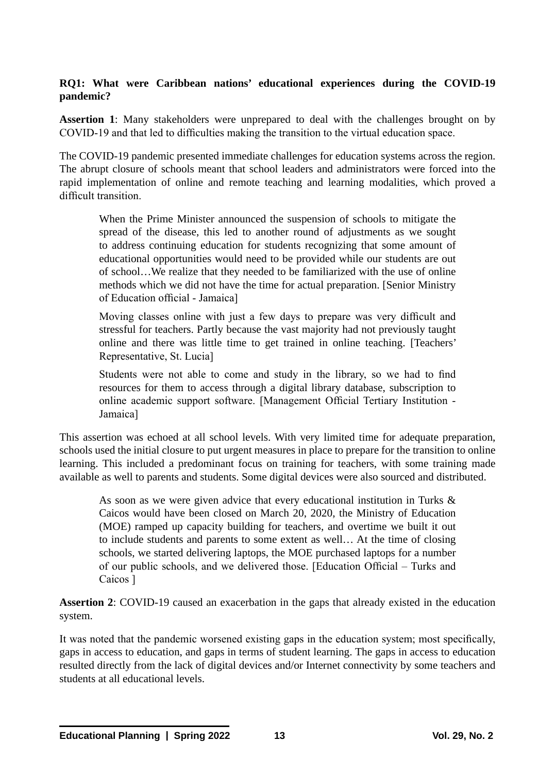#### **RQ1: What were Caribbean nations' educational experiences during the COVID-19 pandemic?**

**Assertion 1**: Many stakeholders were unprepared to deal with the challenges brought on by COVID-19 and that led to difficulties making the transition to the virtual education space.

The COVID-19 pandemic presented immediate challenges for education systems across the region. The abrupt closure of schools meant that school leaders and administrators were forced into the rapid implementation of online and remote teaching and learning modalities, which proved a difficult transition.

When the Prime Minister announced the suspension of schools to mitigate the spread of the disease, this led to another round of adjustments as we sought to address continuing education for students recognizing that some amount of educational opportunities would need to be provided while our students are out of school…We realize that they needed to be familiarized with the use of online methods which we did not have the time for actual preparation. [Senior Ministry of Education official - Jamaica]

Moving classes online with just a few days to prepare was very difficult and stressful for teachers. Partly because the vast majority had not previously taught online and there was little time to get trained in online teaching. [Teachers' Representative, St. Lucia]

Students were not able to come and study in the library, so we had to find resources for them to access through a digital library database, subscription to online academic support software. [Management Official Tertiary Institution - Jamaica]

This assertion was echoed at all school levels. With very limited time for adequate preparation, schools used the initial closure to put urgent measures in place to prepare for the transition to online learning. This included a predominant focus on training for teachers, with some training made available as well to parents and students. Some digital devices were also sourced and distributed.

As soon as we were given advice that every educational institution in Turks & Caicos would have been closed on March 20, 2020, the Ministry of Education (MOE) ramped up capacity building for teachers, and overtime we built it out to include students and parents to some extent as well… At the time of closing schools, we started delivering laptops, the MOE purchased laptops for a number of our public schools, and we delivered those. [Education Official – Turks and Caicos ]

**Assertion 2**: COVID-19 caused an exacerbation in the gaps that already existed in the education system.

It was noted that the pandemic worsened existing gaps in the education system; most specifically, gaps in access to education, and gaps in terms of student learning. The gaps in access to education resulted directly from the lack of digital devices and/or Internet connectivity by some teachers and students at all educational levels.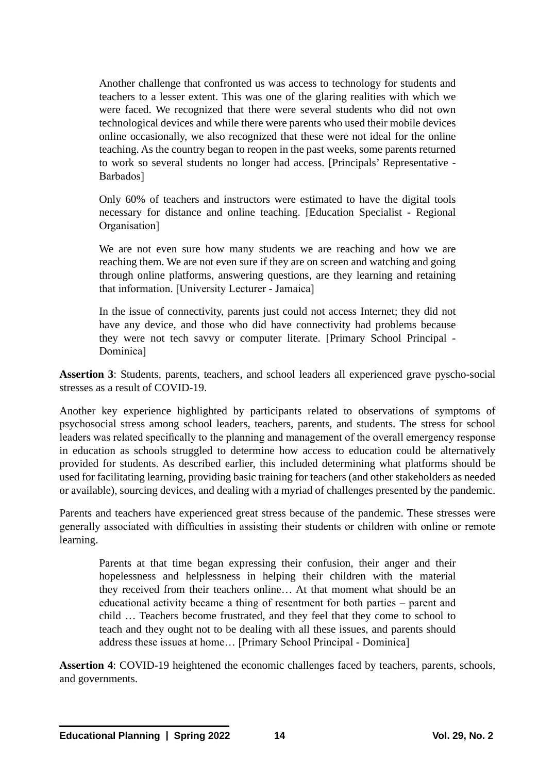Another challenge that confronted us was access to technology for students and teachers to a lesser extent. This was one of the glaring realities with which we were faced. We recognized that there were several students who did not own technological devices and while there were parents who used their mobile devices online occasionally, we also recognized that these were not ideal for the online teaching. As the country began to reopen in the past weeks, some parents returned to work so several students no longer had access. [Principals' Representative - Barbados]

Only 60% of teachers and instructors were estimated to have the digital tools necessary for distance and online teaching. [Education Specialist - Regional Organisation]

We are not even sure how many students we are reaching and how we are reaching them. We are not even sure if they are on screen and watching and going through online platforms, answering questions, are they learning and retaining that information. [University Lecturer - Jamaica]

In the issue of connectivity, parents just could not access Internet; they did not have any device, and those who did have connectivity had problems because they were not tech savvy or computer literate. [Primary School Principal - Dominica]

**Assertion 3**: Students, parents, teachers, and school leaders all experienced grave pyscho-social stresses as a result of COVID-19.

Another key experience highlighted by participants related to observations of symptoms of psychosocial stress among school leaders, teachers, parents, and students. The stress for school leaders was related specifically to the planning and management of the overall emergency response in education as schools struggled to determine how access to education could be alternatively provided for students. As described earlier, this included determining what platforms should be used for facilitating learning, providing basic training for teachers (and other stakeholders as needed or available), sourcing devices, and dealing with a myriad of challenges presented by the pandemic.

Parents and teachers have experienced great stress because of the pandemic. These stresses were generally associated with difficulties in assisting their students or children with online or remote learning.

Parents at that time began expressing their confusion, their anger and their hopelessness and helplessness in helping their children with the material they received from their teachers online… At that moment what should be an educational activity became a thing of resentment for both parties – parent and child … Teachers become frustrated, and they feel that they come to school to teach and they ought not to be dealing with all these issues, and parents should address these issues at home… [Primary School Principal - Dominica]

**Assertion 4**: COVID-19 heightened the economic challenges faced by teachers, parents, schools, and governments.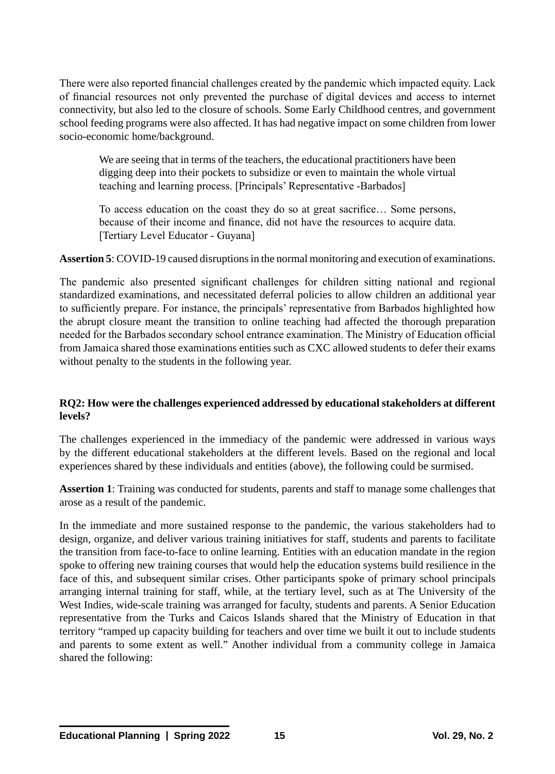There were also reported financial challenges created by the pandemic which impacted equity. Lack of financial resources not only prevented the purchase of digital devices and access to internet connectivity, but also led to the closure of schools. Some Early Childhood centres, and government school feeding programs were also affected. It has had negative impact on some children from lower socio-economic home/background.

We are seeing that in terms of the teachers, the educational practitioners have been digging deep into their pockets to subsidize or even to maintain the whole virtual teaching and learning process. [Principals' Representative -Barbados]

To access education on the coast they do so at great sacrifice… Some persons, because of their income and finance, did not have the resources to acquire data. [Tertiary Level Educator - Guyana]

**Assertion 5**: COVID-19 caused disruptions in the normal monitoring and execution of examinations.

The pandemic also presented significant challenges for children sitting national and regional standardized examinations, and necessitated deferral policies to allow children an additional year to sufficiently prepare. For instance, the principals' representative from Barbados highlighted how the abrupt closure meant the transition to online teaching had affected the thorough preparation needed for the Barbados secondary school entrance examination. The Ministry of Education official from Jamaica shared those examinations entities such as CXC allowed students to defer their exams without penalty to the students in the following year.

# **RQ2: How were the challenges experienced addressed by educational stakeholders at different levels?**

The challenges experienced in the immediacy of the pandemic were addressed in various ways by the different educational stakeholders at the different levels. Based on the regional and local experiences shared by these individuals and entities (above), the following could be surmised.

**Assertion 1**: Training was conducted for students, parents and staff to manage some challenges that arose as a result of the pandemic.

In the immediate and more sustained response to the pandemic, the various stakeholders had to design, organize, and deliver various training initiatives for staff, students and parents to facilitate the transition from face-to-face to online learning. Entities with an education mandate in the region spoke to offering new training courses that would help the education systems build resilience in the face of this, and subsequent similar crises. Other participants spoke of primary school principals arranging internal training for staff, while, at the tertiary level, such as at The University of the West Indies, wide-scale training was arranged for faculty, students and parents. A Senior Education representative from the Turks and Caicos Islands shared that the Ministry of Education in that territory "ramped up capacity building for teachers and over time we built it out to include students and parents to some extent as well." Another individual from a community college in Jamaica shared the following: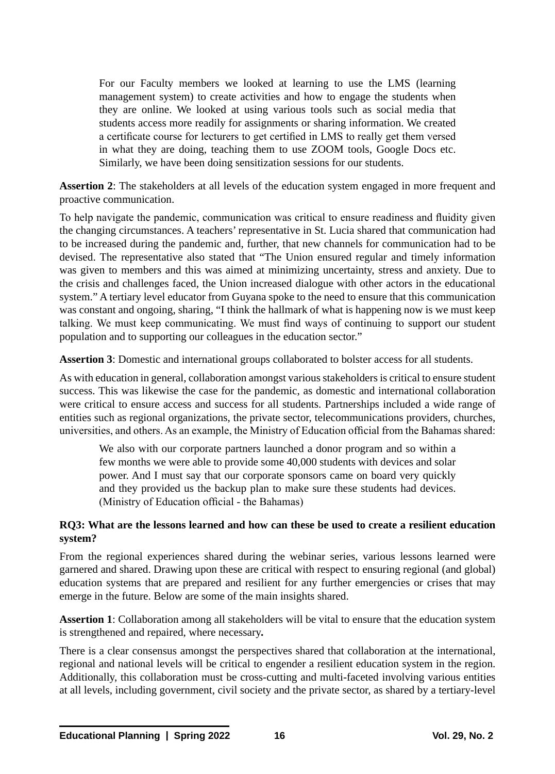For our Faculty members we looked at learning to use the LMS (learning management system) to create activities and how to engage the students when they are online. We looked at using various tools such as social media that students access more readily for assignments or sharing information. We created a certificate course for lecturers to get certified in LMS to really get them versed in what they are doing, teaching them to use ZOOM tools, Google Docs etc. Similarly, we have been doing sensitization sessions for our students.

**Assertion 2**: The stakeholders at all levels of the education system engaged in more frequent and proactive communication.

To help navigate the pandemic, communication was critical to ensure readiness and fluidity given the changing circumstances. A teachers' representative in St. Lucia shared that communication had to be increased during the pandemic and, further, that new channels for communication had to be devised. The representative also stated that "The Union ensured regular and timely information was given to members and this was aimed at minimizing uncertainty, stress and anxiety. Due to the crisis and challenges faced, the Union increased dialogue with other actors in the educational system." A tertiary level educator from Guyana spoke to the need to ensure that this communication was constant and ongoing, sharing, "I think the hallmark of what is happening now is we must keep talking. We must keep communicating. We must find ways of continuing to support our student population and to supporting our colleagues in the education sector."

**Assertion 3**: Domestic and international groups collaborated to bolster access for all students.

As with education in general, collaboration amongst various stakeholders is critical to ensure student success. This was likewise the case for the pandemic, as domestic and international collaboration were critical to ensure access and success for all students. Partnerships included a wide range of entities such as regional organizations, the private sector, telecommunications providers, churches, universities, and others. As an example, the Ministry of Education official from the Bahamas shared:

We also with our corporate partners launched a donor program and so within a few months we were able to provide some 40,000 students with devices and solar power. And I must say that our corporate sponsors came on board very quickly and they provided us the backup plan to make sure these students had devices. (Ministry of Education official - the Bahamas)

#### **RQ3: What are the lessons learned and how can these be used to create a resilient education system?**

From the regional experiences shared during the webinar series, various lessons learned were garnered and shared. Drawing upon these are critical with respect to ensuring regional (and global) education systems that are prepared and resilient for any further emergencies or crises that may emerge in the future. Below are some of the main insights shared.

**Assertion 1**: Collaboration among all stakeholders will be vital to ensure that the education system is strengthened and repaired, where necessary*.*

There is a clear consensus amongst the perspectives shared that collaboration at the international, regional and national levels will be critical to engender a resilient education system in the region. Additionally, this collaboration must be cross-cutting and multi-faceted involving various entities at all levels, including government, civil society and the private sector, as shared by a tertiary-level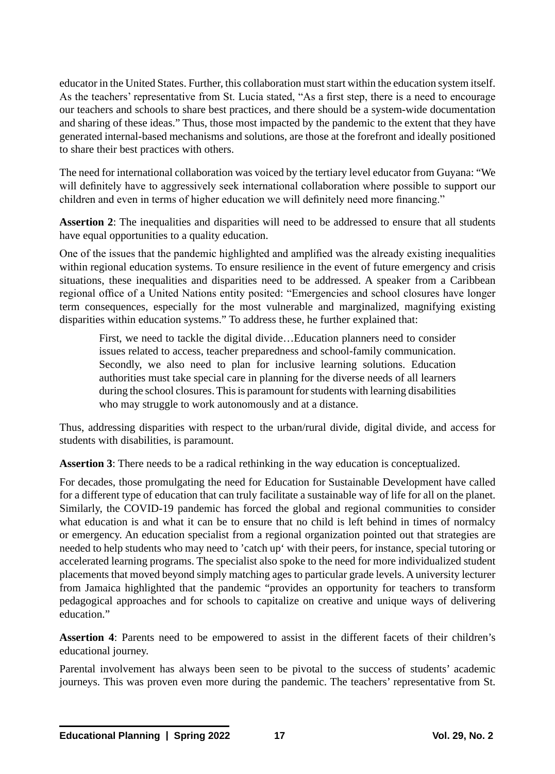educator in the United States. Further, this collaboration must start within the education system itself. As the teachers' representative from St. Lucia stated, "As a first step, there is a need to encourage our teachers and schools to share best practices, and there should be a system-wide documentation and sharing of these ideas." Thus, those most impacted by the pandemic to the extent that they have generated internal-based mechanisms and solutions, are those at the forefront and ideally positioned to share their best practices with others.

The need for international collaboration was voiced by the tertiary level educator from Guyana: "We will definitely have to aggressively seek international collaboration where possible to support our children and even in terms of higher education we will definitely need more financing."

**Assertion 2**: The inequalities and disparities will need to be addressed to ensure that all students have equal opportunities to a quality education.

One of the issues that the pandemic highlighted and amplified was the already existing inequalities within regional education systems. To ensure resilience in the event of future emergency and crisis situations, these inequalities and disparities need to be addressed. A speaker from a Caribbean regional office of a United Nations entity posited: "Emergencies and school closures have longer term consequences, especially for the most vulnerable and marginalized, magnifying existing disparities within education systems." To address these, he further explained that:

First, we need to tackle the digital divide…Education planners need to consider issues related to access, teacher preparedness and school-family communication. Secondly, we also need to plan for inclusive learning solutions. Education authorities must take special care in planning for the diverse needs of all learners during the school closures. This is paramount for students with learning disabilities who may struggle to work autonomously and at a distance.

Thus, addressing disparities with respect to the urban/rural divide, digital divide, and access for students with disabilities, is paramount.

**Assertion 3**: There needs to be a radical rethinking in the way education is conceptualized.

For decades, those promulgating the need for Education for Sustainable Development have called for a different type of education that can truly facilitate a sustainable way of life for all on the planet. Similarly, the COVID-19 pandemic has forced the global and regional communities to consider what education is and what it can be to ensure that no child is left behind in times of normalcy or emergency. An education specialist from a regional organization pointed out that strategies are needed to help students who may need to 'catch up' with their peers, for instance, special tutoring or accelerated learning programs. The specialist also spoke to the need for more individualized student placements that moved beyond simply matching ages to particular grade levels. A university lecturer from Jamaica highlighted that the pandemic "provides an opportunity for teachers to transform pedagogical approaches and for schools to capitalize on creative and unique ways of delivering education."

**Assertion 4**: Parents need to be empowered to assist in the different facets of their children's educational journey.

Parental involvement has always been seen to be pivotal to the success of students' academic journeys. This was proven even more during the pandemic. The teachers' representative from St.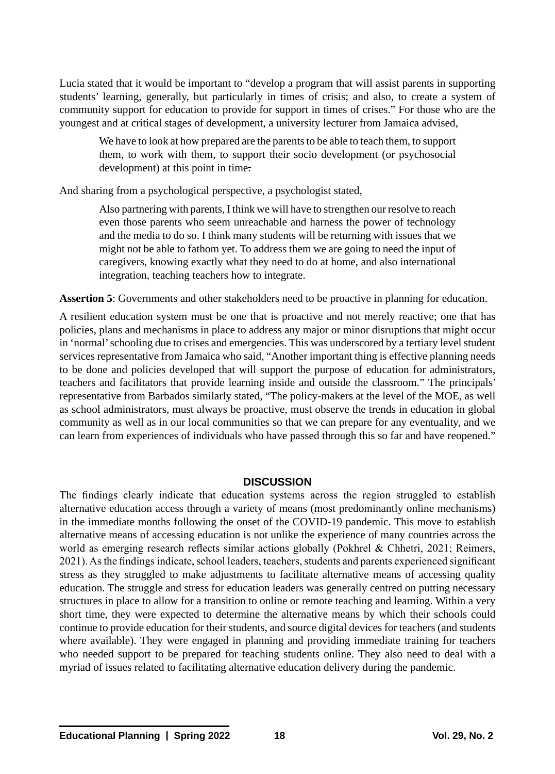Lucia stated that it would be important to "develop a program that will assist parents in supporting students' learning, generally, but particularly in times of crisis; and also, to create a system of community support for education to provide for support in times of crises." For those who are the youngest and at critical stages of development, a university lecturer from Jamaica advised,

We have to look at how prepared are the parents to be able to teach them, to support them, to work with them, to support their socio development (or psychosocial development) at this point in time.

And sharing from a psychological perspective, a psychologist stated,

Also partnering with parents, I think we will have to strengthen our resolve to reach even those parents who seem unreachable and harness the power of technology and the media to do so. I think many students will be returning with issues that we might not be able to fathom yet. To address them we are going to need the input of caregivers, knowing exactly what they need to do at home, and also international integration, teaching teachers how to integrate.

**Assertion 5**: Governments and other stakeholders need to be proactive in planning for education.

A resilient education system must be one that is proactive and not merely reactive; one that has policies, plans and mechanisms in place to address any major or minor disruptions that might occur in 'normal' schooling due to crises and emergencies. This was underscored by a tertiary level student services representative from Jamaica who said, "Another important thing is effective planning needs to be done and policies developed that will support the purpose of education for administrators, teachers and facilitators that provide learning inside and outside the classroom." The principals' representative from Barbados similarly stated, "The policy-makers at the level of the MOE, as well as school administrators, must always be proactive, must observe the trends in education in global community as well as in our local communities so that we can prepare for any eventuality, and we can learn from experiences of individuals who have passed through this so far and have reopened."

# **DISCUSSION**

The findings clearly indicate that education systems across the region struggled to establish alternative education access through a variety of means (most predominantly online mechanisms) in the immediate months following the onset of the COVID-19 pandemic. This move to establish alternative means of accessing education is not unlike the experience of many countries across the world as emerging research reflects similar actions globally (Pokhrel & Chhetri, 2021; Reimers, 2021). As the findings indicate, school leaders, teachers, students and parents experienced significant stress as they struggled to make adjustments to facilitate alternative means of accessing quality education. The struggle and stress for education leaders was generally centred on putting necessary structures in place to allow for a transition to online or remote teaching and learning. Within a very short time, they were expected to determine the alternative means by which their schools could continue to provide education for their students, and source digital devices for teachers (and students where available). They were engaged in planning and providing immediate training for teachers who needed support to be prepared for teaching students online. They also need to deal with a myriad of issues related to facilitating alternative education delivery during the pandemic.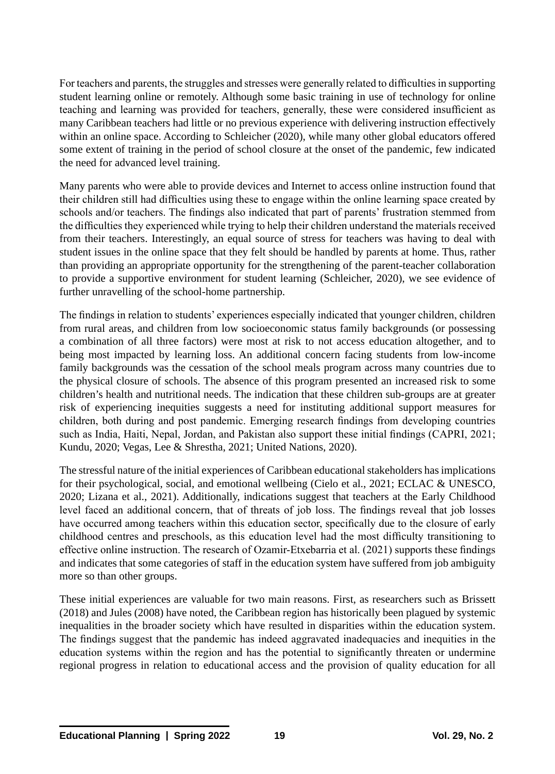For teachers and parents, the struggles and stresses were generally related to difficulties in supporting student learning online or remotely. Although some basic training in use of technology for online teaching and learning was provided for teachers, generally, these were considered insufficient as many Caribbean teachers had little or no previous experience with delivering instruction effectively within an online space. According to Schleicher (2020), while many other global educators offered some extent of training in the period of school closure at the onset of the pandemic, few indicated the need for advanced level training.

Many parents who were able to provide devices and Internet to access online instruction found that their children still had difficulties using these to engage within the online learning space created by schools and/or teachers. The findings also indicated that part of parents' frustration stemmed from the difficulties they experienced while trying to help their children understand the materials received from their teachers. Interestingly, an equal source of stress for teachers was having to deal with student issues in the online space that they felt should be handled by parents at home. Thus, rather than providing an appropriate opportunity for the strengthening of the parent-teacher collaboration to provide a supportive environment for student learning (Schleicher, 2020), we see evidence of further unravelling of the school-home partnership.

The findings in relation to students' experiences especially indicated that younger children, children from rural areas, and children from low socioeconomic status family backgrounds (or possessing a combination of all three factors) were most at risk to not access education altogether, and to being most impacted by learning loss. An additional concern facing students from low-income family backgrounds was the cessation of the school meals program across many countries due to the physical closure of schools. The absence of this program presented an increased risk to some children's health and nutritional needs. The indication that these children sub-groups are at greater risk of experiencing inequities suggests a need for instituting additional support measures for children, both during and post pandemic. Emerging research findings from developing countries such as India, Haiti, Nepal, Jordan, and Pakistan also support these initial findings (CAPRI, 2021; Kundu, 2020; Vegas, Lee & Shrestha, 2021; United Nations, 2020).

The stressful nature of the initial experiences of Caribbean educational stakeholders has implications for their psychological, social, and emotional wellbeing (Cielo et al., 2021; ECLAC & UNESCO, 2020; Lizana et al., 2021). Additionally, indications suggest that teachers at the Early Childhood level faced an additional concern, that of threats of job loss. The findings reveal that job losses have occurred among teachers within this education sector, specifically due to the closure of early childhood centres and preschools, as this education level had the most difficulty transitioning to effective online instruction. The research of Ozamir-Etxebarria et al. (2021) supports these findings and indicates that some categories of staff in the education system have suffered from job ambiguity more so than other groups.

These initial experiences are valuable for two main reasons. First, as researchers such as Brissett (2018) and Jules (2008) have noted, the Caribbean region has historically been plagued by systemic inequalities in the broader society which have resulted in disparities within the education system. The findings suggest that the pandemic has indeed aggravated inadequacies and inequities in the education systems within the region and has the potential to significantly threaten or undermine regional progress in relation to educational access and the provision of quality education for all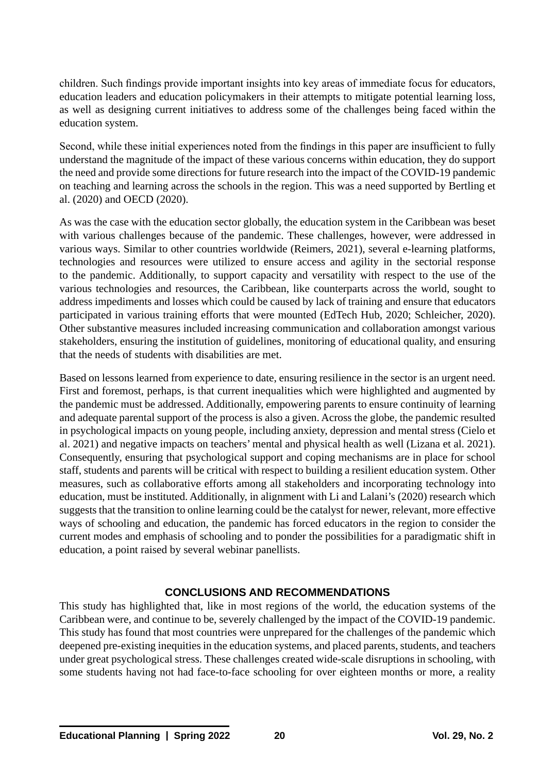children. Such findings provide important insights into key areas of immediate focus for educators, education leaders and education policymakers in their attempts to mitigate potential learning loss, as well as designing current initiatives to address some of the challenges being faced within the education system.

Second, while these initial experiences noted from the findings in this paper are insufficient to fully understand the magnitude of the impact of these various concerns within education, they do support the need and provide some directions for future research into the impact of the COVID-19 pandemic on teaching and learning across the schools in the region. This was a need supported by Bertling et al. (2020) and OECD (2020).

As was the case with the education sector globally, the education system in the Caribbean was beset with various challenges because of the pandemic. These challenges, however, were addressed in various ways. Similar to other countries worldwide (Reimers, 2021), several e-learning platforms, technologies and resources were utilized to ensure access and agility in the sectorial response to the pandemic. Additionally, to support capacity and versatility with respect to the use of the various technologies and resources, the Caribbean, like counterparts across the world, sought to address impediments and losses which could be caused by lack of training and ensure that educators participated in various training efforts that were mounted (EdTech Hub, 2020; Schleicher, 2020). Other substantive measures included increasing communication and collaboration amongst various stakeholders, ensuring the institution of guidelines, monitoring of educational quality, and ensuring that the needs of students with disabilities are met.

Based on lessons learned from experience to date, ensuring resilience in the sector is an urgent need. First and foremost, perhaps, is that current inequalities which were highlighted and augmented by the pandemic must be addressed. Additionally, empowering parents to ensure continuity of learning and adequate parental support of the process is also a given. Across the globe, the pandemic resulted in psychological impacts on young people, including anxiety, depression and mental stress (Cielo et al. 2021) and negative impacts on teachers' mental and physical health as well (Lizana et al. 2021). Consequently, ensuring that psychological support and coping mechanisms are in place for school staff, students and parents will be critical with respect to building a resilient education system. Other measures, such as collaborative efforts among all stakeholders and incorporating technology into education, must be instituted. Additionally, in alignment with Li and Lalani's (2020) research which suggests that the transition to online learning could be the catalyst for newer, relevant, more effective ways of schooling and education, the pandemic has forced educators in the region to consider the current modes and emphasis of schooling and to ponder the possibilities for a paradigmatic shift in education, a point raised by several webinar panellists.

# **CONCLUSIONS AND RECOMMENDATIONS**

This study has highlighted that, like in most regions of the world, the education systems of the Caribbean were, and continue to be, severely challenged by the impact of the COVID-19 pandemic. This study has found that most countries were unprepared for the challenges of the pandemic which deepened pre-existing inequities in the education systems, and placed parents, students, and teachers under great psychological stress. These challenges created wide-scale disruptions in schooling, with some students having not had face-to-face schooling for over eighteen months or more, a reality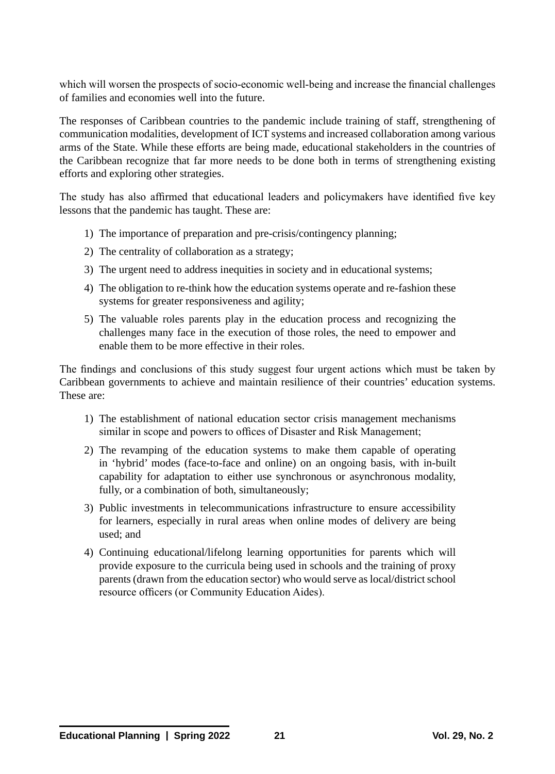which will worsen the prospects of socio-economic well-being and increase the financial challenges of families and economies well into the future.

The responses of Caribbean countries to the pandemic include training of staff, strengthening of communication modalities, development of ICT systems and increased collaboration among various arms of the State. While these efforts are being made, educational stakeholders in the countries of the Caribbean recognize that far more needs to be done both in terms of strengthening existing efforts and exploring other strategies.

The study has also affirmed that educational leaders and policymakers have identified five key lessons that the pandemic has taught. These are:

- 1) The importance of preparation and pre-crisis/contingency planning;
- 2) The centrality of collaboration as a strategy;
- 3) The urgent need to address inequities in society and in educational systems;
- 4) The obligation to re-think how the education systems operate and re-fashion these systems for greater responsiveness and agility;
- 5) The valuable roles parents play in the education process and recognizing the challenges many face in the execution of those roles, the need to empower and enable them to be more effective in their roles.

The findings and conclusions of this study suggest four urgent actions which must be taken by Caribbean governments to achieve and maintain resilience of their countries' education systems. These are:

- 1) The establishment of national education sector crisis management mechanisms similar in scope and powers to offices of Disaster and Risk Management;
- 2) The revamping of the education systems to make them capable of operating in 'hybrid' modes (face-to-face and online) on an ongoing basis, with in-built capability for adaptation to either use synchronous or asynchronous modality, fully, or a combination of both, simultaneously;
- 3) Public investments in telecommunications infrastructure to ensure accessibility for learners, especially in rural areas when online modes of delivery are being used; and
- 4) Continuing educational/lifelong learning opportunities for parents which will provide exposure to the curricula being used in schools and the training of proxy parents (drawn from the education sector) who would serve as local/district school resource officers (or Community Education Aides).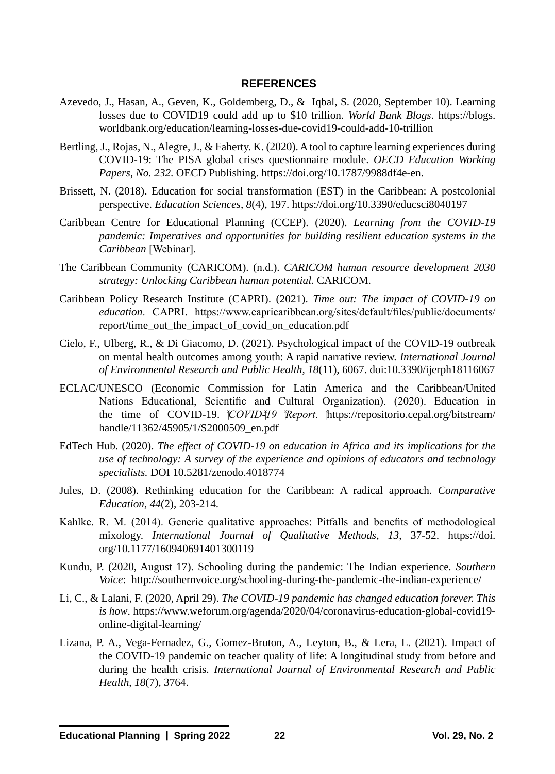#### **REFERENCES**

- Azevedo, J., Hasan, A., Geven, K., Goldemberg, D., & Iqbal, S. (2020, September 10). Learning losses due to COVID19 could add up to \$10 trillion. *World Bank Blogs*. https://blogs. worldbank.org/education/learning-losses-due-covid19-could-add-10-trillion
- Bertling, J., Rojas, N., Alegre, J., & Faherty. K. (2020). A tool to capture learning experiences during COVID-19: The PISA global crises questionnaire module. *OECD Education Working Papers, No. 232*. OECD Publishing. https://doi.org/10.1787/9988df4e-en.
- Brissett, N. (2018). Education for social transformation (EST) in the Caribbean: A postcolonial perspective. *Education Sciences*, *8*(4), 197. https://doi.org/10.3390/educsci8040197
- Caribbean Centre for Educational Planning (CCEP). (2020). *Learning from the COVID-19 pandemic: Imperatives and opportunities for building resilient education systems in the Caribbean* [Webinar].
- The Caribbean Community (CARICOM). (n.d.). *CARICOM human resource development 2030 strategy: Unlocking Caribbean human potential.* CARICOM.
- Caribbean Policy Research Institute (CAPRI). (2021). *Time out: The impact of COVID-19 on education*. CAPRI. https://www.capricaribbean.org/sites/default/files/public/documents/ report/time\_out\_the\_impact\_of\_covid\_on\_education.pdf
- Cielo, F., Ulberg, R., & Di Giacomo, D. (2021). Psychological impact of the COVID-19 outbreak on mental health outcomes among youth: A rapid narrative review. *International Journal of Environmental Research and Public Health, 18*(11)*,* 6067. doi:10.3390/ijerph18116067
- ECLAC/UNESCO (Economic Commission for Latin America and the Caribbean/United Nations Educational, Scientific and Cultural Organization). (2020). Education in the time of COVID-19. *COVID-19 Report*. https://repositorio.cepal.org/bitstream/ handle/11362/45905/1/S2000509\_en.pdf
- EdTech Hub. (2020). *The effect of COVID-19 on education in Africa and its implications for the use of technology: A survey of the experience and opinions of educators and technology specialists.* DOI 10.5281/zenodo.4018774
- Jules, D. (2008). Rethinking education for the Caribbean: A radical approach. *Comparative Education*, *44*(2), 203-214.
- Kahlke. R. M. (2014). Generic qualitative approaches: Pitfalls and benefits of methodological mixology. *International Journal of Qualitative Methods*, *13*, 37-52. https://doi. org/10.1177/160940691401300119
- Kundu, P. (2020, August 17). Schooling during the pandemic: The Indian experience*. Southern Voice*: http://southernvoice.org/schooling-during-the-pandemic-the-indian-experience/
- Li, C., & Lalani, F. (2020, April 29). *The COVID-19 pandemic has changed education forever. This is how*. https://www.weforum.org/agenda/2020/04/coronavirus-education-global-covid19 online-digital-learning/
- Lizana, P. A., Vega-Fernadez, G., Gomez-Bruton, A., Leyton, B., & Lera, L. (2021). Impact of the COVID-19 pandemic on teacher quality of life: A longitudinal study from before and during the health crisis. *International Journal of Environmental Research and Public Health*, *18*(7), 3764.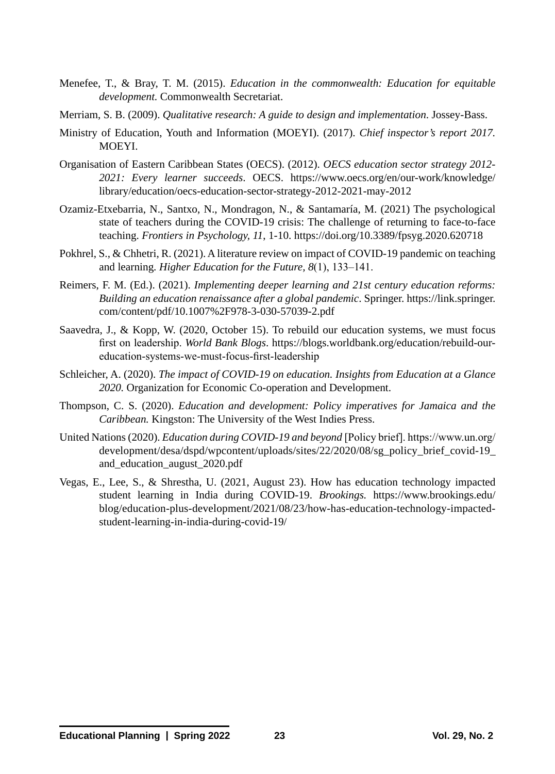- Menefee, T., & Bray, T. M. (2015). *Education in the commonwealth: Education for equitable development.* Commonwealth Secretariat.
- Merriam, S. B. (2009). *Qualitative research: A guide to design and implementation*. Jossey-Bass.
- Ministry of Education, Youth and Information (MOEYI). (2017). *Chief inspector's report 2017.*  MOEYI.
- Organisation of Eastern Caribbean States (OECS). (2012). *OECS education sector strategy 2012- 2021: Every learner succeeds*. OECS. https://www.oecs.org/en/our-work/knowledge/ library/education/oecs-education-sector-strategy-2012-2021-may-2012
- Ozamiz-Etxebarria, N., Santxo, N., Mondragon, N., & Santamaría, M. (2021) The psychological state of teachers during the COVID-19 crisis: The challenge of returning to face-to-face teaching. *Frontiers in Psychology, 11*, 1-10. https://doi.org/10.3389/fpsyg.2020.620718
- Pokhrel, S., & Chhetri, R. (2021). A literature review on impact of COVID-19 pandemic on teaching and learning*. Higher Education for the Future, 8*(1), 133–141.
- Reimers, F. M. (Ed.). (2021). *Implementing deeper learning and 21st century education reforms: Building an education renaissance after a global pandemic*. Springer. https://link.springer. com/content/pdf/10.1007%2F978-3-030-57039-2.pdf
- Saavedra, J., & Kopp, W. (2020, October 15). To rebuild our education systems, we must focus first on leadership. *World Bank Blogs*. https://blogs.worldbank.org/education/rebuild-oureducation-systems-we-must-focus-first-leadership
- Schleicher, A. (2020). *The impact of COVID-19 on education. Insights from Education at a Glance 2020.* Organization for Economic Co-operation and Development.
- Thompson, C. S. (2020). *Education and development: Policy imperatives for Jamaica and the Caribbean.* Kingston: The University of the West Indies Press.
- United Nations (2020). *Education during COVID-19 and beyond* [Policy brief]. https://www.un.org/ development/desa/dspd/wpcontent/uploads/sites/22/2020/08/sg\_policy\_brief\_covid-19\_ and\_education\_august\_2020.pdf
- Vegas, E., Lee, S., & Shrestha, U. (2021, August 23). How has education technology impacted student learning in India during COVID-19. *Brookings.* https://www.brookings.edu/ blog/education-plus-development/2021/08/23/how-has-education-technology-impactedstudent-learning-in-india-during-covid-19/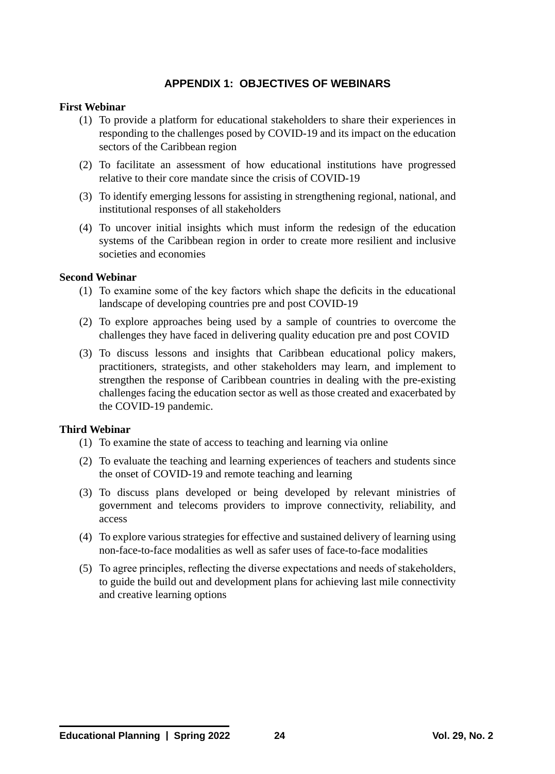# **APPENDIX 1: OBJECTIVES OF WEBINARS**

#### **First Webinar**

- (1) To provide a platform for educational stakeholders to share their experiences in responding to the challenges posed by COVID-19 and its impact on the education sectors of the Caribbean region
- (2) To facilitate an assessment of how educational institutions have progressed relative to their core mandate since the crisis of COVID-19
- (3) To identify emerging lessons for assisting in strengthening regional, national, and institutional responses of all stakeholders
- (4) To uncover initial insights which must inform the redesign of the education systems of the Caribbean region in order to create more resilient and inclusive societies and economies

#### **Second Webinar**

- (1) To examine some of the key factors which shape the deficits in the educational landscape of developing countries pre and post COVID-19
- (2) To explore approaches being used by a sample of countries to overcome the challenges they have faced in delivering quality education pre and post COVID
- (3) To discuss lessons and insights that Caribbean educational policy makers, practitioners, strategists, and other stakeholders may learn, and implement to strengthen the response of Caribbean countries in dealing with the pre-existing challenges facing the education sector as well as those created and exacerbated by the COVID-19 pandemic.

#### **Third Webinar**

- (1) To examine the state of access to teaching and learning via online
- (2) To evaluate the teaching and learning experiences of teachers and students since the onset of COVID-19 and remote teaching and learning
- (3) To discuss plans developed or being developed by relevant ministries of government and telecoms providers to improve connectivity, reliability, and access
- (4) To explore various strategies for effective and sustained delivery of learning using non-face-to-face modalities as well as safer uses of face-to-face modalities
- (5) To agree principles, reflecting the diverse expectations and needs of stakeholders, to guide the build out and development plans for achieving last mile connectivity and creative learning options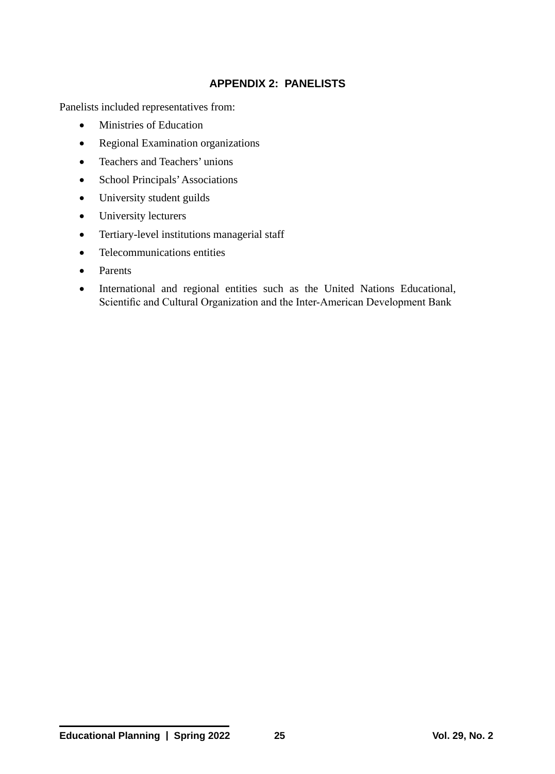# **APPENDIX 2: PANELISTS**

Panelists included representatives from:

- Ministries of Education
- • Regional Examination organizations
- Teachers and Teachers' unions
- School Principals' Associations
- • University student guilds
- University lecturers
- • Tertiary-level institutions managerial staff
- Telecommunications entities
- **Parents**
- • International and regional entities such as the United Nations Educational, Scientific and Cultural Organization and the Inter-American Development Bank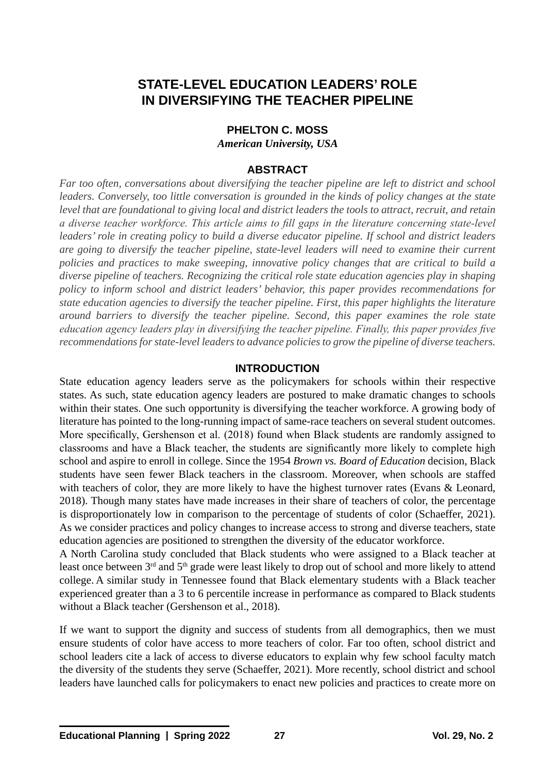# **STATE-LEVEL EDUCATION LEADERS' ROLE IN DIVERSIFYING THE TEACHER PIPELINE**

# **PHELTON C. MOSS**

*American University, USA*

# **ABSTRACT**

*Far too often, conversations about diversifying the teacher pipeline are left to district and school leaders. Conversely, too little conversation is grounded in the kinds of policy changes at the state level that are foundational to giving local and district leaders the tools to attract, recruit, and retain a diverse teacher workforce. This article aims to fill gaps in the literature concerning state-level leaders' role in creating policy to build a diverse educator pipeline. If school and district leaders are going to diversify the teacher pipeline, state-level leaders will need to examine their current policies and practices to make sweeping, innovative policy changes that are critical to build a diverse pipeline of teachers. Recognizing the critical role state education agencies play in shaping policy to inform school and district leaders' behavior, this paper provides recommendations for state education agencies to diversify the teacher pipeline. First, this paper highlights the literature around barriers to diversify the teacher pipeline. Second, this paper examines the role state education agency leaders play in diversifying the teacher pipeline. Finally, this paper provides five recommendations for state-level leaders to advance policies to grow the pipeline of diverse teachers.*

#### **INTRODUCTION**

State education agency leaders serve as the policymakers for schools within their respective states. As such, state education agency leaders are postured to make dramatic changes to schools within their states. One such opportunity is diversifying the teacher workforce. A growing body of literature has pointed to the long-running impact of same-race teachers on several student outcomes. More specifically, Gershenson et al. (2018) found when Black students are randomly assigned to classrooms and have a Black teacher, the students are significantly more likely to complete high school and aspire to enroll in college. Since the 1954 *Brown vs. Board of Education* decision, Black students have seen fewer Black teachers in the classroom. Moreover, when schools are staffed with teachers of color, they are more likely to have the highest turnover rates (Evans & Leonard, 2018). Though many states have made increases in their share of teachers of color, the percentage is disproportionately low in comparison to the percentage of students of color (Schaeffer, 2021). As we consider practices and policy changes to increase access to strong and diverse teachers, state education agencies are positioned to strengthen the diversity of the educator workforce.

A North Carolina study concluded that Black students who were assigned to a Black teacher at least once between  $3<sup>rd</sup>$  and  $5<sup>th</sup>$  grade were least likely to drop out of school and more likely to attend college. A similar study in Tennessee found that Black elementary students with a Black teacher experienced greater than a 3 to 6 percentile increase in performance as compared to Black students without a Black teacher (Gershenson et al., 2018).

If we want to support the dignity and success of students from all demographics, then we must ensure students of color have access to more teachers of color. Far too often, school district and school leaders cite a lack of access to diverse educators to explain why few school faculty match the diversity of the students they serve (Schaeffer, 2021). More recently, school district and school leaders have launched calls for policymakers to enact new policies and practices to create more on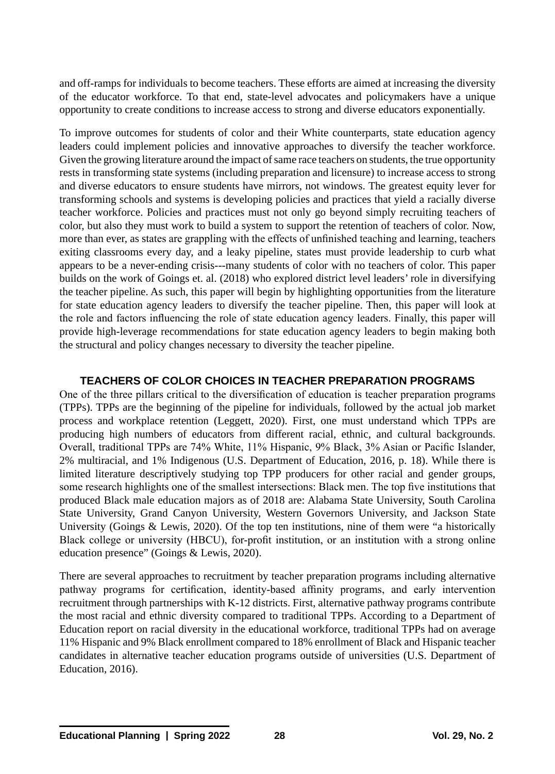and off-ramps for individuals to become teachers. These efforts are aimed at increasing the diversity of the educator workforce. To that end, state-level advocates and policymakers have a unique opportunity to create conditions to increase access to strong and diverse educators exponentially.

To improve outcomes for students of color and their White counterparts, state education agency leaders could implement policies and innovative approaches to diversify the teacher workforce. Given the growing literature around the impact of same race teachers on students, the true opportunity rests in transforming state systems (including preparation and licensure) to increase access to strong and diverse educators to ensure students have mirrors, not windows. The greatest equity lever for transforming schools and systems is developing policies and practices that yield a racially diverse teacher workforce. Policies and practices must not only go beyond simply recruiting teachers of color, but also they must work to build a system to support the retention of teachers of color. Now, more than ever, as states are grappling with the effects of unfinished teaching and learning, teachers exiting classrooms every day, and a leaky pipeline, states must provide leadership to curb what appears to be a never-ending crisis---many students of color with no teachers of color. This paper builds on the work of Goings et. al. (2018) who explored district level leaders' role in diversifying the teacher pipeline. As such, this paper will begin by highlighting opportunities from the literature for state education agency leaders to diversify the teacher pipeline. Then, this paper will look at the role and factors influencing the role of state education agency leaders. Finally, this paper will provide high-leverage recommendations for state education agency leaders to begin making both the structural and policy changes necessary to diversity the teacher pipeline.

# **TEACHERS OF COLOR CHOICES IN TEACHER PREPARATION PROGRAMS**

One of the three pillars critical to the diversification of education is teacher preparation programs (TPPs). TPPs are the beginning of the pipeline for individuals, followed by the actual job market process and workplace retention (Leggett, 2020). First, one must understand which TPPs are producing high numbers of educators from different racial, ethnic, and cultural backgrounds. Overall, traditional TPPs are 74% White, 11% Hispanic, 9% Black, 3% Asian or Pacific Islander, 2% multiracial, and 1% Indigenous (U.S. Department of Education, 2016, p. 18). While there is limited literature descriptively studying top TPP producers for other racial and gender groups, some research highlights one of the smallest intersections: Black men. The top five institutions that produced Black male education majors as of 2018 are: Alabama State University, South Carolina State University, Grand Canyon University, Western Governors University, and Jackson State University (Goings & Lewis, 2020). Of the top ten institutions, nine of them were "a historically Black college or university (HBCU), for-profit institution, or an institution with a strong online education presence" (Goings & Lewis, 2020).

There are several approaches to recruitment by teacher preparation programs including alternative pathway programs for certification, identity-based affinity programs, and early intervention recruitment through partnerships with K-12 districts. First, alternative pathway programs contribute the most racial and ethnic diversity compared to traditional TPPs. According to a Department of Education report on racial diversity in the educational workforce, traditional TPPs had on average 11% Hispanic and 9% Black enrollment compared to 18% enrollment of Black and Hispanic teacher candidates in alternative teacher education programs outside of universities (U.S. Department of Education, 2016).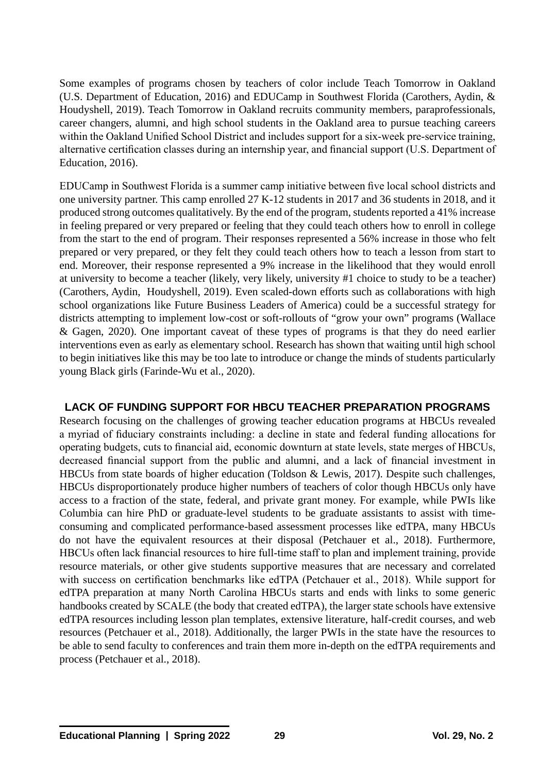Some examples of programs chosen by teachers of color include Teach Tomorrow in Oakland (U.S. Department of Education, 2016) and EDUCamp in Southwest Florida (Carothers, Aydin, & Houdyshell, 2019). Teach Tomorrow in Oakland recruits community members, paraprofessionals, career changers, alumni, and high school students in the Oakland area to pursue teaching careers within the Oakland Unified School District and includes support for a six-week pre-service training, alternative certification classes during an internship year, and financial support (U.S. Department of Education, 2016).

EDUCamp in Southwest Florida is a summer camp initiative between five local school districts and one university partner. This camp enrolled 27 K-12 students in 2017 and 36 students in 2018, and it produced strong outcomes qualitatively. By the end of the program, students reported a 41% increase in feeling prepared or very prepared or feeling that they could teach others how to enroll in college from the start to the end of program. Their responses represented a 56% increase in those who felt prepared or very prepared, or they felt they could teach others how to teach a lesson from start to end. Moreover, their response represented a 9% increase in the likelihood that they would enroll at university to become a teacher (likely, very likely, university #1 choice to study to be a teacher) (Carothers, Aydin, Houdyshell, 2019). Even scaled-down efforts such as collaborations with high school organizations like Future Business Leaders of America) could be a successful strategy for districts attempting to implement low-cost or soft-rollouts of "grow your own" programs (Wallace & Gagen, 2020). One important caveat of these types of programs is that they do need earlier interventions even as early as elementary school. Research has shown that waiting until high school to begin initiatives like this may be too late to introduce or change the minds of students particularly young Black girls (Farinde-Wu et al., 2020).

# **LACK OF FUNDING SUPPORT FOR HBCU TEACHER PREPARATION PROGRAMS**

Research focusing on the challenges of growing teacher education programs at HBCUs revealed a myriad of fiduciary constraints including: a decline in state and federal funding allocations for operating budgets, cuts to financial aid, economic downturn at state levels, state merges of HBCUs, decreased financial support from the public and alumni, and a lack of financial investment in HBCUs from state boards of higher education (Toldson & Lewis, 2017). Despite such challenges, HBCUs disproportionately produce higher numbers of teachers of color though HBCUs only have access to a fraction of the state, federal, and private grant money. For example, while PWIs like Columbia can hire PhD or graduate-level students to be graduate assistants to assist with timeconsuming and complicated performance-based assessment processes like edTPA, many HBCUs do not have the equivalent resources at their disposal (Petchauer et al., 2018). Furthermore, HBCUs often lack financial resources to hire full-time staff to plan and implement training, provide resource materials, or other give students supportive measures that are necessary and correlated with success on certification benchmarks like edTPA (Petchauer et al., 2018). While support for edTPA preparation at many North Carolina HBCUs starts and ends with links to some generic handbooks created by SCALE (the body that created edTPA), the larger state schools have extensive edTPA resources including lesson plan templates, extensive literature, half-credit courses, and web resources (Petchauer et al., 2018). Additionally, the larger PWIs in the state have the resources to be able to send faculty to conferences and train them more in-depth on the edTPA requirements and process (Petchauer et al., 2018).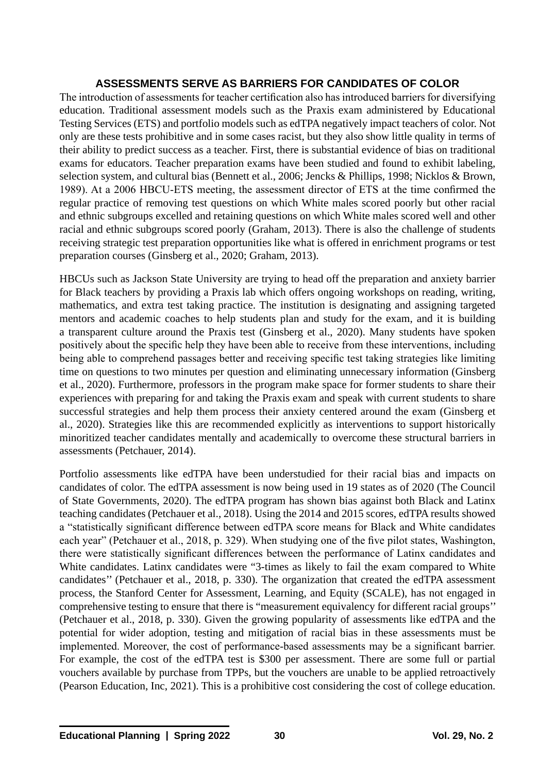# **ASSESSMENTS SERVE AS BARRIERS FOR CANDIDATES OF COLOR**

The introduction of assessments for teacher certification also has introduced barriers for diversifying education. Traditional assessment models such as the Praxis exam administered by Educational Testing Services (ETS) and portfolio models such as edTPA negatively impact teachers of color. Not only are these tests prohibitive and in some cases racist, but they also show little quality in terms of their ability to predict success as a teacher. First, there is substantial evidence of bias on traditional exams for educators. Teacher preparation exams have been studied and found to exhibit labeling, selection system, and cultural bias (Bennett et al., 2006; Jencks & Phillips, 1998; Nicklos & Brown, 1989). At a 2006 HBCU-ETS meeting, the assessment director of ETS at the time confirmed the regular practice of removing test questions on which White males scored poorly but other racial and ethnic subgroups excelled and retaining questions on which White males scored well and other racial and ethnic subgroups scored poorly (Graham, 2013). There is also the challenge of students receiving strategic test preparation opportunities like what is offered in enrichment programs or test preparation courses (Ginsberg et al., 2020; Graham, 2013).

HBCUs such as Jackson State University are trying to head off the preparation and anxiety barrier for Black teachers by providing a Praxis lab which offers ongoing workshops on reading, writing, mathematics, and extra test taking practice. The institution is designating and assigning targeted mentors and academic coaches to help students plan and study for the exam, and it is building a transparent culture around the Praxis test (Ginsberg et al., 2020). Many students have spoken positively about the specific help they have been able to receive from these interventions, including being able to comprehend passages better and receiving specific test taking strategies like limiting time on questions to two minutes per question and eliminating unnecessary information (Ginsberg et al., 2020). Furthermore, professors in the program make space for former students to share their experiences with preparing for and taking the Praxis exam and speak with current students to share successful strategies and help them process their anxiety centered around the exam (Ginsberg et al., 2020). Strategies like this are recommended explicitly as interventions to support historically minoritized teacher candidates mentally and academically to overcome these structural barriers in assessments (Petchauer, 2014).

Portfolio assessments like edTPA have been understudied for their racial bias and impacts on candidates of color. The edTPA assessment is now being used in 19 states as of 2020 (The Council of State Governments, 2020). The edTPA program has shown bias against both Black and Latinx teaching candidates (Petchauer et al., 2018). Using the 2014 and 2015 scores, edTPA results showed a "statistically significant difference between edTPA score means for Black and White candidates each year" (Petchauer et al., 2018, p. 329). When studying one of the five pilot states, Washington, there were statistically significant differences between the performance of Latinx candidates and White candidates. Latinx candidates were "3-times as likely to fail the exam compared to White candidates'' (Petchauer et al., 2018, p. 330). The organization that created the edTPA assessment process, the Stanford Center for Assessment, Learning, and Equity (SCALE), has not engaged in comprehensive testing to ensure that there is "measurement equivalency for different racial groups'' (Petchauer et al., 2018, p. 330). Given the growing popularity of assessments like edTPA and the potential for wider adoption, testing and mitigation of racial bias in these assessments must be implemented. Moreover, the cost of performance-based assessments may be a significant barrier. For example, the cost of the edTPA test is \$300 per assessment. There are some full or partial vouchers available by purchase from TPPs, but the vouchers are unable to be applied retroactively (Pearson Education, Inc, 2021). This is a prohibitive cost considering the cost of college education.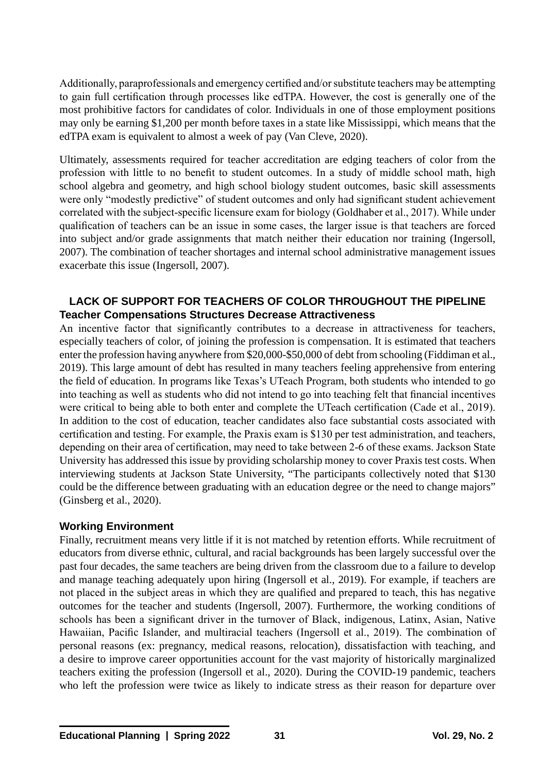Additionally, paraprofessionals and emergency certified and/or substitute teachers may be attempting to gain full certification through processes like edTPA. However, the cost is generally one of the most prohibitive factors for candidates of color. Individuals in one of those employment positions may only be earning \$1,200 per month before taxes in a state like Mississippi, which means that the edTPA exam is equivalent to almost a week of pay (Van Cleve, 2020).

Ultimately, assessments required for teacher accreditation are edging teachers of color from the profession with little to no benefit to student outcomes. In a study of middle school math, high school algebra and geometry, and high school biology student outcomes, basic skill assessments were only "modestly predictive" of student outcomes and only had significant student achievement correlated with the subject-specific licensure exam for biology (Goldhaber et al., 2017). While under qualification of teachers can be an issue in some cases, the larger issue is that teachers are forced into subject and/or grade assignments that match neither their education nor training (Ingersoll, 2007). The combination of teacher shortages and internal school administrative management issues exacerbate this issue (Ingersoll, 2007).

# **LACK OF SUPPORT FOR TEACHERS OF COLOR THROUGHOUT THE PIPELINE Teacher Compensations Structures Decrease Attractiveness**

An incentive factor that significantly contributes to a decrease in attractiveness for teachers, especially teachers of color, of joining the profession is compensation. It is estimated that teachers enter the profession having anywhere from \$20,000-\$50,000 of debt from schooling (Fiddiman et al., 2019). This large amount of debt has resulted in many teachers feeling apprehensive from entering the field of education. In programs like Texas's UTeach Program, both students who intended to go into teaching as well as students who did not intend to go into teaching felt that financial incentives were critical to being able to both enter and complete the UTeach certification (Cade et al., 2019). In addition to the cost of education, teacher candidates also face substantial costs associated with certification and testing. For example, the Praxis exam is \$130 per test administration, and teachers, depending on their area of certification, may need to take between 2-6 of these exams. Jackson State University has addressed this issue by providing scholarship money to cover Praxis test costs. When interviewing students at Jackson State University, "The participants collectively noted that \$130 could be the difference between graduating with an education degree or the need to change majors" (Ginsberg et al., 2020).

# **Working Environment**

Finally, recruitment means very little if it is not matched by retention efforts. While recruitment of educators from diverse ethnic, cultural, and racial backgrounds has been largely successful over the past four decades, the same teachers are being driven from the classroom due to a failure to develop and manage teaching adequately upon hiring (Ingersoll et al., 2019). For example, if teachers are not placed in the subject areas in which they are qualified and prepared to teach, this has negative outcomes for the teacher and students (Ingersoll, 2007). Furthermore, the working conditions of schools has been a significant driver in the turnover of Black, indigenous, Latinx, Asian, Native Hawaiian, Pacific Islander, and multiracial teachers (Ingersoll et al., 2019). The combination of personal reasons (ex: pregnancy, medical reasons, relocation), dissatisfaction with teaching, and a desire to improve career opportunities account for the vast majority of historically marginalized teachers exiting the profession (Ingersoll et al., 2020). During the COVID-19 pandemic, teachers who left the profession were twice as likely to indicate stress as their reason for departure over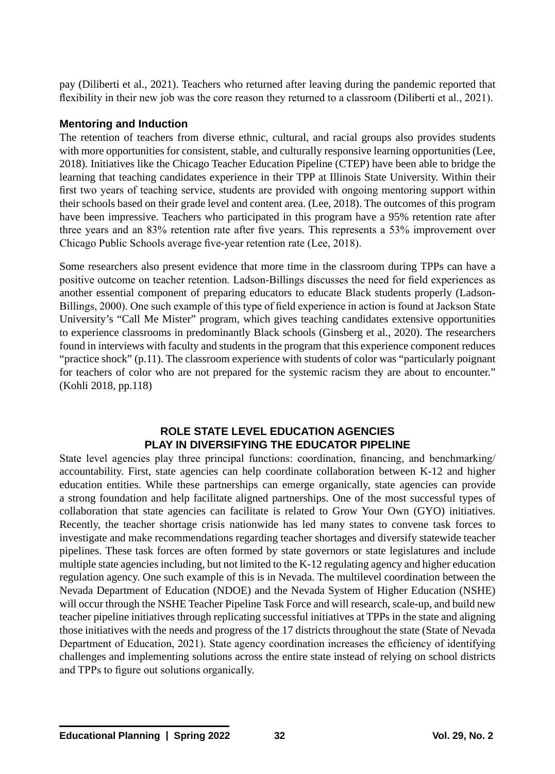pay (Diliberti et al., 2021). Teachers who returned after leaving during the pandemic reported that flexibility in their new job was the core reason they returned to a classroom (Diliberti et al., 2021).

# **Mentoring and Induction**

The retention of teachers from diverse ethnic, cultural, and racial groups also provides students with more opportunities for consistent, stable, and culturally responsive learning opportunities (Lee, 2018). Initiatives like the Chicago Teacher Education Pipeline (CTEP) have been able to bridge the learning that teaching candidates experience in their TPP at Illinois State University. Within their first two years of teaching service, students are provided with ongoing mentoring support within their schools based on their grade level and content area. (Lee, 2018). The outcomes of this program have been impressive. Teachers who participated in this program have a 95% retention rate after three years and an 83% retention rate after five years. This represents a 53% improvement over Chicago Public Schools average five-year retention rate (Lee, 2018).

Some researchers also present evidence that more time in the classroom during TPPs can have a positive outcome on teacher retention. Ladson-Billings discusses the need for field experiences as another essential component of preparing educators to educate Black students properly (Ladson-Billings, 2000). One such example of this type of field experience in action is found at Jackson State University's "Call Me Mister" program, which gives teaching candidates extensive opportunities to experience classrooms in predominantly Black schools (Ginsberg et al., 2020). The researchers found in interviews with faculty and students in the program that this experience component reduces "practice shock" (p.11). The classroom experience with students of color was "particularly poignant for teachers of color who are not prepared for the systemic racism they are about to encounter." (Kohli 2018, pp.118)

# **ROLE STATE LEVEL EDUCATION AGENCIES PLAY IN DIVERSIFYING THE EDUCATOR PIPELINE**

State level agencies play three principal functions: coordination, financing, and benchmarking/ accountability. First, state agencies can help coordinate collaboration between K-12 and higher education entities. While these partnerships can emerge organically, state agencies can provide a strong foundation and help facilitate aligned partnerships. One of the most successful types of collaboration that state agencies can facilitate is related to Grow Your Own (GYO) initiatives. Recently, the teacher shortage crisis nationwide has led many states to convene task forces to investigate and make recommendations regarding teacher shortages and diversify statewide teacher pipelines. These task forces are often formed by state governors or state legislatures and include multiple state agencies including, but not limited to the K-12 regulating agency and higher education regulation agency. One such example of this is in Nevada. The multilevel coordination between the Nevada Department of Education (NDOE) and the Nevada System of Higher Education (NSHE) will occur through the NSHE Teacher Pipeline Task Force and will research, scale-up, and build new teacher pipeline initiatives through replicating successful initiatives at TPPs in the state and aligning those initiatives with the needs and progress of the 17 districts throughout the state (State of Nevada Department of Education, 2021). State agency coordination increases the efficiency of identifying challenges and implementing solutions across the entire state instead of relying on school districts and TPPs to figure out solutions organically.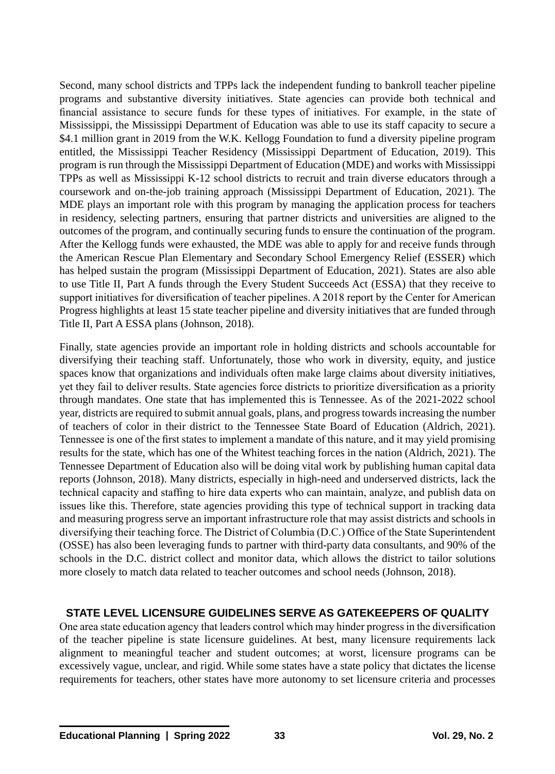Second, many school districts and TPPs lack the independent funding to bankroll teacher pipeline programs and substantive diversity initiatives. State agencies can provide both technical and financial assistance to secure funds for these types of initiatives. For example, in the state of Mississippi, the Mississippi Department of Education was able to use its staff capacity to secure a \$4.1 million grant in 2019 from the W.K. Kellogg Foundation to fund a diversity pipeline program entitled, the Mississippi Teacher Residency (Mississippi Department of Education, 2019). This program is run through the Mississippi Department of Education (MDE) and works with Mississippi TPPs as well as Mississippi K-12 school districts to recruit and train diverse educators through a coursework and on-the-job training approach (Mississippi Department of Education, 2021). The MDE plays an important role with this program by managing the application process for teachers in residency, selecting partners, ensuring that partner districts and universities are aligned to the outcomes of the program, and continually securing funds to ensure the continuation of the program. After the Kellogg funds were exhausted, the MDE was able to apply for and receive funds through the American Rescue Plan Elementary and Secondary School Emergency Relief (ESSER) which has helped sustain the program (Mississippi Department of Education, 2021). States are also able to use Title II, Part A funds through the Every Student Succeeds Act (ESSA) that they receive to support initiatives for diversification of teacher pipelines. A 2018 report by the Center for American Progress highlights at least 15 state teacher pipeline and diversity initiatives that are funded through Title II, Part A ESSA plans (Johnson, 2018).

Finally, state agencies provide an important role in holding districts and schools accountable for diversifying their teaching staff. Unfortunately, those who work in diversity, equity, and justice spaces know that organizations and individuals often make large claims about diversity initiatives, yet they fail to deliver results. State agencies force districts to prioritize diversification as a priority through mandates. One state that has implemented this is Tennessee. As of the 2021-2022 school year, districts are required to submit annual goals, plans, and progress towards increasing the number of teachers of color in their district to the Tennessee State Board of Education (Aldrich, 2021). Tennessee is one of the first states to implement a mandate of this nature, and it may yield promising results for the state, which has one of the Whitest teaching forces in the nation (Aldrich, 2021). The Tennessee Department of Education also will be doing vital work by publishing human capital data reports (Johnson, 2018). Many districts, especially in high-need and underserved districts, lack the technical capacity and staffing to hire data experts who can maintain, analyze, and publish data on issues like this. Therefore, state agencies providing this type of technical support in tracking data and measuring progress serve an important infrastructure role that may assist districts and schools in diversifying their teaching force. The District of Columbia (D.C.) Office of the State Superintendent (OSSE) has also been leveraging funds to partner with third-party data consultants, and 90% of the schools in the D.C. district collect and monitor data, which allows the district to tailor solutions more closely to match data related to teacher outcomes and school needs (Johnson, 2018).

#### **STATE LEVEL LICENSURE GUIDELINES SERVE AS GATEKEEPERS OF QUALITY**

One area state education agency that leaders control which may hinder progress in the diversification of the teacher pipeline is state licensure guidelines. At best, many licensure requirements lack alignment to meaningful teacher and student outcomes; at worst, licensure programs can be excessively vague, unclear, and rigid. While some states have a state policy that dictates the license requirements for teachers, other states have more autonomy to set licensure criteria and processes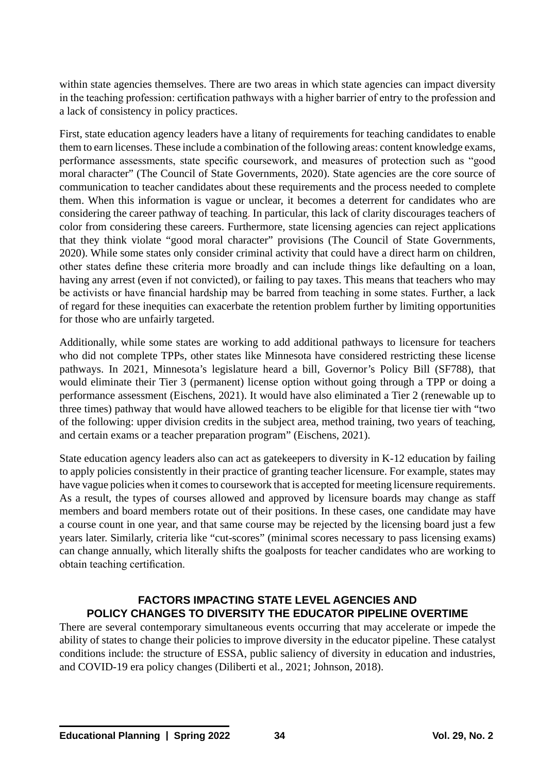within state agencies themselves. There are two areas in which state agencies can impact diversity in the teaching profession: certification pathways with a higher barrier of entry to the profession and a lack of consistency in policy practices.

First, state education agency leaders have a litany of requirements for teaching candidates to enable them to earn licenses. These include a combination of the following areas: content knowledge exams, performance assessments, state specific coursework, and measures of protection such as "good moral character" (The Council of State Governments, 2020). State agencies are the core source of communication to teacher candidates about these requirements and the process needed to complete them. When this information is vague or unclear, it becomes a deterrent for candidates who are considering the career pathway of teaching. In particular, this lack of clarity discourages teachers of color from considering these careers. Furthermore, state licensing agencies can reject applications that they think violate "good moral character" provisions (The Council of State Governments, 2020). While some states only consider criminal activity that could have a direct harm on children, other states define these criteria more broadly and can include things like defaulting on a loan, having any arrest (even if not convicted), or failing to pay taxes. This means that teachers who may be activists or have financial hardship may be barred from teaching in some states. Further, a lack of regard for these inequities can exacerbate the retention problem further by limiting opportunities for those who are unfairly targeted.

Additionally, while some states are working to add additional pathways to licensure for teachers who did not complete TPPs, other states like Minnesota have considered restricting these license pathways. In 2021, Minnesota's legislature heard a bill, Governor's Policy Bill (SF788), that would eliminate their Tier 3 (permanent) license option without going through a TPP or doing a performance assessment (Eischens, 2021). It would have also eliminated a Tier 2 (renewable up to three times) pathway that would have allowed teachers to be eligible for that license tier with "two of the following: upper division credits in the subject area, method training, two years of teaching, and certain exams or a teacher preparation program" (Eischens, 2021).

State education agency leaders also can act as gatekeepers to diversity in K-12 education by failing to apply policies consistently in their practice of granting teacher licensure. For example, states may have vague policies when it comes to coursework that is accepted for meeting licensure requirements. As a result, the types of courses allowed and approved by licensure boards may change as staff members and board members rotate out of their positions. In these cases, one candidate may have a course count in one year, and that same course may be rejected by the licensing board just a few years later. Similarly, criteria like "cut-scores" (minimal scores necessary to pass licensing exams) can change annually, which literally shifts the goalposts for teacher candidates who are working to obtain teaching certification.

# **FACTORS IMPACTING STATE LEVEL AGENCIES AND POLICY CHANGES TO DIVERSITY THE EDUCATOR PIPELINE OVERTIME**

There are several contemporary simultaneous events occurring that may accelerate or impede the ability of states to change their policies to improve diversity in the educator pipeline. These catalyst conditions include: the structure of ESSA, public saliency of diversity in education and industries, and COVID-19 era policy changes (Diliberti et al., 2021; Johnson, 2018).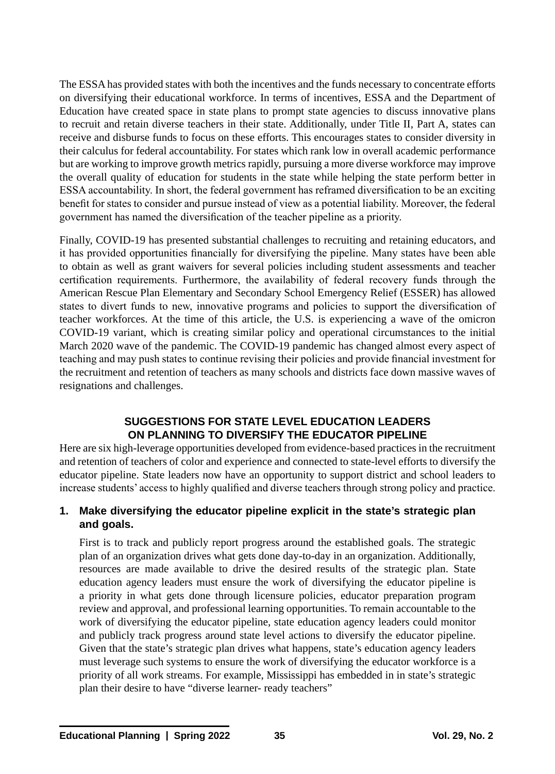The ESSA has provided states with both the incentives and the funds necessary to concentrate efforts on diversifying their educational workforce. In terms of incentives, ESSA and the Department of Education have created space in state plans to prompt state agencies to discuss innovative plans to recruit and retain diverse teachers in their state. Additionally, under Title II, Part A, states can receive and disburse funds to focus on these efforts. This encourages states to consider diversity in their calculus for federal accountability. For states which rank low in overall academic performance but are working to improve growth metrics rapidly, pursuing a more diverse workforce may improve the overall quality of education for students in the state while helping the state perform better in ESSA accountability. In short, the federal government has reframed diversification to be an exciting benefit for states to consider and pursue instead of view as a potential liability. Moreover, the federal government has named the diversification of the teacher pipeline as a priority.

Finally, COVID-19 has presented substantial challenges to recruiting and retaining educators, and it has provided opportunities financially for diversifying the pipeline. Many states have been able to obtain as well as grant waivers for several policies including student assessments and teacher certification requirements. Furthermore, the availability of federal recovery funds through the American Rescue Plan Elementary and Secondary School Emergency Relief (ESSER) has allowed states to divert funds to new, innovative programs and policies to support the diversification of teacher workforces. At the time of this article, the U.S. is experiencing a wave of the omicron COVID-19 variant, which is creating similar policy and operational circumstances to the initial March 2020 wave of the pandemic. The COVID-19 pandemic has changed almost every aspect of teaching and may push states to continue revising their policies and provide financial investment for the recruitment and retention of teachers as many schools and districts face down massive waves of resignations and challenges.

# **SUGGESTIONS FOR STATE LEVEL EDUCATION LEADERS ON PLANNING TO DIVERSIFY THE EDUCATOR PIPELINE**

Here are six high-leverage opportunities developed from evidence-based practices in the recruitment and retention of teachers of color and experience and connected to state-level efforts to diversify the educator pipeline. State leaders now have an opportunity to support district and school leaders to increase students' access to highly qualified and diverse teachers through strong policy and practice.

# **1. Make diversifying the educator pipeline explicit in the state's strategic plan and goals.**

First is to track and publicly report progress around the established goals. The strategic plan of an organization drives what gets done day-to-day in an organization. Additionally, resources are made available to drive the desired results of the strategic plan. State education agency leaders must ensure the work of diversifying the educator pipeline is a priority in what gets done through licensure policies, educator preparation program review and approval, and professional learning opportunities. To remain accountable to the work of diversifying the educator pipeline, state education agency leaders could monitor and publicly track progress around state level actions to diversify the educator pipeline. Given that the state's strategic plan drives what happens, state's education agency leaders must leverage such systems to ensure the work of diversifying the educator workforce is a priority of all work streams. For example, Mississippi has embedded in in state's strategic plan their desire to have "diverse learner- ready teachers"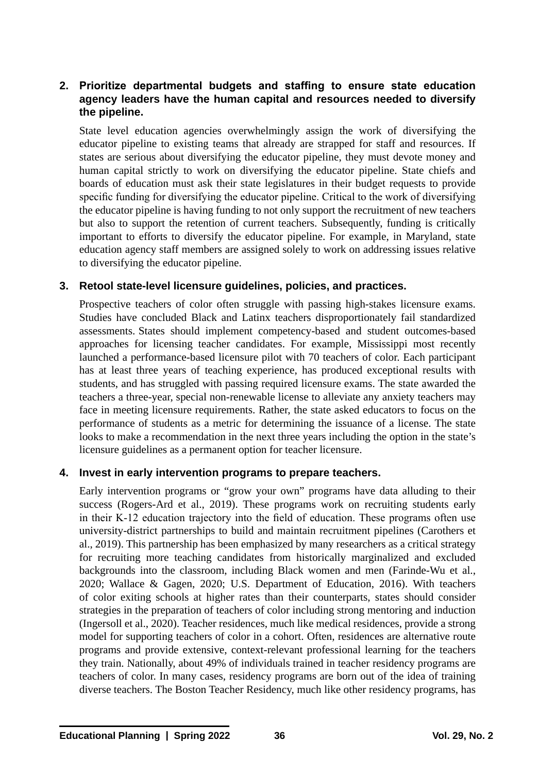# **2. Prioritize departmental budgets and staffing to ensure state education agency leaders have the human capital and resources needed to diversify the pipeline.**

State level education agencies overwhelmingly assign the work of diversifying the educator pipeline to existing teams that already are strapped for staff and resources. If states are serious about diversifying the educator pipeline, they must devote money and human capital strictly to work on diversifying the educator pipeline. State chiefs and boards of education must ask their state legislatures in their budget requests to provide specific funding for diversifying the educator pipeline. Critical to the work of diversifying the educator pipeline is having funding to not only support the recruitment of new teachers but also to support the retention of current teachers. Subsequently, funding is critically important to efforts to diversify the educator pipeline. For example, in Maryland, state education agency staff members are assigned solely to work on addressing issues relative to diversifying the educator pipeline.

# **3. Retool state-level licensure guidelines, policies, and practices.**

Prospective teachers of color often struggle with passing high-stakes licensure exams. Studies have concluded Black and Latinx teachers disproportionately fail standardized assessments. States should implement competency-based and student outcomes-based approaches for licensing teacher candidates. For example, Mississippi most recently launched a performance-based licensure pilot with 70 teachers of color. Each participant has at least three years of teaching experience, has produced exceptional results with students, and has struggled with passing required licensure exams. The state awarded the teachers a three-year, special non-renewable license to alleviate any anxiety teachers may face in meeting licensure requirements. Rather, the state asked educators to focus on the performance of students as a metric for determining the issuance of a license. The state looks to make a recommendation in the next three years including the option in the state's licensure guidelines as a permanent option for teacher licensure.

# **4. Invest in early intervention programs to prepare teachers.**

Early intervention programs or "grow your own" programs have data alluding to their success (Rogers-Ard et al., 2019). These programs work on recruiting students early in their K-12 education trajectory into the field of education. These programs often use university-district partnerships to build and maintain recruitment pipelines (Carothers et al., 2019). This partnership has been emphasized by many researchers as a critical strategy for recruiting more teaching candidates from historically marginalized and excluded backgrounds into the classroom, including Black women and men (Farinde-Wu et al., 2020; Wallace & Gagen, 2020; U.S. Department of Education, 2016). With teachers of color exiting schools at higher rates than their counterparts, states should consider strategies in the preparation of teachers of color including strong mentoring and induction (Ingersoll et al., 2020). Teacher residences, much like medical residences, provide a strong model for supporting teachers of color in a cohort. Often, residences are alternative route programs and provide extensive, context-relevant professional learning for the teachers they train. Nationally, about 49% of individuals trained in teacher residency programs are teachers of color. In many cases, residency programs are born out of the idea of training diverse teachers. The Boston Teacher Residency, much like other residency programs, has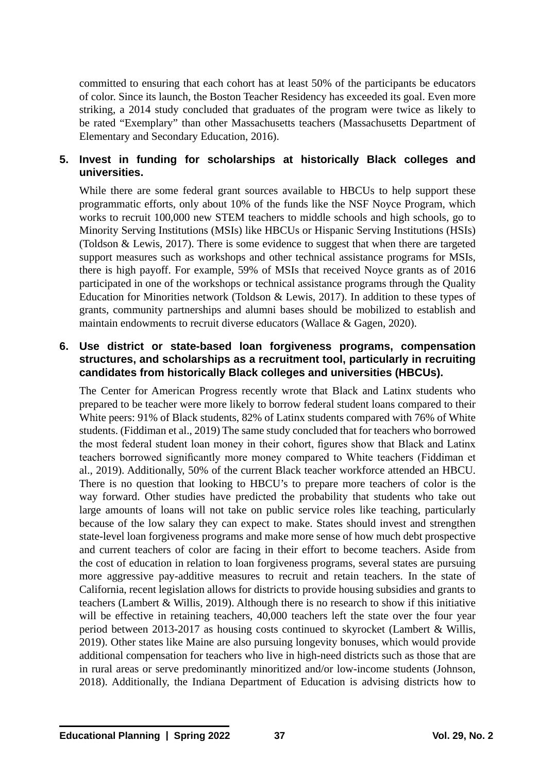committed to ensuring that each cohort has at least 50% of the participants be educators of color. Since its launch, the Boston Teacher Residency has exceeded its goal. Even more striking, a 2014 study concluded that graduates of the program were twice as likely to be rated "Exemplary" than other Massachusetts teachers (Massachusetts Department of Elementary and Secondary Education, 2016).

# **5. Invest in funding for scholarships at historically Black colleges and universities.**

While there are some federal grant sources available to HBCUs to help support these programmatic efforts, only about 10% of the funds like the NSF Noyce Program, which works to recruit 100,000 new STEM teachers to middle schools and high schools, go to Minority Serving Institutions (MSIs) like HBCUs or Hispanic Serving Institutions (HSIs) (Toldson & Lewis, 2017). There is some evidence to suggest that when there are targeted support measures such as workshops and other technical assistance programs for MSIs, there is high payoff. For example, 59% of MSIs that received Noyce grants as of 2016 participated in one of the workshops or technical assistance programs through the Quality Education for Minorities network (Toldson & Lewis, 2017). In addition to these types of grants, community partnerships and alumni bases should be mobilized to establish and maintain endowments to recruit diverse educators (Wallace & Gagen, 2020).

# **6. Use district or state-based loan forgiveness programs, compensation structures, and scholarships as a recruitment tool, particularly in recruiting candidates from historically Black colleges and universities (HBCUs).**

The Center for American Progress recently wrote that Black and Latinx students who prepared to be teacher were more likely to borrow federal student loans compared to their White peers: 91% of Black students, 82% of Latinx students compared with 76% of White students. (Fiddiman et al., 2019) The same study concluded that for teachers who borrowed the most federal student loan money in their cohort, figures show that Black and Latinx teachers borrowed significantly more money compared to White teachers (Fiddiman et al., 2019). Additionally, 50% of the current Black teacher workforce attended an HBCU. There is no question that looking to HBCU's to prepare more teachers of color is the way forward. Other studies have predicted the probability that students who take out large amounts of loans will not take on public service roles like teaching, particularly because of the low salary they can expect to make. States should invest and strengthen state-level loan forgiveness programs and make more sense of how much debt prospective and current teachers of color are facing in their effort to become teachers. Aside from the cost of education in relation to loan forgiveness programs, several states are pursuing more aggressive pay-additive measures to recruit and retain teachers. In the state of California, recent legislation allows for districts to provide housing subsidies and grants to teachers (Lambert & Willis, 2019). Although there is no research to show if this initiative will be effective in retaining teachers, 40,000 teachers left the state over the four year period between 2013-2017 as housing costs continued to skyrocket (Lambert & Willis, 2019). Other states like Maine are also pursuing longevity bonuses, which would provide additional compensation for teachers who live in high-need districts such as those that are in rural areas or serve predominantly minoritized and/or low-income students (Johnson, 2018). Additionally, the Indiana Department of Education is advising districts how to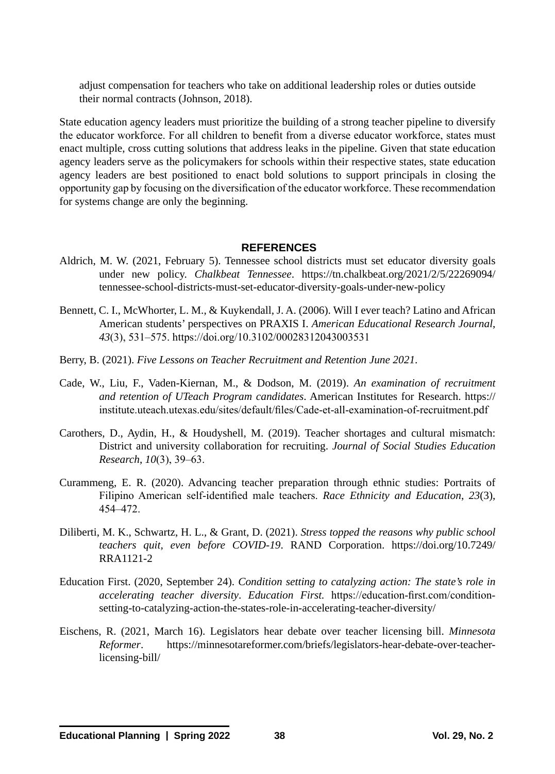adjust compensation for teachers who take on additional leadership roles or duties outside their normal contracts (Johnson, 2018).

State education agency leaders must prioritize the building of a strong teacher pipeline to diversify the educator workforce. For all children to benefit from a diverse educator workforce, states must enact multiple, cross cutting solutions that address leaks in the pipeline. Given that state education agency leaders serve as the policymakers for schools within their respective states, state education agency leaders are best positioned to enact bold solutions to support principals in closing the opportunity gap by focusing on the diversification of the educator workforce. These recommendation for systems change are only the beginning.

# **REFERENCES**

- Aldrich, M. W. (2021, February 5). Tennessee school districts must set educator diversity goals under new policy. *Chalkbeat Tennessee*. https://tn.chalkbeat.org/2021/2/5/22269094/ tennessee-school-districts-must-set-educator-diversity-goals-under-new-policy
- Bennett, C. I., McWhorter, L. M., & Kuykendall, J. A. (2006). Will I ever teach? Latino and African American students' perspectives on PRAXIS I. *American Educational Research Journal*, *43*(3), 531–575. https://doi.org/10.3102/00028312043003531
- Berry, B. (2021). *Five Lessons on Teacher Recruitment and Retention June 2021*.
- Cade, W., Liu, F., Vaden-Kiernan, M., & Dodson, M. (2019). *An examination of recruitment and retention of UTeach Program candidates*. American Institutes for Research. https:// institute.uteach.utexas.edu/sites/default/files/Cade-et-all-examination-of-recruitment.pdf
- Carothers, D., Aydin, H., & Houdyshell, M. (2019). Teacher shortages and cultural mismatch: District and university collaboration for recruiting. *Journal of Social Studies Education Research*, *10*(3), 39–63.
- Curammeng, E. R. (2020). Advancing teacher preparation through ethnic studies: Portraits of Filipino American self-identified male teachers. *Race Ethnicity and Education*, *23*(3), 454–472.
- Diliberti, M. K., Schwartz, H. L., & Grant, D. (2021). *Stress topped the reasons why public school teachers quit, even before COVID-19*. RAND Corporation. https://doi.org/10.7249/ RRA1121-2
- Education First. (2020, September 24). *Condition setting to catalyzing action: The state's role in accelerating teacher diversity*. *Education First.* https://education-first.com/conditionsetting-to-catalyzing-action-the-states-role-in-accelerating-teacher-diversity/
- Eischens, R. (2021, March 16). Legislators hear debate over teacher licensing bill. *Minnesota Reformer*. https://minnesotareformer.com/briefs/legislators-hear-debate-over-teacherlicensing-bill/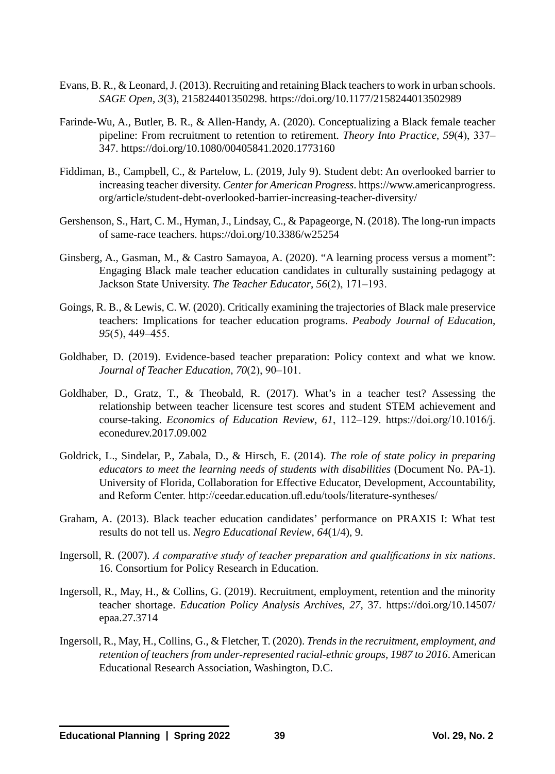- Evans, B. R., & Leonard, J. (2013). Recruiting and retaining Black teachers to work in urban schools. *SAGE Open*, *3*(3), 215824401350298. https://doi.org/10.1177/2158244013502989
- Farinde-Wu, A., Butler, B. R., & Allen-Handy, A. (2020). Conceptualizing a Black female teacher pipeline: From recruitment to retention to retirement. *Theory Into Practice*, *59*(4), 337– 347. https://doi.org/10.1080/00405841.2020.1773160
- Fiddiman, B., Campbell, C., & Partelow, L. (2019, July 9). Student debt: An overlooked barrier to increasing teacher diversity. *Center for American Progress*. https://www.americanprogress. org/article/student-debt-overlooked-barrier-increasing-teacher-diversity/
- Gershenson, S., Hart, C. M., Hyman, J., Lindsay, C., & Papageorge, N. (2018). The long-run impacts of same-race teachers. https://doi.org/10.3386/w25254
- Ginsberg, A., Gasman, M., & Castro Samayoa, A. (2020). "A learning process versus a moment": Engaging Black male teacher education candidates in culturally sustaining pedagogy at Jackson State University. *The Teacher Educator*, *56*(2), 171–193.
- Goings, R. B., & Lewis, C. W. (2020). Critically examining the trajectories of Black male preservice teachers: Implications for teacher education programs. *Peabody Journal of Education*, *95*(5), 449–455.
- Goldhaber, D. (2019). Evidence-based teacher preparation: Policy context and what we know. *Journal of Teacher Education*, *70*(2), 90–101.
- Goldhaber, D., Gratz, T., & Theobald, R. (2017). What's in a teacher test? Assessing the relationship between teacher licensure test scores and student STEM achievement and course-taking. *Economics of Education Review*, *61*, 112–129. https://doi.org/10.1016/j. econedurev.2017.09.002
- Goldrick, L., Sindelar, P., Zabala, D., & Hirsch, E. (2014). *The role of state policy in preparing educators to meet the learning needs of students with disabilities* (Document No. PA-1). University of Florida, Collaboration for Effective Educator, Development, Accountability, and Reform Center. http://ceedar.education.ufl.edu/tools/literature-syntheses/
- Graham, A. (2013). Black teacher education candidates' performance on PRAXIS I: What test results do not tell us. *Negro Educational Review*, *64*(1/4), 9.
- Ingersoll, R. (2007). *A comparative study of teacher preparation and qualifications in six nations*. 16. Consortium for Policy Research in Education.
- Ingersoll, R., May, H., & Collins, G. (2019). Recruitment, employment, retention and the minority teacher shortage. *Education Policy Analysis Archives*, *27*, 37. https://doi.org/10.14507/ epaa.27.3714
- Ingersoll, R., May, H., Collins, G., & Fletcher, T. (2020). *Trends in the recruitment, employment, and retention of teachers from under-represented racial-ethnic groups, 1987 to 2016*. American Educational Research Association, Washington, D.C.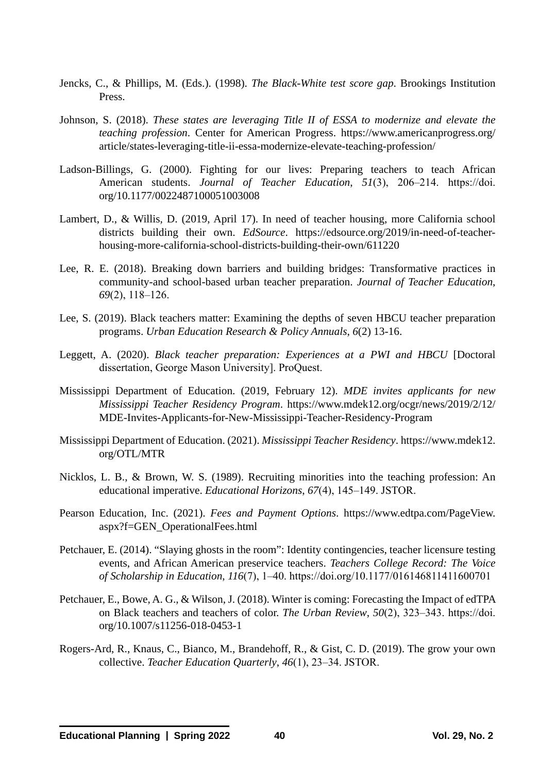- Jencks, C., & Phillips, M. (Eds.). (1998). *The Black-White test score gap*. Brookings Institution Press.
- Johnson, S. (2018). *These states are leveraging Title II of ESSA to modernize and elevate the teaching profession*. Center for American Progress. https://www.americanprogress.org/ article/states-leveraging-title-ii-essa-modernize-elevate-teaching-profession/
- Ladson-Billings, G. (2000). Fighting for our lives: Preparing teachers to teach African American students. *Journal of Teacher Education*, *51*(3), 206–214. https://doi. org/10.1177/0022487100051003008
- Lambert, D., & Willis, D. (2019, April 17). In need of teacher housing, more California school districts building their own. *EdSource*. https://edsource.org/2019/in-need-of-teacherhousing-more-california-school-districts-building-their-own/611220
- Lee, R. E. (2018). Breaking down barriers and building bridges: Transformative practices in community-and school-based urban teacher preparation. *Journal of Teacher Education*, *69*(2), 118–126.
- Lee, S. (2019). Black teachers matter: Examining the depths of seven HBCU teacher preparation programs. *Urban Education Research & Policy Annuals*, *6*(2) 13-16.
- Leggett, A. (2020). *Black teacher preparation: Experiences at a PWI and HBCU* [Doctoral dissertation, George Mason University]. ProQuest.
- Mississippi Department of Education. (2019, February 12). *MDE invites applicants for new Mississippi Teacher Residency Program*. https://www.mdek12.org/ocgr/news/2019/2/12/ MDE-Invites-Applicants-for-New-Mississippi-Teacher-Residency-Program
- Mississippi Department of Education. (2021). *Mississippi Teacher Residency*. https://www.mdek12. org/OTL/MTR
- Nicklos, L. B., & Brown, W. S. (1989). Recruiting minorities into the teaching profession: An educational imperative. *Educational Horizons*, *67*(4), 145–149. JSTOR.
- Pearson Education, Inc. (2021). *Fees and Payment Options*. https://www.edtpa.com/PageView. aspx?f=GEN\_OperationalFees.html
- Petchauer, E. (2014). "Slaying ghosts in the room": Identity contingencies, teacher licensure testing events, and African American preservice teachers. *Teachers College Record: The Voice of Scholarship in Education*, *116*(7), 1–40. https://doi.org/10.1177/016146811411600701
- Petchauer, E., Bowe, A. G., & Wilson, J. (2018). Winter is coming: Forecasting the Impact of edTPA on Black teachers and teachers of color. *The Urban Review*, *50*(2), 323–343. https://doi. org/10.1007/s11256-018-0453-1
- Rogers-Ard, R., Knaus, C., Bianco, M., Brandehoff, R., & Gist, C. D. (2019). The grow your own collective. *Teacher Education Quarterly*, *46*(1), 23–34. JSTOR.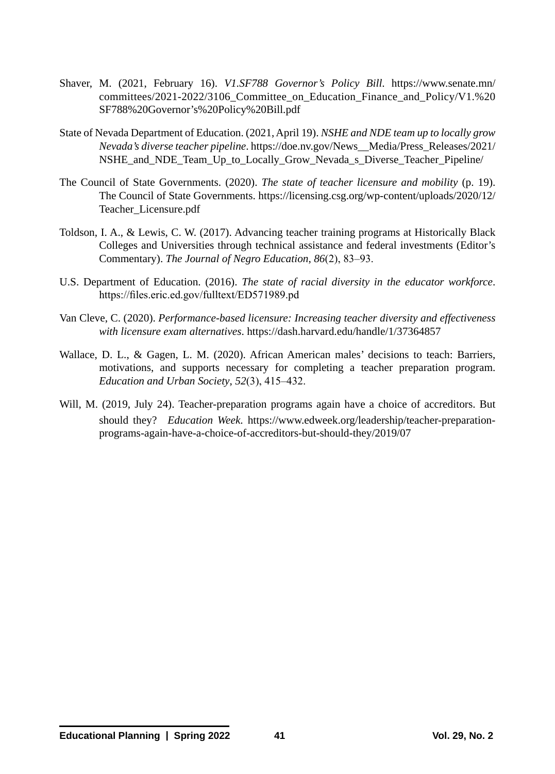- Shaver, M. (2021, February 16). *V1.SF788 Governor's Policy Bill*. https://www.senate.mn/ committees/2021-2022/3106\_Committee\_on\_Education\_Finance\_and\_Policy/V1.%20 SF788%20Governor's%20Policy%20Bill.pdf
- State of Nevada Department of Education. (2021, April 19). *NSHE and NDE team up to locally grow Nevada's diverse teacher pipeline*. https://doe.nv.gov/News\_\_Media/Press\_Releases/2021/ NSHE and NDE Team Up to Locally Grow Nevada s Diverse Teacher Pipeline/
- The Council of State Governments. (2020). *The state of teacher licensure and mobility* (p. 19). The Council of State Governments. https://licensing.csg.org/wp-content/uploads/2020/12/ Teacher\_Licensure.pdf
- Toldson, I. A., & Lewis, C. W. (2017). Advancing teacher training programs at Historically Black Colleges and Universities through technical assistance and federal investments (Editor's Commentary). *The Journal of Negro Education*, *86*(2), 83–93.
- U.S. Department of Education. (2016). *The state of racial diversity in the educator workforce*. https://files.eric.ed.gov/fulltext/ED571989.pd
- Van Cleve, C. (2020). *Performance-based licensure: Increasing teacher diversity and effectiveness with licensure exam alternatives*. https://dash.harvard.edu/handle/1/37364857
- Wallace, D. L., & Gagen, L. M. (2020). African American males' decisions to teach: Barriers, motivations, and supports necessary for completing a teacher preparation program. *Education and Urban Society*, *52*(3), 415–432.
- Will, M. (2019, July 24). Teacher-preparation programs again have a choice of accreditors. But should they? *Education Week*. https://www.edweek.org/leadership/teacher-preparationprograms-again-have-a-choice-of-accreditors-but-should-they/2019/07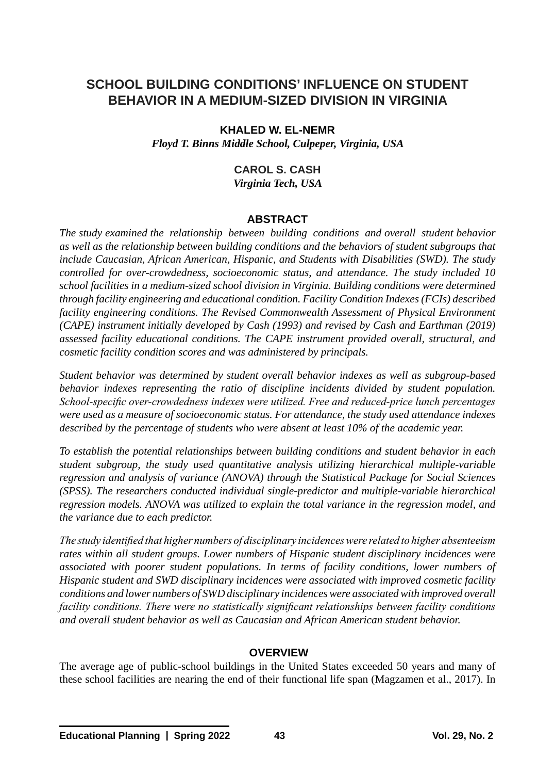# **SCHOOL BUILDING CONDITIONS' INFLUENCE ON STUDENT BEHAVIOR IN A MEDIUM-SIZED DIVISION IN VIRGINIA**

# **KHALED W. EL-NEMR**

*Floyd T. Binns Middle School, Culpeper, Virginia, USA*

# **CAROL S. CASH**

*Virginia Tech, USA*

# **ABSTRACT**

*The study examined the relationship between building conditions and overall student behavior as well as the relationship between building conditions and the behaviors of student subgroups that include Caucasian, African American, Hispanic, and Students with Disabilities (SWD). The study controlled for over-crowdedness, socioeconomic status, and attendance. The study included 10 school facilities in a medium-sized school division in Virginia. Building conditions were determined through facility engineering and educational condition. Facility Condition Indexes (FCIs) described facility engineering conditions. The Revised Commonwealth Assessment of Physical Environment (CAPE) instrument initially developed by Cash (1993) and revised by Cash and Earthman (2019) assessed facility educational conditions. The CAPE instrument provided overall, structural, and cosmetic facility condition scores and was administered by principals.* 

*Student behavior was determined by student overall behavior indexes as well as subgroup-based behavior indexes representing the ratio of discipline incidents divided by student population. School-specific over-crowdedness indexes were utilized. Free and reduced-price lunch percentages were used as a measure of socioeconomic status. For attendance, the study used attendance indexes described by the percentage of students who were absent at least 10% of the academic year.* 

*To establish the potential relationships between building conditions and student behavior in each student subgroup, the study used quantitative analysis utilizing hierarchical multiple-variable regression and analysis of variance (ANOVA) through the Statistical Package for Social Sciences (SPSS). The researchers conducted individual single-predictor and multiple-variable hierarchical regression models. ANOVA was utilized to explain the total variance in the regression model, and the variance due to each predictor.*

*The study identified that higher numbers of disciplinary incidences were related to higher absenteeism rates within all student groups. Lower numbers of Hispanic student disciplinary incidences were associated with poorer student populations. In terms of facility conditions, lower numbers of Hispanic student and SWD disciplinary incidences were associated with improved cosmetic facility conditions and lower numbers of SWD disciplinary incidences were associated with improved overall facility conditions. There were no statistically significant relationships between facility conditions and overall student behavior as well as Caucasian and African American student behavior.*

# **OVERVIEW**

The average age of public-school buildings in the United States exceeded 50 years and many of these school facilities are nearing the end of their functional life span (Magzamen et al., 2017). In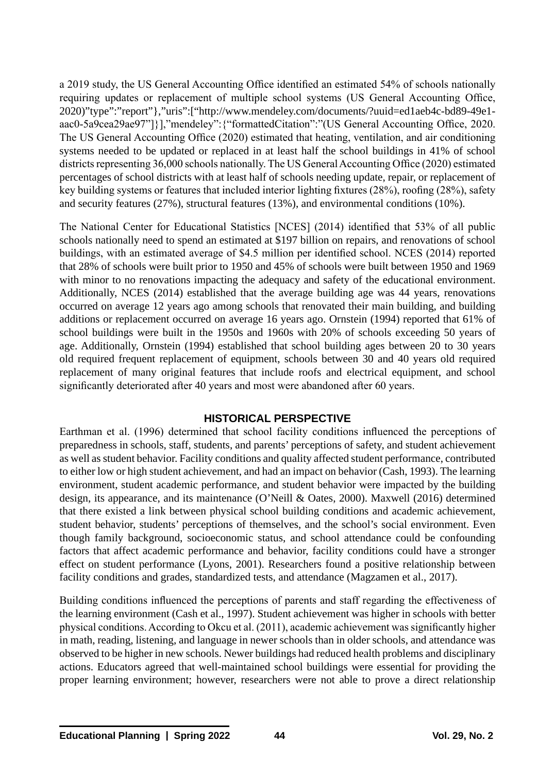a 2019 study, the US General Accounting Office identified an estimated 54% of schools nationally requiring updates or replacement of multiple school systems (US General Accounting Office, 2020)"type":"report"},"uris":["http://www.mendeley.com/documents/?uuid=ed1aeb4c-bd89-49e1 aac0-5a9cea29ae97"]}],"mendeley":{"formattedCitation":"(US General Accounting Office, 2020. The US General Accounting Office (2020) estimated that heating, ventilation, and air conditioning systems needed to be updated or replaced in at least half the school buildings in 41% of school districts representing 36,000 schools nationally. The US General Accounting Office (2020) estimated percentages of school districts with at least half of schools needing update, repair, or replacement of key building systems or features that included interior lighting fixtures (28%), roofing (28%), safety and security features (27%), structural features (13%), and environmental conditions (10%).

The National Center for Educational Statistics [NCES] (2014) identified that 53% of all public schools nationally need to spend an estimated at \$197 billion on repairs, and renovations of school buildings, with an estimated average of \$4.5 million per identified school. NCES (2014) reported that 28% of schools were built prior to 1950 and 45% of schools were built between 1950 and 1969 with minor to no renovations impacting the adequacy and safety of the educational environment. Additionally, NCES (2014) established that the average building age was 44 years, renovations occurred on average 12 years ago among schools that renovated their main building, and building additions or replacement occurred on average 16 years ago. Ornstein (1994) reported that 61% of school buildings were built in the 1950s and 1960s with 20% of schools exceeding 50 years of age. Additionally, Ornstein (1994) established that school building ages between 20 to 30 years old required frequent replacement of equipment, schools between 30 and 40 years old required replacement of many original features that include roofs and electrical equipment, and school significantly deteriorated after 40 years and most were abandoned after 60 years.

# **HISTORICAL PERSPECTIVE**

Earthman et al. (1996) determined that school facility conditions influenced the perceptions of preparedness in schools, staff, students, and parents' perceptions of safety, and student achievement as well as student behavior. Facility conditions and quality affected student performance, contributed to either low or high student achievement, and had an impact on behavior (Cash, 1993). The learning environment, student academic performance, and student behavior were impacted by the building design, its appearance, and its maintenance (O'Neill & Oates, 2000). Maxwell (2016) determined that there existed a link between physical school building conditions and academic achievement, student behavior, students' perceptions of themselves, and the school's social environment. Even though family background, socioeconomic status, and school attendance could be confounding factors that affect academic performance and behavior, facility conditions could have a stronger effect on student performance (Lyons, 2001). Researchers found a positive relationship between facility conditions and grades, standardized tests, and attendance (Magzamen et al., 2017).

Building conditions influenced the perceptions of parents and staff regarding the effectiveness of the learning environment (Cash et al., 1997). Student achievement was higher in schools with better physical conditions. According to Okcu et al. (2011), academic achievement was significantly higher in math, reading, listening, and language in newer schools than in older schools, and attendance was observed to be higher in new schools. Newer buildings had reduced health problems and disciplinary actions. Educators agreed that well-maintained school buildings were essential for providing the proper learning environment; however, researchers were not able to prove a direct relationship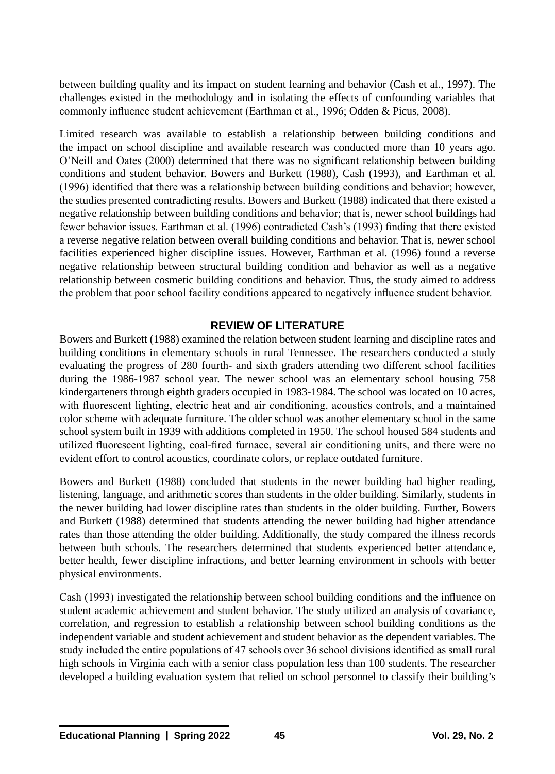between building quality and its impact on student learning and behavior (Cash et al., 1997). The challenges existed in the methodology and in isolating the effects of confounding variables that commonly influence student achievement (Earthman et al., 1996; Odden & Picus, 2008).

Limited research was available to establish a relationship between building conditions and the impact on school discipline and available research was conducted more than 10 years ago. O'Neill and Oates (2000) determined that there was no significant relationship between building conditions and student behavior. Bowers and Burkett (1988), Cash (1993), and Earthman et al. (1996) identified that there was a relationship between building conditions and behavior; however, the studies presented contradicting results. Bowers and Burkett (1988) indicated that there existed a negative relationship between building conditions and behavior; that is, newer school buildings had fewer behavior issues. Earthman et al. (1996) contradicted Cash's (1993) finding that there existed a reverse negative relation between overall building conditions and behavior. That is, newer school facilities experienced higher discipline issues. However, Earthman et al. (1996) found a reverse negative relationship between structural building condition and behavior as well as a negative relationship between cosmetic building conditions and behavior. Thus, the study aimed to address the problem that poor school facility conditions appeared to negatively influence student behavior.

# **REVIEW OF LITERATURE**

Bowers and Burkett (1988) examined the relation between student learning and discipline rates and building conditions in elementary schools in rural Tennessee. The researchers conducted a study evaluating the progress of 280 fourth- and sixth graders attending two different school facilities during the 1986-1987 school year. The newer school was an elementary school housing 758 kindergarteners through eighth graders occupied in 1983-1984. The school was located on 10 acres, with fluorescent lighting, electric heat and air conditioning, acoustics controls, and a maintained color scheme with adequate furniture. The older school was another elementary school in the same school system built in 1939 with additions completed in 1950. The school housed 584 students and utilized fluorescent lighting, coal-fired furnace, several air conditioning units, and there were no evident effort to control acoustics, coordinate colors, or replace outdated furniture.

Bowers and Burkett (1988) concluded that students in the newer building had higher reading, listening, language, and arithmetic scores than students in the older building. Similarly, students in the newer building had lower discipline rates than students in the older building. Further, Bowers and Burkett (1988) determined that students attending the newer building had higher attendance rates than those attending the older building. Additionally, the study compared the illness records between both schools. The researchers determined that students experienced better attendance, better health, fewer discipline infractions, and better learning environment in schools with better physical environments.

Cash (1993) investigated the relationship between school building conditions and the influence on student academic achievement and student behavior. The study utilized an analysis of covariance, correlation, and regression to establish a relationship between school building conditions as the independent variable and student achievement and student behavior as the dependent variables. The study included the entire populations of 47 schools over 36 school divisions identified as small rural high schools in Virginia each with a senior class population less than 100 students. The researcher developed a building evaluation system that relied on school personnel to classify their building's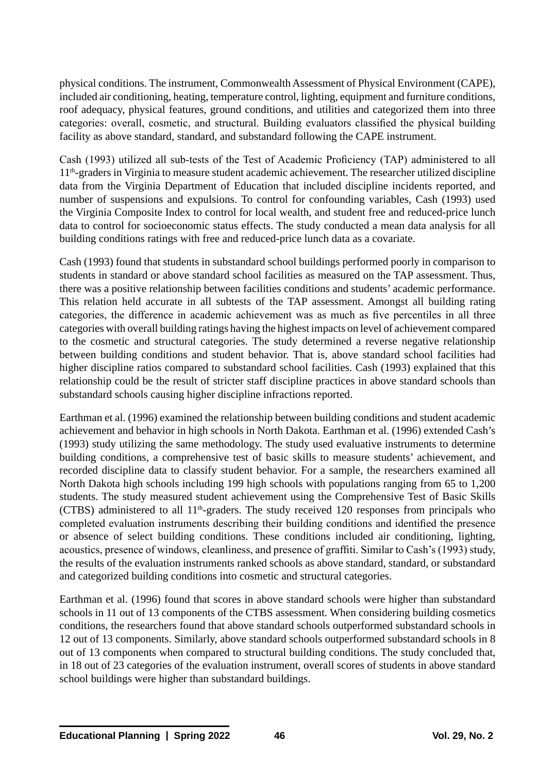physical conditions. The instrument, Commonwealth Assessment of Physical Environment (CAPE), included air conditioning, heating, temperature control, lighting, equipment and furniture conditions, roof adequacy, physical features, ground conditions, and utilities and categorized them into three categories: overall, cosmetic, and structural. Building evaluators classified the physical building facility as above standard, standard, and substandard following the CAPE instrument.

Cash (1993) utilized all sub-tests of the Test of Academic Proficiency (TAP) administered to all 11th-graders in Virginia to measure student academic achievement. The researcher utilized discipline data from the Virginia Department of Education that included discipline incidents reported, and number of suspensions and expulsions. To control for confounding variables, Cash (1993) used the Virginia Composite Index to control for local wealth, and student free and reduced-price lunch data to control for socioeconomic status effects. The study conducted a mean data analysis for all building conditions ratings with free and reduced-price lunch data as a covariate.

Cash (1993) found that students in substandard school buildings performed poorly in comparison to students in standard or above standard school facilities as measured on the TAP assessment. Thus, there was a positive relationship between facilities conditions and students' academic performance. This relation held accurate in all subtests of the TAP assessment. Amongst all building rating categories, the difference in academic achievement was as much as five percentiles in all three categories with overall building ratings having the highest impacts on level of achievement compared to the cosmetic and structural categories. The study determined a reverse negative relationship between building conditions and student behavior. That is, above standard school facilities had higher discipline ratios compared to substandard school facilities. Cash (1993) explained that this relationship could be the result of stricter staff discipline practices in above standard schools than substandard schools causing higher discipline infractions reported.

Earthman et al. (1996) examined the relationship between building conditions and student academic achievement and behavior in high schools in North Dakota. Earthman et al. (1996) extended Cash's (1993) study utilizing the same methodology. The study used evaluative instruments to determine building conditions, a comprehensive test of basic skills to measure students' achievement, and recorded discipline data to classify student behavior. For a sample, the researchers examined all North Dakota high schools including 199 high schools with populations ranging from 65 to 1,200 students. The study measured student achievement using the Comprehensive Test of Basic Skills (CTBS) administered to all  $11<sup>th</sup>$ -graders. The study received 120 responses from principals who completed evaluation instruments describing their building conditions and identified the presence or absence of select building conditions. These conditions included air conditioning, lighting, acoustics, presence of windows, cleanliness, and presence of graffiti. Similar to Cash's (1993) study, the results of the evaluation instruments ranked schools as above standard, standard, or substandard and categorized building conditions into cosmetic and structural categories.

Earthman et al. (1996) found that scores in above standard schools were higher than substandard schools in 11 out of 13 components of the CTBS assessment. When considering building cosmetics conditions, the researchers found that above standard schools outperformed substandard schools in 12 out of 13 components. Similarly, above standard schools outperformed substandard schools in 8 out of 13 components when compared to structural building conditions. The study concluded that, in 18 out of 23 categories of the evaluation instrument, overall scores of students in above standard school buildings were higher than substandard buildings.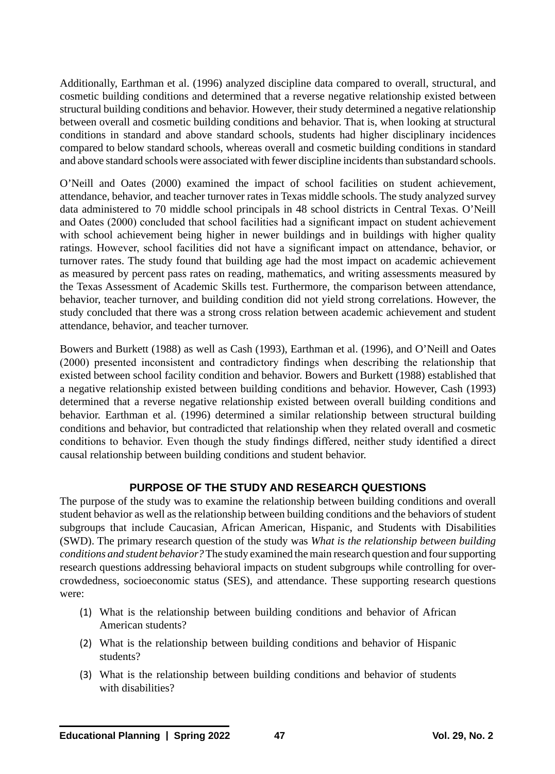Additionally, Earthman et al. (1996) analyzed discipline data compared to overall, structural, and cosmetic building conditions and determined that a reverse negative relationship existed between structural building conditions and behavior. However, their study determined a negative relationship between overall and cosmetic building conditions and behavior. That is, when looking at structural conditions in standard and above standard schools, students had higher disciplinary incidences compared to below standard schools, whereas overall and cosmetic building conditions in standard and above standard schools were associated with fewer discipline incidents than substandard schools.

O'Neill and Oates (2000) examined the impact of school facilities on student achievement, attendance, behavior, and teacher turnover rates in Texas middle schools. The study analyzed survey data administered to 70 middle school principals in 48 school districts in Central Texas. O'Neill and Oates (2000) concluded that school facilities had a significant impact on student achievement with school achievement being higher in newer buildings and in buildings with higher quality ratings. However, school facilities did not have a significant impact on attendance, behavior, or turnover rates. The study found that building age had the most impact on academic achievement as measured by percent pass rates on reading, mathematics, and writing assessments measured by the Texas Assessment of Academic Skills test. Furthermore, the comparison between attendance, behavior, teacher turnover, and building condition did not yield strong correlations. However, the study concluded that there was a strong cross relation between academic achievement and student attendance, behavior, and teacher turnover.

Bowers and Burkett (1988) as well as Cash (1993), Earthman et al. (1996), and O'Neill and Oates (2000) presented inconsistent and contradictory findings when describing the relationship that existed between school facility condition and behavior. Bowers and Burkett (1988) established that a negative relationship existed between building conditions and behavior. However, Cash (1993) determined that a reverse negative relationship existed between overall building conditions and behavior. Earthman et al. (1996) determined a similar relationship between structural building conditions and behavior, but contradicted that relationship when they related overall and cosmetic conditions to behavior. Even though the study findings differed, neither study identified a direct causal relationship between building conditions and student behavior.

# **PURPOSE OF THE STUDY AND RESEARCH QUESTIONS**

The purpose of the study was to examine the relationship between building conditions and overall student behavior as well as the relationship between building conditions and the behaviors of student subgroups that include Caucasian, African American, Hispanic, and Students with Disabilities (SWD). The primary research question of the study was *What is the relationship between building conditions and student behavior?* The study examined the main research question and four supporting research questions addressing behavioral impacts on student subgroups while controlling for overcrowdedness, socioeconomic status (SES), and attendance. These supporting research questions were:

- (1) What is the relationship between building conditions and behavior of African American students?
- (2) What is the relationship between building conditions and behavior of Hispanic students?
- (3) What is the relationship between building conditions and behavior of students with disabilities?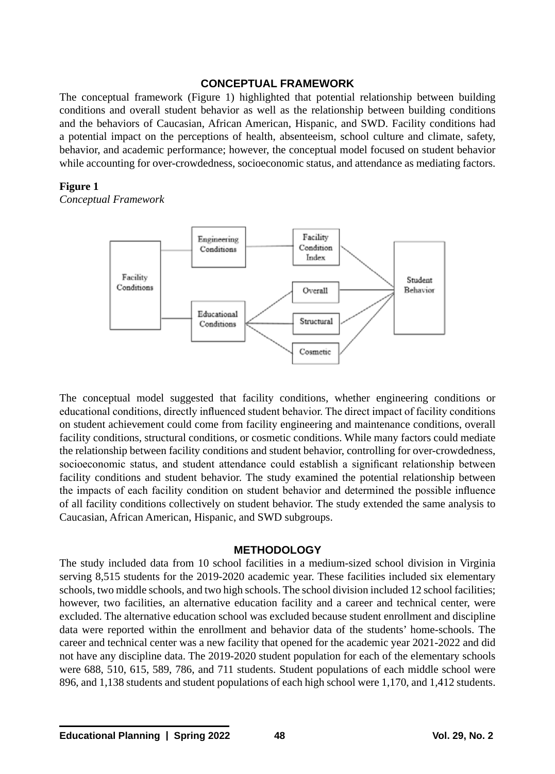#### **CONCEPTUAL FRAMEWORK**

The conceptual framework (Figure 1) highlighted that potential relationship between building conditions and overall student behavior as well as the relationship between building conditions and the behaviors of Caucasian, African American, Hispanic, and SWD. Facility conditions had a potential impact on the perceptions of health, absenteeism, school culture and climate, safety, behavior, and academic performance; however, the conceptual model focused on student behavior while accounting for over-crowdedness, socioeconomic status, and attendance as mediating factors.

#### **Figure 1**

*Conceptual Framework*



The conceptual model suggested that facility conditions, whether engineering conditions or educational conditions, directly influenced student behavior. The direct impact of facility conditions on student achievement could come from facility engineering and maintenance conditions, overall facility conditions, structural conditions, or cosmetic conditions. While many factors could mediate the relationship between facility conditions and student behavior, controlling for over-crowdedness, socioeconomic status, and student attendance could establish a significant relationship between facility conditions and student behavior. The study examined the potential relationship between the impacts of each facility condition on student behavior and determined the possible influence of all facility conditions collectively on student behavior. The study extended the same analysis to Caucasian, African American, Hispanic, and SWD subgroups.

# **METHODOLOGY**

The study included data from 10 school facilities in a medium-sized school division in Virginia serving 8,515 students for the 2019-2020 academic year. These facilities included six elementary schools, two middle schools, and two high schools. The school division included 12 school facilities; however, two facilities, an alternative education facility and a career and technical center, were excluded. The alternative education school was excluded because student enrollment and discipline data were reported within the enrollment and behavior data of the students' home-schools. The career and technical center was a new facility that opened for the academic year 2021-2022 and did not have any discipline data. The 2019-2020 student population for each of the elementary schools were 688, 510, 615, 589, 786, and 711 students. Student populations of each middle school were 896, and 1,138 students and student populations of each high school were 1,170, and 1,412 students.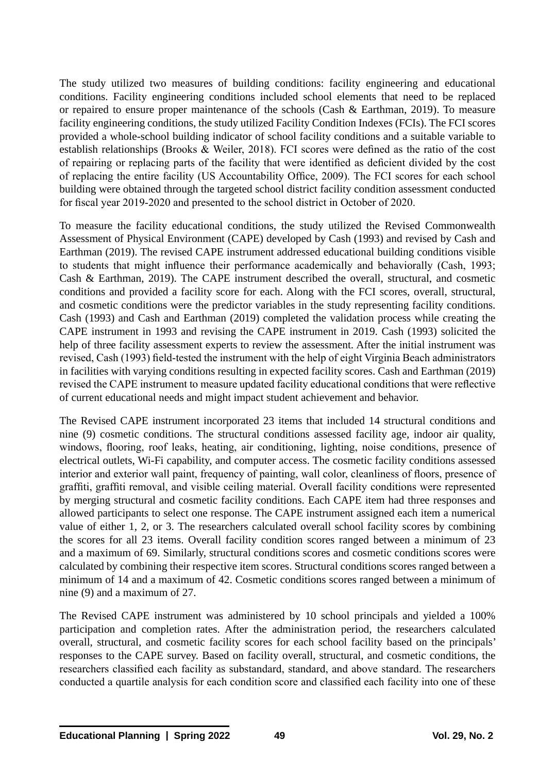The study utilized two measures of building conditions: facility engineering and educational conditions. Facility engineering conditions included school elements that need to be replaced or repaired to ensure proper maintenance of the schools (Cash & Earthman, 2019). To measure facility engineering conditions, the study utilized Facility Condition Indexes (FCIs). The FCI scores provided a whole-school building indicator of school facility conditions and a suitable variable to establish relationships (Brooks & Weiler, 2018). FCI scores were defined as the ratio of the cost of repairing or replacing parts of the facility that were identified as deficient divided by the cost of replacing the entire facility (US Accountability Office, 2009). The FCI scores for each school building were obtained through the targeted school district facility condition assessment conducted for fiscal year 2019-2020 and presented to the school district in October of 2020.

To measure the facility educational conditions, the study utilized the Revised Commonwealth Assessment of Physical Environment (CAPE) developed by Cash (1993) and revised by Cash and Earthman (2019). The revised CAPE instrument addressed educational building conditions visible to students that might influence their performance academically and behaviorally (Cash, 1993; Cash & Earthman, 2019). The CAPE instrument described the overall, structural, and cosmetic conditions and provided a facility score for each. Along with the FCI scores, overall, structural, and cosmetic conditions were the predictor variables in the study representing facility conditions. Cash (1993) and Cash and Earthman (2019) completed the validation process while creating the CAPE instrument in 1993 and revising the CAPE instrument in 2019. Cash (1993) solicited the help of three facility assessment experts to review the assessment. After the initial instrument was revised, Cash (1993) field-tested the instrument with the help of eight Virginia Beach administrators in facilities with varying conditions resulting in expected facility scores. Cash and Earthman (2019) revised the CAPE instrument to measure updated facility educational conditions that were reflective of current educational needs and might impact student achievement and behavior.

The Revised CAPE instrument incorporated 23 items that included 14 structural conditions and nine (9) cosmetic conditions. The structural conditions assessed facility age, indoor air quality, windows, flooring, roof leaks, heating, air conditioning, lighting, noise conditions, presence of electrical outlets, Wi-Fi capability, and computer access. The cosmetic facility conditions assessed interior and exterior wall paint, frequency of painting, wall color, cleanliness of floors, presence of graffiti, graffiti removal, and visible ceiling material. Overall facility conditions were represented by merging structural and cosmetic facility conditions. Each CAPE item had three responses and allowed participants to select one response. The CAPE instrument assigned each item a numerical value of either 1, 2, or 3. The researchers calculated overall school facility scores by combining the scores for all 23 items. Overall facility condition scores ranged between a minimum of 23 and a maximum of 69. Similarly, structural conditions scores and cosmetic conditions scores were calculated by combining their respective item scores. Structural conditions scores ranged between a minimum of 14 and a maximum of 42. Cosmetic conditions scores ranged between a minimum of nine (9) and a maximum of 27.

The Revised CAPE instrument was administered by 10 school principals and yielded a 100% participation and completion rates. After the administration period, the researchers calculated overall, structural, and cosmetic facility scores for each school facility based on the principals' responses to the CAPE survey. Based on facility overall, structural, and cosmetic conditions, the researchers classified each facility as substandard, standard, and above standard. The researchers conducted a quartile analysis for each condition score and classified each facility into one of these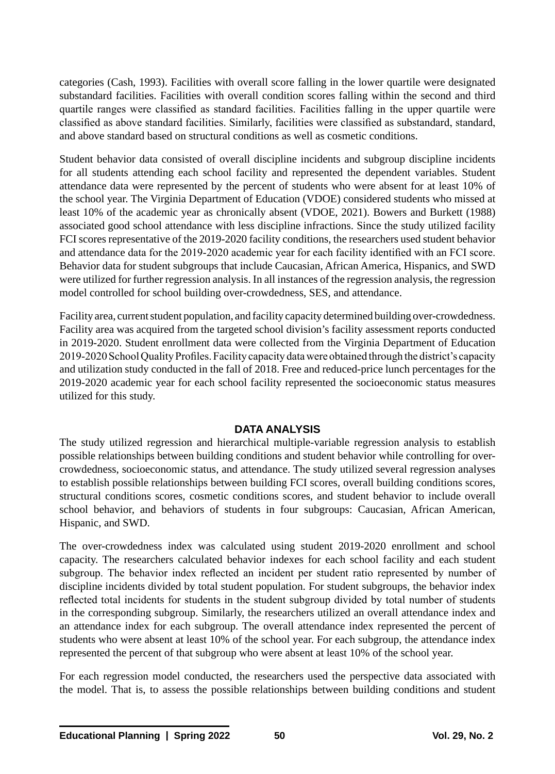categories (Cash, 1993). Facilities with overall score falling in the lower quartile were designated substandard facilities. Facilities with overall condition scores falling within the second and third quartile ranges were classified as standard facilities. Facilities falling in the upper quartile were classified as above standard facilities. Similarly, facilities were classified as substandard, standard, and above standard based on structural conditions as well as cosmetic conditions.

Student behavior data consisted of overall discipline incidents and subgroup discipline incidents for all students attending each school facility and represented the dependent variables. Student attendance data were represented by the percent of students who were absent for at least 10% of the school year. The Virginia Department of Education (VDOE) considered students who missed at least 10% of the academic year as chronically absent (VDOE, 2021). Bowers and Burkett (1988) associated good school attendance with less discipline infractions. Since the study utilized facility FCI scores representative of the 2019-2020 facility conditions, the researchers used student behavior and attendance data for the 2019-2020 academic year for each facility identified with an FCI score. Behavior data for student subgroups that include Caucasian, African America, Hispanics, and SWD were utilized for further regression analysis. In all instances of the regression analysis, the regression model controlled for school building over-crowdedness, SES, and attendance.

Facility area, current student population, and facility capacity determined building over-crowdedness. Facility area was acquired from the targeted school division's facility assessment reports conducted in 2019-2020. Student enrollment data were collected from the Virginia Department of Education 2019-2020 School Quality Profiles. Facility capacity data were obtained through the district's capacity and utilization study conducted in the fall of 2018. Free and reduced-price lunch percentages for the 2019-2020 academic year for each school facility represented the socioeconomic status measures utilized for this study.

# **DATA ANALYSIS**

The study utilized regression and hierarchical multiple-variable regression analysis to establish possible relationships between building conditions and student behavior while controlling for overcrowdedness, socioeconomic status, and attendance. The study utilized several regression analyses to establish possible relationships between building FCI scores, overall building conditions scores, structural conditions scores, cosmetic conditions scores, and student behavior to include overall school behavior, and behaviors of students in four subgroups: Caucasian, African American, Hispanic, and SWD.

The over-crowdedness index was calculated using student 2019-2020 enrollment and school capacity. The researchers calculated behavior indexes for each school facility and each student subgroup. The behavior index reflected an incident per student ratio represented by number of discipline incidents divided by total student population. For student subgroups, the behavior index reflected total incidents for students in the student subgroup divided by total number of students in the corresponding subgroup. Similarly, the researchers utilized an overall attendance index and an attendance index for each subgroup. The overall attendance index represented the percent of students who were absent at least 10% of the school year. For each subgroup, the attendance index represented the percent of that subgroup who were absent at least 10% of the school year.

For each regression model conducted, the researchers used the perspective data associated with the model. That is, to assess the possible relationships between building conditions and student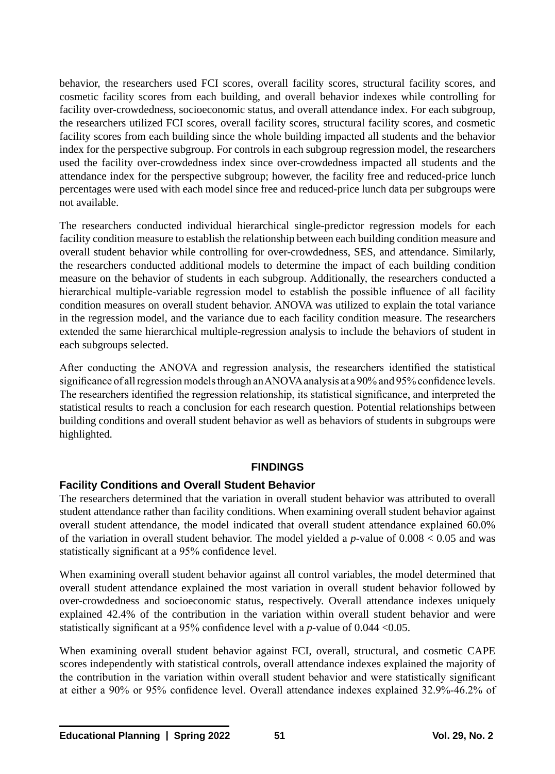behavior, the researchers used FCI scores, overall facility scores, structural facility scores, and cosmetic facility scores from each building, and overall behavior indexes while controlling for facility over-crowdedness, socioeconomic status, and overall attendance index. For each subgroup, the researchers utilized FCI scores, overall facility scores, structural facility scores, and cosmetic facility scores from each building since the whole building impacted all students and the behavior index for the perspective subgroup. For controls in each subgroup regression model, the researchers used the facility over-crowdedness index since over-crowdedness impacted all students and the attendance index for the perspective subgroup; however, the facility free and reduced-price lunch percentages were used with each model since free and reduced-price lunch data per subgroups were not available.

The researchers conducted individual hierarchical single-predictor regression models for each facility condition measure to establish the relationship between each building condition measure and overall student behavior while controlling for over-crowdedness, SES, and attendance. Similarly, the researchers conducted additional models to determine the impact of each building condition measure on the behavior of students in each subgroup. Additionally, the researchers conducted a hierarchical multiple-variable regression model to establish the possible influence of all facility condition measures on overall student behavior. ANOVA was utilized to explain the total variance in the regression model, and the variance due to each facility condition measure. The researchers extended the same hierarchical multiple-regression analysis to include the behaviors of student in each subgroups selected.

After conducting the ANOVA and regression analysis, the researchers identified the statistical significance of all regression models through an ANOVA analysis at a 90% and 95% confidence levels. The researchers identified the regression relationship, its statistical significance, and interpreted the statistical results to reach a conclusion for each research question. Potential relationships between building conditions and overall student behavior as well as behaviors of students in subgroups were highlighted.

# **FINDINGS**

# **Facility Conditions and Overall Student Behavior**

The researchers determined that the variation in overall student behavior was attributed to overall student attendance rather than facility conditions. When examining overall student behavior against overall student attendance, the model indicated that overall student attendance explained 60.0% of the variation in overall student behavior. The model yielded a *p*-value of 0.008 < 0.05 and was statistically significant at a 95% confidence level.

When examining overall student behavior against all control variables, the model determined that overall student attendance explained the most variation in overall student behavior followed by over-crowdedness and socioeconomic status, respectively. Overall attendance indexes uniquely explained 42.4% of the contribution in the variation within overall student behavior and were statistically significant at a 95% confidence level with a *p*-value of 0.044 < 0.05.

When examining overall student behavior against FCI, overall, structural, and cosmetic CAPE scores independently with statistical controls, overall attendance indexes explained the majority of the contribution in the variation within overall student behavior and were statistically significant at either a 90% or 95% confidence level. Overall attendance indexes explained 32.9%-46.2% of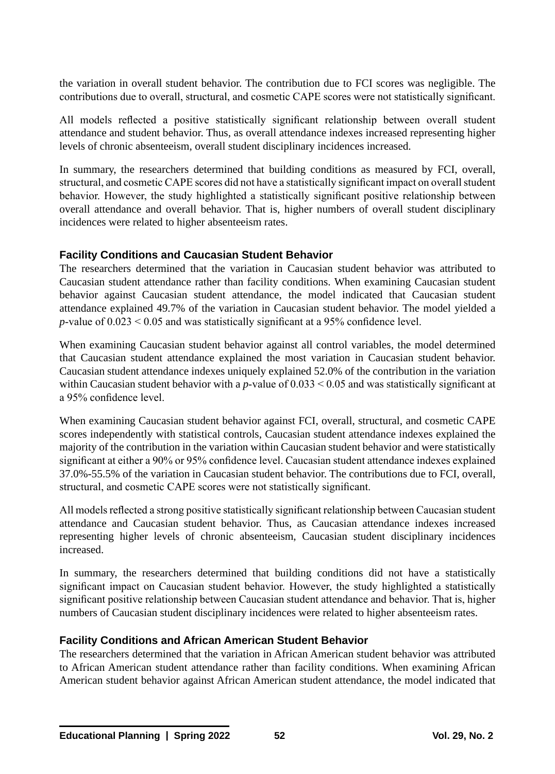the variation in overall student behavior. The contribution due to FCI scores was negligible. The contributions due to overall, structural, and cosmetic CAPE scores were not statistically significant.

All models reflected a positive statistically significant relationship between overall student attendance and student behavior. Thus, as overall attendance indexes increased representing higher levels of chronic absenteeism, overall student disciplinary incidences increased.

In summary, the researchers determined that building conditions as measured by FCI, overall, structural, and cosmetic CAPE scores did not have a statistically significant impact on overall student behavior. However, the study highlighted a statistically significant positive relationship between overall attendance and overall behavior. That is, higher numbers of overall student disciplinary incidences were related to higher absenteeism rates.

# **Facility Conditions and Caucasian Student Behavior**

The researchers determined that the variation in Caucasian student behavior was attributed to Caucasian student attendance rather than facility conditions. When examining Caucasian student behavior against Caucasian student attendance, the model indicated that Caucasian student attendance explained 49.7% of the variation in Caucasian student behavior. The model yielded a *p*-value of 0.023 < 0.05 and was statistically significant at a 95% confidence level.

When examining Caucasian student behavior against all control variables, the model determined that Caucasian student attendance explained the most variation in Caucasian student behavior. Caucasian student attendance indexes uniquely explained 52.0% of the contribution in the variation within Caucasian student behavior with a *p*-value of 0.033 < 0.05 and was statistically significant at a 95% confidence level.

When examining Caucasian student behavior against FCI, overall, structural, and cosmetic CAPE scores independently with statistical controls, Caucasian student attendance indexes explained the majority of the contribution in the variation within Caucasian student behavior and were statistically significant at either a 90% or 95% confidence level. Caucasian student attendance indexes explained 37.0%-55.5% of the variation in Caucasian student behavior. The contributions due to FCI, overall, structural, and cosmetic CAPE scores were not statistically significant.

All models reflected a strong positive statistically significant relationship between Caucasian student attendance and Caucasian student behavior. Thus, as Caucasian attendance indexes increased representing higher levels of chronic absenteeism, Caucasian student disciplinary incidences increased.

In summary, the researchers determined that building conditions did not have a statistically significant impact on Caucasian student behavior. However, the study highlighted a statistically significant positive relationship between Caucasian student attendance and behavior. That is, higher numbers of Caucasian student disciplinary incidences were related to higher absenteeism rates.

# **Facility Conditions and African American Student Behavior**

The researchers determined that the variation in African American student behavior was attributed to African American student attendance rather than facility conditions. When examining African American student behavior against African American student attendance, the model indicated that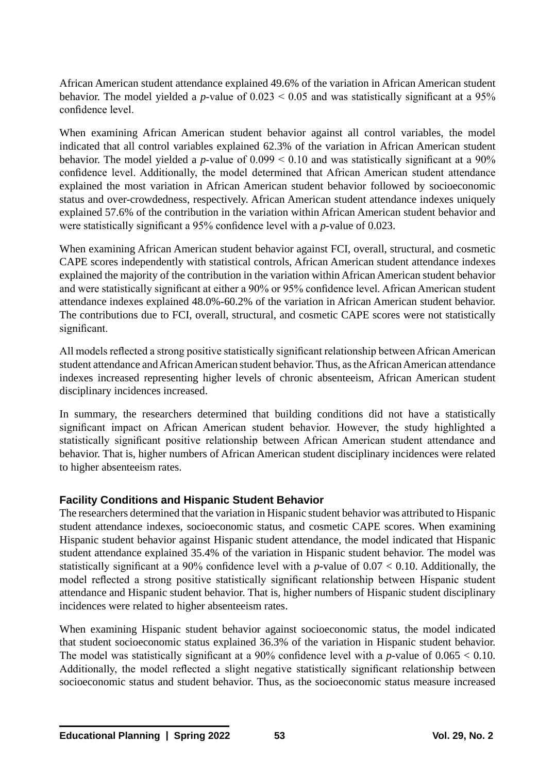African American student attendance explained 49.6% of the variation in African American student behavior. The model yielded a *p*-value of 0.023 < 0.05 and was statistically significant at a 95% confidence level.

When examining African American student behavior against all control variables, the model indicated that all control variables explained 62.3% of the variation in African American student behavior. The model yielded a *p*-value of 0.099 < 0.10 and was statistically significant at a 90% confidence level. Additionally, the model determined that African American student attendance explained the most variation in African American student behavior followed by socioeconomic status and over-crowdedness, respectively. African American student attendance indexes uniquely explained 57.6% of the contribution in the variation within African American student behavior and were statistically significant a 95% confidence level with a *p*-value of 0.023.

When examining African American student behavior against FCI, overall, structural, and cosmetic CAPE scores independently with statistical controls, African American student attendance indexes explained the majority of the contribution in the variation within African American student behavior and were statistically significant at either a 90% or 95% confidence level. African American student attendance indexes explained 48.0%-60.2% of the variation in African American student behavior. The contributions due to FCI, overall, structural, and cosmetic CAPE scores were not statistically significant.

All models reflected a strong positive statistically significant relationship between African American student attendance and African American student behavior. Thus, as the African American attendance indexes increased representing higher levels of chronic absenteeism, African American student disciplinary incidences increased.

In summary, the researchers determined that building conditions did not have a statistically significant impact on African American student behavior. However, the study highlighted a statistically significant positive relationship between African American student attendance and behavior. That is, higher numbers of African American student disciplinary incidences were related to higher absenteeism rates.

# **Facility Conditions and Hispanic Student Behavior**

The researchers determined that the variation in Hispanic student behavior was attributed to Hispanic student attendance indexes, socioeconomic status, and cosmetic CAPE scores. When examining Hispanic student behavior against Hispanic student attendance, the model indicated that Hispanic student attendance explained 35.4% of the variation in Hispanic student behavior. The model was statistically significant at a 90% confidence level with a *p*-value of 0.07 < 0.10. Additionally, the model reflected a strong positive statistically significant relationship between Hispanic student attendance and Hispanic student behavior. That is, higher numbers of Hispanic student disciplinary incidences were related to higher absenteeism rates.

When examining Hispanic student behavior against socioeconomic status, the model indicated that student socioeconomic status explained 36.3% of the variation in Hispanic student behavior. The model was statistically significant at a 90% confidence level with a *p*-value of 0.065 < 0.10. Additionally, the model reflected a slight negative statistically significant relationship between socioeconomic status and student behavior. Thus, as the socioeconomic status measure increased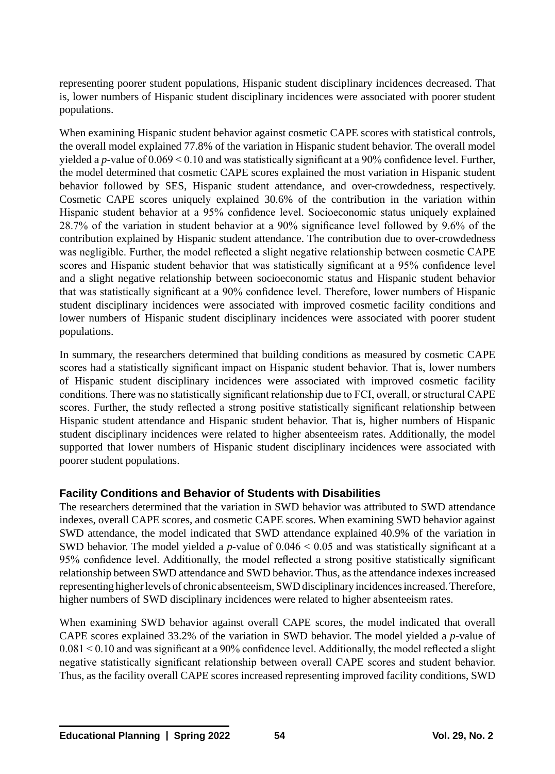representing poorer student populations, Hispanic student disciplinary incidences decreased. That is, lower numbers of Hispanic student disciplinary incidences were associated with poorer student populations.

When examining Hispanic student behavior against cosmetic CAPE scores with statistical controls, the overall model explained 77.8% of the variation in Hispanic student behavior. The overall model yielded a *p*-value of 0.069 < 0.10 and was statistically significant at a 90% confidence level. Further, the model determined that cosmetic CAPE scores explained the most variation in Hispanic student behavior followed by SES, Hispanic student attendance, and over-crowdedness, respectively. Cosmetic CAPE scores uniquely explained 30.6% of the contribution in the variation within Hispanic student behavior at a 95% confidence level. Socioeconomic status uniquely explained 28.7% of the variation in student behavior at a 90% significance level followed by 9.6% of the contribution explained by Hispanic student attendance. The contribution due to over-crowdedness was negligible. Further, the model reflected a slight negative relationship between cosmetic CAPE scores and Hispanic student behavior that was statistically significant at a 95% confidence level and a slight negative relationship between socioeconomic status and Hispanic student behavior that was statistically significant at a 90% confidence level. Therefore, lower numbers of Hispanic student disciplinary incidences were associated with improved cosmetic facility conditions and lower numbers of Hispanic student disciplinary incidences were associated with poorer student populations.

In summary, the researchers determined that building conditions as measured by cosmetic CAPE scores had a statistically significant impact on Hispanic student behavior. That is, lower numbers of Hispanic student disciplinary incidences were associated with improved cosmetic facility conditions. There was no statistically significant relationship due to FCI, overall, or structural CAPE scores. Further, the study reflected a strong positive statistically significant relationship between Hispanic student attendance and Hispanic student behavior. That is, higher numbers of Hispanic student disciplinary incidences were related to higher absenteeism rates. Additionally, the model supported that lower numbers of Hispanic student disciplinary incidences were associated with poorer student populations.

# **Facility Conditions and Behavior of Students with Disabilities**

The researchers determined that the variation in SWD behavior was attributed to SWD attendance indexes, overall CAPE scores, and cosmetic CAPE scores. When examining SWD behavior against SWD attendance, the model indicated that SWD attendance explained 40.9% of the variation in SWD behavior. The model yielded a *p*-value of  $0.046 \le 0.05$  and was statistically significant at a 95% confidence level. Additionally, the model reflected a strong positive statistically significant relationship between SWD attendance and SWD behavior. Thus, as the attendance indexes increased representing higher levels of chronic absenteeism, SWD disciplinary incidences increased. Therefore, higher numbers of SWD disciplinary incidences were related to higher absenteeism rates.

When examining SWD behavior against overall CAPE scores, the model indicated that overall CAPE scores explained 33.2% of the variation in SWD behavior. The model yielded a *p*-value of 0.081 < 0.10 and was significant at a 90% confidence level. Additionally, the model reflected a slight negative statistically significant relationship between overall CAPE scores and student behavior. Thus, as the facility overall CAPE scores increased representing improved facility conditions, SWD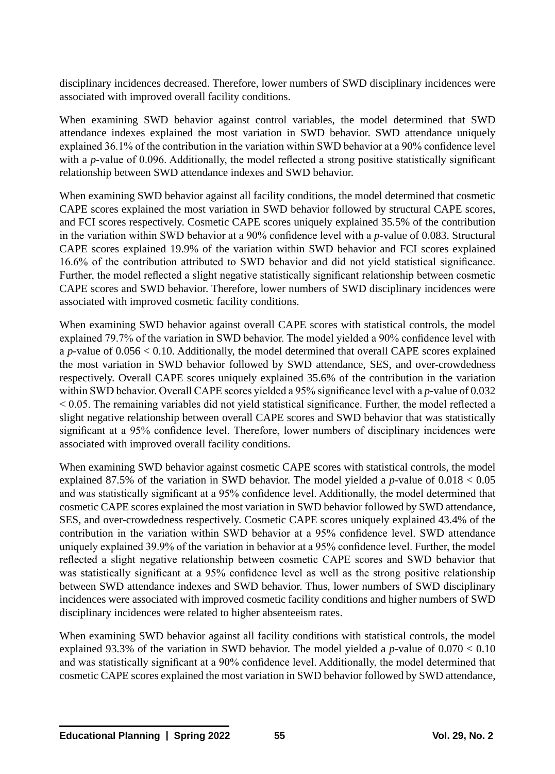disciplinary incidences decreased. Therefore, lower numbers of SWD disciplinary incidences were associated with improved overall facility conditions.

When examining SWD behavior against control variables, the model determined that SWD attendance indexes explained the most variation in SWD behavior. SWD attendance uniquely explained 36.1% of the contribution in the variation within SWD behavior at a 90% confidence level with a *p*-value of 0.096. Additionally, the model reflected a strong positive statistically significant relationship between SWD attendance indexes and SWD behavior.

When examining SWD behavior against all facility conditions, the model determined that cosmetic CAPE scores explained the most variation in SWD behavior followed by structural CAPE scores, and FCI scores respectively. Cosmetic CAPE scores uniquely explained 35.5% of the contribution in the variation within SWD behavior at a 90% confidence level with a *p*-value of 0.083. Structural CAPE scores explained 19.9% of the variation within SWD behavior and FCI scores explained 16.6% of the contribution attributed to SWD behavior and did not yield statistical significance. Further, the model reflected a slight negative statistically significant relationship between cosmetic CAPE scores and SWD behavior. Therefore, lower numbers of SWD disciplinary incidences were associated with improved cosmetic facility conditions.

When examining SWD behavior against overall CAPE scores with statistical controls, the model explained 79.7% of the variation in SWD behavior. The model yielded a 90% confidence level with a *p*-value of 0.056 < 0.10. Additionally, the model determined that overall CAPE scores explained the most variation in SWD behavior followed by SWD attendance, SES, and over-crowdedness respectively. Overall CAPE scores uniquely explained 35.6% of the contribution in the variation within SWD behavior. Overall CAPE scores yielded a 95% significance level with a *p*-value of 0.032 < 0.05. The remaining variables did not yield statistical significance. Further, the model reflected a slight negative relationship between overall CAPE scores and SWD behavior that was statistically significant at a 95% confidence level. Therefore, lower numbers of disciplinary incidences were associated with improved overall facility conditions.

When examining SWD behavior against cosmetic CAPE scores with statistical controls, the model explained 87.5% of the variation in SWD behavior. The model yielded a *p*-value of 0.018 < 0.05 and was statistically significant at a 95% confidence level. Additionally, the model determined that cosmetic CAPE scores explained the most variation in SWD behavior followed by SWD attendance, SES, and over-crowdedness respectively. Cosmetic CAPE scores uniquely explained 43.4% of the contribution in the variation within SWD behavior at a 95% confidence level. SWD attendance uniquely explained 39.9% of the variation in behavior at a 95% confidence level. Further, the model reflected a slight negative relationship between cosmetic CAPE scores and SWD behavior that was statistically significant at a 95% confidence level as well as the strong positive relationship between SWD attendance indexes and SWD behavior. Thus, lower numbers of SWD disciplinary incidences were associated with improved cosmetic facility conditions and higher numbers of SWD disciplinary incidences were related to higher absenteeism rates.

When examining SWD behavior against all facility conditions with statistical controls, the model explained 93.3% of the variation in SWD behavior. The model yielded a *p*-value of 0.070 < 0.10 and was statistically significant at a 90% confidence level. Additionally, the model determined that cosmetic CAPE scores explained the most variation in SWD behavior followed by SWD attendance,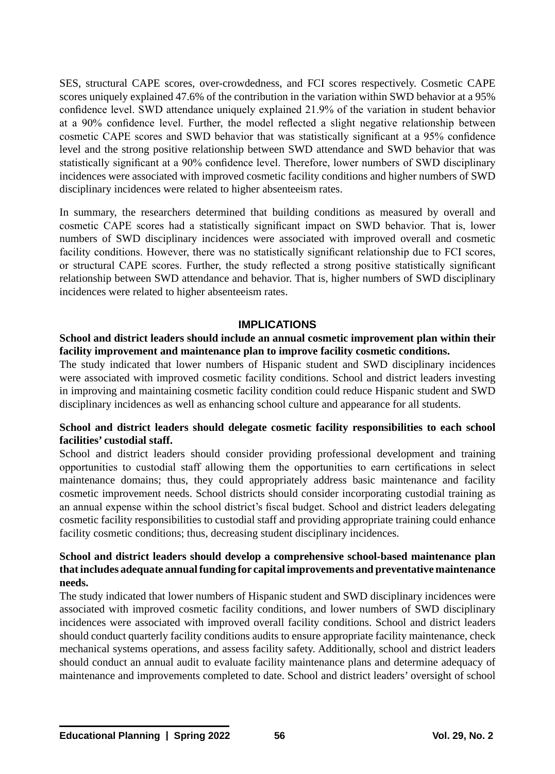SES, structural CAPE scores, over-crowdedness, and FCI scores respectively. Cosmetic CAPE scores uniquely explained 47.6% of the contribution in the variation within SWD behavior at a 95% confidence level. SWD attendance uniquely explained 21.9% of the variation in student behavior at a 90% confidence level. Further, the model reflected a slight negative relationship between cosmetic CAPE scores and SWD behavior that was statistically significant at a 95% confidence level and the strong positive relationship between SWD attendance and SWD behavior that was statistically significant at a 90% confidence level. Therefore, lower numbers of SWD disciplinary incidences were associated with improved cosmetic facility conditions and higher numbers of SWD disciplinary incidences were related to higher absenteeism rates.

In summary, the researchers determined that building conditions as measured by overall and cosmetic CAPE scores had a statistically significant impact on SWD behavior. That is, lower numbers of SWD disciplinary incidences were associated with improved overall and cosmetic facility conditions. However, there was no statistically significant relationship due to FCI scores, or structural CAPE scores. Further, the study reflected a strong positive statistically significant relationship between SWD attendance and behavior. That is, higher numbers of SWD disciplinary incidences were related to higher absenteeism rates.

# **IMPLICATIONS**

#### **School and district leaders should include an annual cosmetic improvement plan within their facility improvement and maintenance plan to improve facility cosmetic conditions.**

The study indicated that lower numbers of Hispanic student and SWD disciplinary incidences were associated with improved cosmetic facility conditions. School and district leaders investing in improving and maintaining cosmetic facility condition could reduce Hispanic student and SWD disciplinary incidences as well as enhancing school culture and appearance for all students.

# **School and district leaders should delegate cosmetic facility responsibilities to each school facilities' custodial staff.**

School and district leaders should consider providing professional development and training opportunities to custodial staff allowing them the opportunities to earn certifications in select maintenance domains; thus, they could appropriately address basic maintenance and facility cosmetic improvement needs. School districts should consider incorporating custodial training as an annual expense within the school district's fiscal budget. School and district leaders delegating cosmetic facility responsibilities to custodial staff and providing appropriate training could enhance facility cosmetic conditions; thus, decreasing student disciplinary incidences.

# **School and district leaders should develop a comprehensive school-based maintenance plan that includes adequate annual funding for capital improvements and preventative maintenance needs.**

The study indicated that lower numbers of Hispanic student and SWD disciplinary incidences were associated with improved cosmetic facility conditions, and lower numbers of SWD disciplinary incidences were associated with improved overall facility conditions. School and district leaders should conduct quarterly facility conditions audits to ensure appropriate facility maintenance, check mechanical systems operations, and assess facility safety. Additionally, school and district leaders should conduct an annual audit to evaluate facility maintenance plans and determine adequacy of maintenance and improvements completed to date. School and district leaders' oversight of school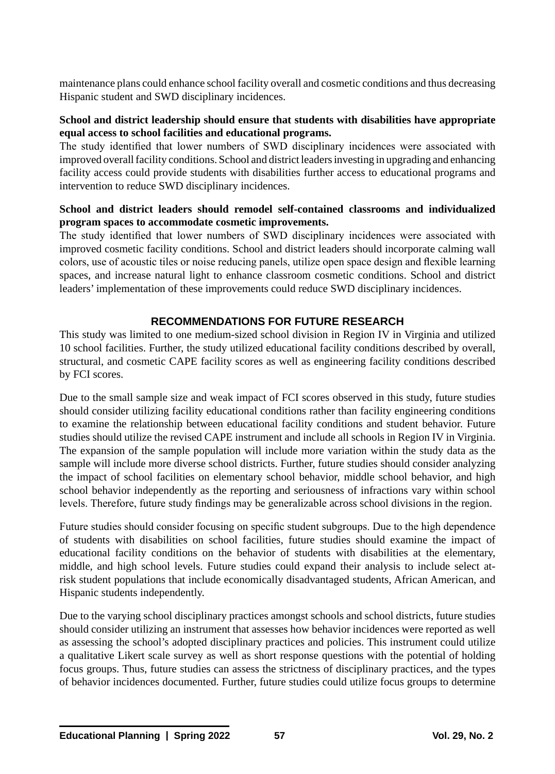maintenance plans could enhance school facility overall and cosmetic conditions and thus decreasing Hispanic student and SWD disciplinary incidences.

# **School and district leadership should ensure that students with disabilities have appropriate equal access to school facilities and educational programs.**

The study identified that lower numbers of SWD disciplinary incidences were associated with improved overall facility conditions. School and district leaders investing in upgrading and enhancing facility access could provide students with disabilities further access to educational programs and intervention to reduce SWD disciplinary incidences.

# **School and district leaders should remodel self-contained classrooms and individualized program spaces to accommodate cosmetic improvements.**

The study identified that lower numbers of SWD disciplinary incidences were associated with improved cosmetic facility conditions. School and district leaders should incorporate calming wall colors, use of acoustic tiles or noise reducing panels, utilize open space design and flexible learning spaces, and increase natural light to enhance classroom cosmetic conditions. School and district leaders' implementation of these improvements could reduce SWD disciplinary incidences.

# **RECOMMENDATIONS FOR FUTURE RESEARCH**

This study was limited to one medium-sized school division in Region IV in Virginia and utilized 10 school facilities. Further, the study utilized educational facility conditions described by overall, structural, and cosmetic CAPE facility scores as well as engineering facility conditions described by FCI scores.

Due to the small sample size and weak impact of FCI scores observed in this study, future studies should consider utilizing facility educational conditions rather than facility engineering conditions to examine the relationship between educational facility conditions and student behavior. Future studies should utilize the revised CAPE instrument and include all schools in Region IV in Virginia. The expansion of the sample population will include more variation within the study data as the sample will include more diverse school districts. Further, future studies should consider analyzing the impact of school facilities on elementary school behavior, middle school behavior, and high school behavior independently as the reporting and seriousness of infractions vary within school levels. Therefore, future study findings may be generalizable across school divisions in the region.

Future studies should consider focusing on specific student subgroups. Due to the high dependence of students with disabilities on school facilities, future studies should examine the impact of educational facility conditions on the behavior of students with disabilities at the elementary, middle, and high school levels. Future studies could expand their analysis to include select atrisk student populations that include economically disadvantaged students, African American, and Hispanic students independently.

Due to the varying school disciplinary practices amongst schools and school districts, future studies should consider utilizing an instrument that assesses how behavior incidences were reported as well as assessing the school's adopted disciplinary practices and policies. This instrument could utilize a qualitative Likert scale survey as well as short response questions with the potential of holding focus groups. Thus, future studies can assess the strictness of disciplinary practices, and the types of behavior incidences documented. Further, future studies could utilize focus groups to determine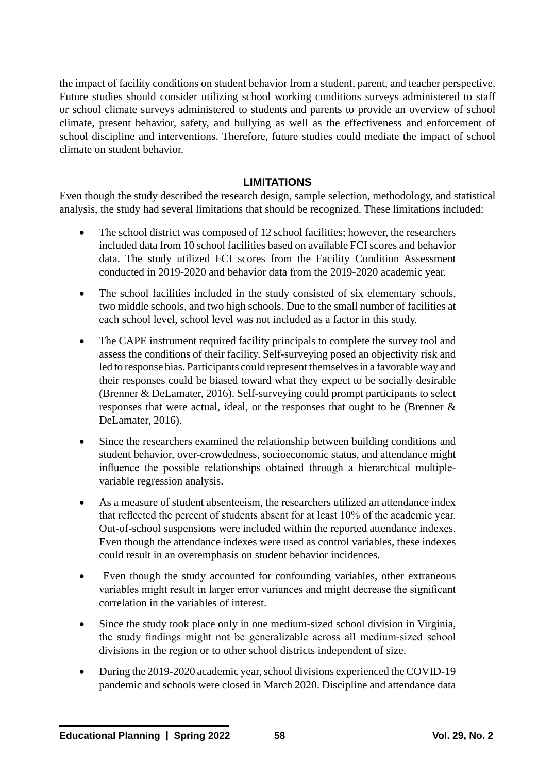the impact of facility conditions on student behavior from a student, parent, and teacher perspective. Future studies should consider utilizing school working conditions surveys administered to staff or school climate surveys administered to students and parents to provide an overview of school climate, present behavior, safety, and bullying as well as the effectiveness and enforcement of school discipline and interventions. Therefore, future studies could mediate the impact of school climate on student behavior.

# **LIMITATIONS**

Even though the study described the research design, sample selection, methodology, and statistical analysis, the study had several limitations that should be recognized. These limitations included:

- The school district was composed of 12 school facilities; however, the researchers included data from 10 school facilities based on available FCI scores and behavior data. The study utilized FCI scores from the Facility Condition Assessment conducted in 2019-2020 and behavior data from the 2019-2020 academic year.
- The school facilities included in the study consisted of six elementary schools, two middle schools, and two high schools. Due to the small number of facilities at each school level, school level was not included as a factor in this study.
- The CAPE instrument required facility principals to complete the survey tool and assess the conditions of their facility. Self-surveying posed an objectivity risk and led to response bias. Participants could represent themselves in a favorable way and their responses could be biased toward what they expect to be socially desirable (Brenner & DeLamater, 2016). Self-surveying could prompt participants to select responses that were actual, ideal, or the responses that ought to be (Brenner & DeLamater, 2016).
- Since the researchers examined the relationship between building conditions and student behavior, over-crowdedness, socioeconomic status, and attendance might influence the possible relationships obtained through a hierarchical multiplevariable regression analysis.
- As a measure of student absenteeism, the researchers utilized an attendance index that reflected the percent of students absent for at least 10% of the academic year. Out-of-school suspensions were included within the reported attendance indexes. Even though the attendance indexes were used as control variables, these indexes could result in an overemphasis on student behavior incidences.
- Even though the study accounted for confounding variables, other extraneous variables might result in larger error variances and might decrease the significant correlation in the variables of interest.
- Since the study took place only in one medium-sized school division in Virginia, the study findings might not be generalizable across all medium-sized school divisions in the region or to other school districts independent of size.
- During the 2019-2020 academic year, school divisions experienced the COVID-19 pandemic and schools were closed in March 2020. Discipline and attendance data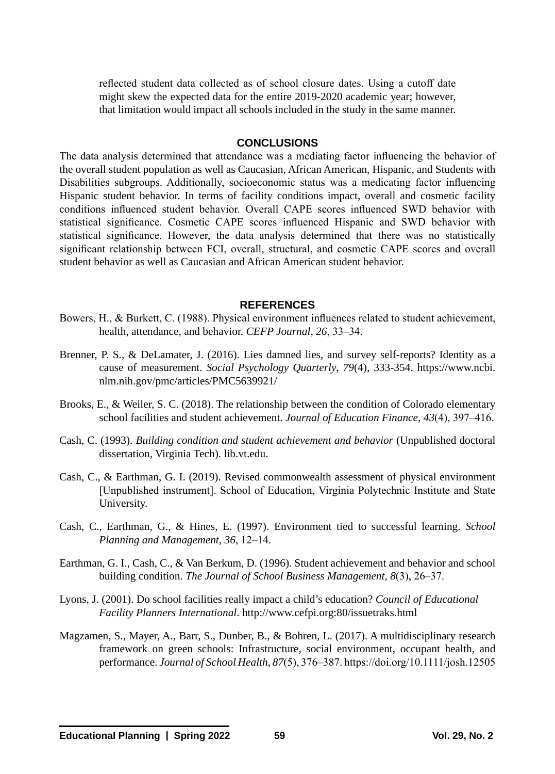reflected student data collected as of school closure dates. Using a cutoff date might skew the expected data for the entire 2019-2020 academic year; however, that limitation would impact all schools included in the study in the same manner.

#### **CONCLUSIONS**

The data analysis determined that attendance was a mediating factor influencing the behavior of the overall student population as well as Caucasian, African American, Hispanic, and Students with Disabilities subgroups. Additionally, socioeconomic status was a medicating factor influencing Hispanic student behavior. In terms of facility conditions impact, overall and cosmetic facility conditions influenced student behavior. Overall CAPE scores influenced SWD behavior with statistical significance. Cosmetic CAPE scores influenced Hispanic and SWD behavior with statistical significance. However, the data analysis determined that there was no statistically significant relationship between FCI, overall, structural, and cosmetic CAPE scores and overall student behavior as well as Caucasian and African American student behavior.

#### **REFERENCES**

- Bowers, H., & Burkett, C. (1988). Physical environment influences related to student achievement, health, attendance, and behavior. *CEFP Journal*, *26*, 33–34.
- Brenner, P. S., & DeLamater, J. (2016). Lies damned lies, and survey self-reports? Identity as a cause of measurement. *Social Psychology Quarterly*, *79*(4), 333-354. https://www.ncbi. nlm.nih.gov/pmc/articles/PMC5639921/
- Brooks, E., & Weiler, S. C. (2018). The relationship between the condition of Colorado elementary school facilities and student achievement. *Journal of Education Finance*, *43*(4), 397–416.
- Cash, C. (1993). *Building condition and student achievement and behavior* (Unpublished doctoral dissertation, Virginia Tech). lib.vt.edu.
- Cash, C., & Earthman, G. I. (2019). Revised commonwealth assessment of physical environment [Unpublished instrument]. School of Education, Virginia Polytechnic Institute and State University.
- Cash, C., Earthman, G., & Hines, E. (1997). Environment tied to successful learning. *School Planning and Management*, *36*, 12–14.
- Earthman, G. I., Cash, C., & Van Berkum, D. (1996). Student achievement and behavior and school building condition. *The Journal of School Business Management*, *8*(3), 26–37.
- Lyons, J. (2001). Do school facilities really impact a child's education? *Council of Educational Facility Planners International*. http://www.cefpi.org:80/issuetraks.html
- Magzamen, S., Mayer, A., Barr, S., Dunber, B., & Bohren, L. (2017). A multidisciplinary research framework on green schools: Infrastructure, social environment, occupant health, and performance. *Journal of School Health*, *87*(5), 376–387. https://doi.org/10.1111/josh.12505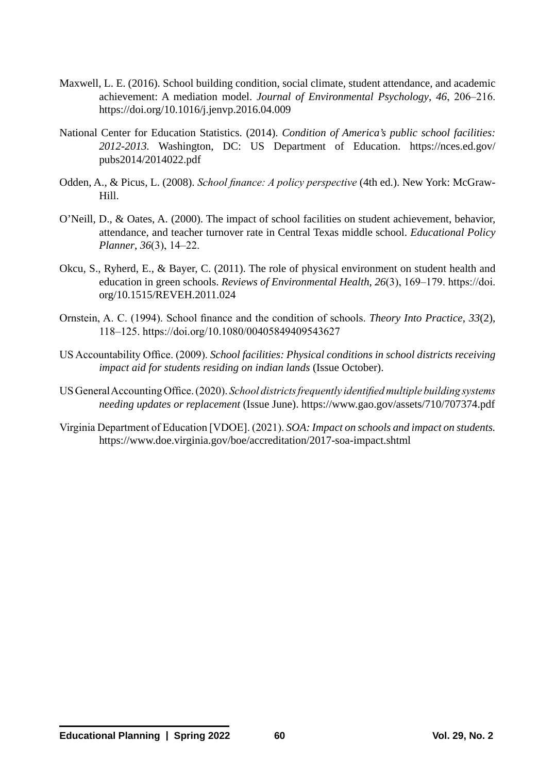- Maxwell, L. E. (2016). School building condition, social climate, student attendance, and academic achievement: A mediation model. *Journal of Environmental Psychology*, *46*, 206–216. https://doi.org/10.1016/j.jenvp.2016.04.009
- National Center for Education Statistics. (2014). *Condition of America's public school facilities: 2012-2013.* Washington, DC: US Department of Education. https://nces.ed.gov/ pubs2014/2014022.pdf
- Odden, A., & Picus, L. (2008). *School finance: A policy perspective* (4th ed.). New York: McGraw-Hill.
- O'Neill, D., & Oates, A. (2000). The impact of school facilities on student achievement, behavior, attendance, and teacher turnover rate in Central Texas middle school. *Educational Policy Planner*, *36*(3), 14–22.
- Okcu, S., Ryherd, E., & Bayer, C. (2011). The role of physical environment on student health and education in green schools. *Reviews of Environmental Health*, *26*(3), 169–179. https://doi. org/10.1515/REVEH.2011.024
- Ornstein, A. C. (1994). School finance and the condition of schools. *Theory Into Practice*, *33*(2), 118–125. https://doi.org/10.1080/00405849409543627
- US Accountability Office. (2009). *School facilities: Physical conditions in school districts receiving impact aid for students residing on indian lands* (Issue October).
- US General Accounting Office. (2020). *School districts frequently identified multiple building systems needing updates or replacement* (Issue June). https://www.gao.gov/assets/710/707374.pdf
- Virginia Department of Education [VDOE]. (2021). *SOA: Impact on schools and impact on students.*  https://www.doe.virginia.gov/boe/accreditation/2017-soa-impact.shtml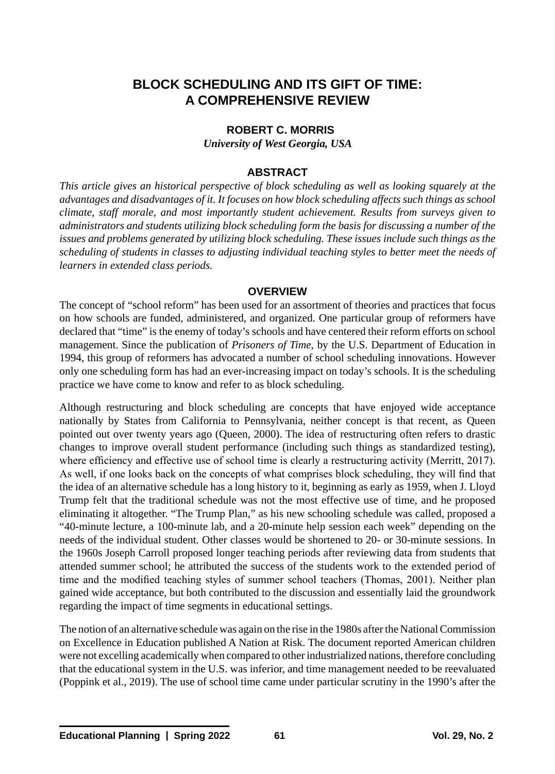# **BLOCK SCHEDULING AND ITS GIFT OF TIME: A COMPREHENSIVE REVIEW**

# **ROBERT C. MORRIS**

*University of West Georgia, USA*

#### **ABSTRACT**

*This article gives an historical perspective of block scheduling as well as looking squarely at the advantages and disadvantages of it. It focuses on how block scheduling affects such things as school climate, staff morale, and most importantly student achievement. Results from surveys given to administrators and students utilizing block scheduling form the basis for discussing a number of the issues and problems generated by utilizing block scheduling. These issues include such things as the scheduling of students in classes to adjusting individual teaching styles to better meet the needs of learners in extended class periods.* 

#### **OVERVIEW**

The concept of "school reform" has been used for an assortment of theories and practices that focus on how schools are funded, administered, and organized. One particular group of reformers have declared that "time" is the enemy of today's schools and have centered their reform efforts on school management. Since the publication of *Prisoners of Time*, by the U.S. Department of Education in 1994, this group of reformers has advocated a number of school scheduling innovations. However only one scheduling form has had an ever-increasing impact on today's schools. It is the scheduling practice we have come to know and refer to as block scheduling.

Although restructuring and block scheduling are concepts that have enjoyed wide acceptance nationally by States from California to Pennsylvania, neither concept is that recent, as Queen pointed out over twenty years ago (Queen, 2000). The idea of restructuring often refers to drastic changes to improve overall student performance (including such things as standardized testing), where efficiency and effective use of school time is clearly a restructuring activity (Merritt, 2017). As well, if one looks back on the concepts of what comprises block scheduling, they will find that the idea of an alternative schedule has a long history to it, beginning as early as 1959, when J. Lloyd Trump felt that the traditional schedule was not the most effective use of time, and he proposed eliminating it altogether. "The Trump Plan," as his new schooling schedule was called, proposed a "40-minute lecture, a 100-minute lab, and a 20-minute help session each week" depending on the needs of the individual student. Other classes would be shortened to 20- or 30-minute sessions. In the 1960s Joseph Carroll proposed longer teaching periods after reviewing data from students that attended summer school; he attributed the success of the students work to the extended period of time and the modified teaching styles of summer school teachers (Thomas, 2001). Neither plan gained wide acceptance, but both contributed to the discussion and essentially laid the groundwork regarding the impact of time segments in educational settings.

The notion of an alternative schedule was again on the rise in the 1980s after the National Commission on Excellence in Education published A Nation at Risk. The document reported American children were not excelling academically when compared to other industrialized nations, therefore concluding that the educational system in the U.S. was inferior, and time management needed to be reevaluated (Poppink et al., 2019). The use of school time came under particular scrutiny in the 1990's after the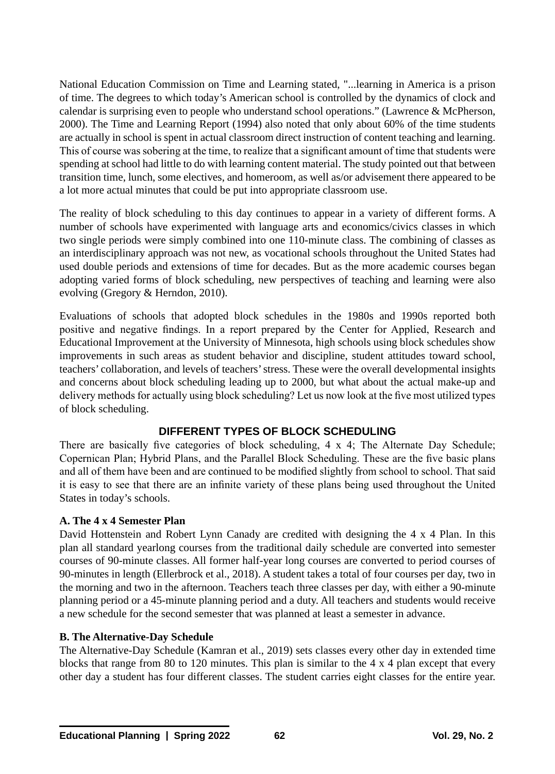National Education Commission on Time and Learning stated, "...learning in America is a prison of time. The degrees to which today's American school is controlled by the dynamics of clock and calendar is surprising even to people who understand school operations." (Lawrence & McPherson, 2000). The Time and Learning Report (1994) also noted that only about 60% of the time students are actually in school is spent in actual classroom direct instruction of content teaching and learning. This of course was sobering at the time, to realize that a significant amount of time that students were spending at school had little to do with learning content material. The study pointed out that between transition time, lunch, some electives, and homeroom, as well as/or advisement there appeared to be a lot more actual minutes that could be put into appropriate classroom use.

The reality of block scheduling to this day continues to appear in a variety of different forms. A number of schools have experimented with language arts and economics/civics classes in which two single periods were simply combined into one 110-minute class. The combining of classes as an interdisciplinary approach was not new, as vocational schools throughout the United States had used double periods and extensions of time for decades. But as the more academic courses began adopting varied forms of block scheduling, new perspectives of teaching and learning were also evolving (Gregory & Herndon, 2010).

Evaluations of schools that adopted block schedules in the 1980s and 1990s reported both positive and negative findings. In a report prepared by the Center for Applied, Research and Educational Improvement at the University of Minnesota, high schools using block schedules show improvements in such areas as student behavior and discipline, student attitudes toward school, teachers' collaboration, and levels of teachers' stress. These were the overall developmental insights and concerns about block scheduling leading up to 2000, but what about the actual make-up and delivery methods for actually using block scheduling? Let us now look at the five most utilized types of block scheduling.

# **DIFFERENT TYPES OF BLOCK SCHEDULING**

There are basically five categories of block scheduling, 4 x 4; The Alternate Day Schedule; Copernican Plan; Hybrid Plans, and the Parallel Block Scheduling. These are the five basic plans and all of them have been and are continued to be modified slightly from school to school. That said it is easy to see that there are an infinite variety of these plans being used throughout the United States in today's schools.

# **A. The 4 x 4 Semester Plan**

David Hottenstein and Robert Lynn Canady are credited with designing the 4 x 4 Plan. In this plan all standard yearlong courses from the traditional daily schedule are converted into semester courses of 90-minute classes. All former half-year long courses are converted to period courses of 90-minutes in length (Ellerbrock et al., 2018). A student takes a total of four courses per day, two in the morning and two in the afternoon. Teachers teach three classes per day, with either a 90-minute planning period or a 45-minute planning period and a duty. All teachers and students would receive a new schedule for the second semester that was planned at least a semester in advance.

# **B. The Alternative-Day Schedule**

The Alternative-Day Schedule (Kamran et al., 2019) sets classes every other day in extended time blocks that range from 80 to 120 minutes. This plan is similar to the 4 x 4 plan except that every other day a student has four different classes. The student carries eight classes for the entire year.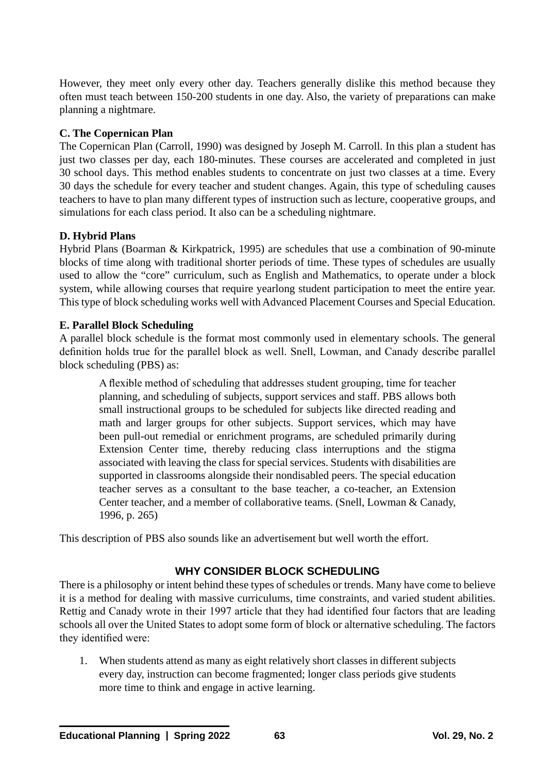However, they meet only every other day. Teachers generally dislike this method because they often must teach between 150-200 students in one day. Also, the variety of preparations can make planning a nightmare.

# **C. The Copernican Plan**

The Copernican Plan (Carroll, 1990) was designed by Joseph M. Carroll. In this plan a student has just two classes per day, each 180-minutes. These courses are accelerated and completed in just 30 school days. This method enables students to concentrate on just two classes at a time. Every 30 days the schedule for every teacher and student changes. Again, this type of scheduling causes teachers to have to plan many different types of instruction such as lecture, cooperative groups, and simulations for each class period. It also can be a scheduling nightmare.

# **D. Hybrid Plans**

Hybrid Plans (Boarman & Kirkpatrick, 1995) are schedules that use a combination of 90-minute blocks of time along with traditional shorter periods of time. These types of schedules are usually used to allow the "core" curriculum, such as English and Mathematics, to operate under a block system, while allowing courses that require yearlong student participation to meet the entire year. This type of block scheduling works well with Advanced Placement Courses and Special Education.

# **E. Parallel Block Scheduling**

A parallel block schedule is the format most commonly used in elementary schools. The general definition holds true for the parallel block as well. Snell, Lowman, and Canady describe parallel block scheduling (PBS) as:

A flexible method of scheduling that addresses student grouping, time for teacher planning, and scheduling of subjects, support services and staff. PBS allows both small instructional groups to be scheduled for subjects like directed reading and math and larger groups for other subjects. Support services, which may have been pull-out remedial or enrichment programs, are scheduled primarily during Extension Center time, thereby reducing class interruptions and the stigma associated with leaving the class for special services. Students with disabilities are supported in classrooms alongside their nondisabled peers. The special education teacher serves as a consultant to the base teacher, a co-teacher, an Extension Center teacher, and a member of collaborative teams. (Snell, Lowman & Canady, 1996, p. 265)

This description of PBS also sounds like an advertisement but well worth the effort.

# **WHY CONSIDER BLOCK SCHEDULING**

There is a philosophy or intent behind these types of schedules or trends. Many have come to believe it is a method for dealing with massive curriculums, time constraints, and varied student abilities. Rettig and Canady wrote in their 1997 article that they had identified four factors that are leading schools all over the United States to adopt some form of block or alternative scheduling. The factors they identified were:

1. When students attend as many as eight relatively short classes in different subjects every day, instruction can become fragmented; longer class periods give students more time to think and engage in active learning.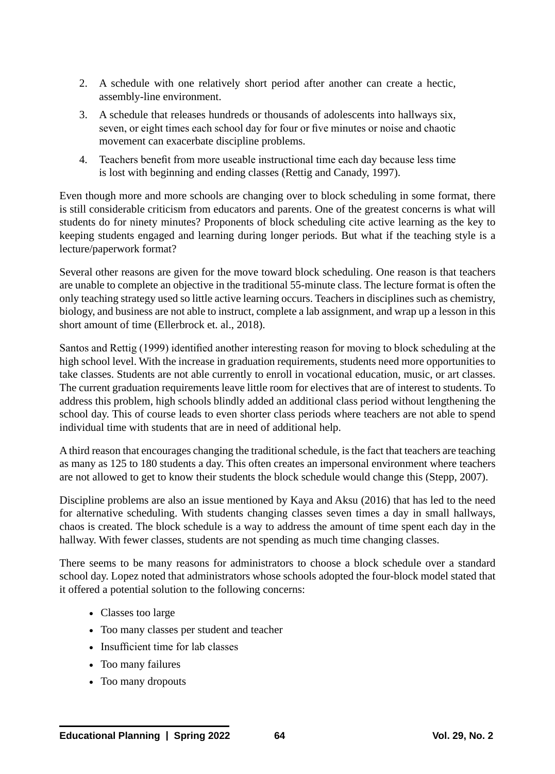- 2. A schedule with one relatively short period after another can create a hectic, assembly-line environment.
- 3. A schedule that releases hundreds or thousands of adolescents into hallways six, seven, or eight times each school day for four or five minutes or noise and chaotic movement can exacerbate discipline problems.
- 4. Teachers benefit from more useable instructional time each day because less time is lost with beginning and ending classes (Rettig and Canady, 1997).

Even though more and more schools are changing over to block scheduling in some format, there is still considerable criticism from educators and parents. One of the greatest concerns is what will students do for ninety minutes? Proponents of block scheduling cite active learning as the key to keeping students engaged and learning during longer periods. But what if the teaching style is a lecture/paperwork format?

Several other reasons are given for the move toward block scheduling. One reason is that teachers are unable to complete an objective in the traditional 55-minute class. The lecture format is often the only teaching strategy used so little active learning occurs. Teachers in disciplines such as chemistry, biology, and business are not able to instruct, complete a lab assignment, and wrap up a lesson in this short amount of time (Ellerbrock et. al., 2018).

Santos and Rettig (1999) identified another interesting reason for moving to block scheduling at the high school level. With the increase in graduation requirements, students need more opportunities to take classes. Students are not able currently to enroll in vocational education, music, or art classes. The current graduation requirements leave little room for electives that are of interest to students. To address this problem, high schools blindly added an additional class period without lengthening the school day. This of course leads to even shorter class periods where teachers are not able to spend individual time with students that are in need of additional help.

A third reason that encourages changing the traditional schedule, is the fact that teachers are teaching as many as 125 to 180 students a day. This often creates an impersonal environment where teachers are not allowed to get to know their students the block schedule would change this (Stepp, 2007).

Discipline problems are also an issue mentioned by Kaya and Aksu (2016) that has led to the need for alternative scheduling. With students changing classes seven times a day in small hallways, chaos is created. The block schedule is a way to address the amount of time spent each day in the hallway. With fewer classes, students are not spending as much time changing classes.

There seems to be many reasons for administrators to choose a block schedule over a standard school day. Lopez noted that administrators whose schools adopted the four-block model stated that it offered a potential solution to the following concerns:

- • Classes too large
- Too many classes per student and teacher
- Insufficient time for lab classes
- Too many failures
- Too many dropouts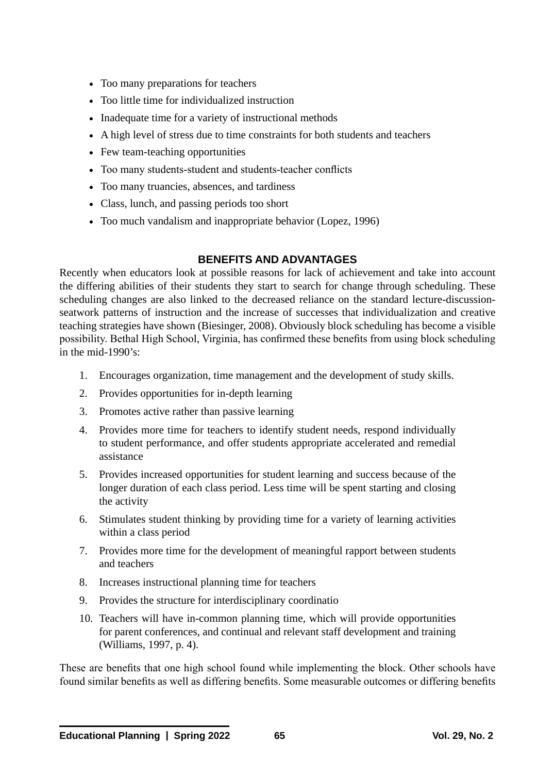- Too many preparations for teachers
- Too little time for individualized instruction
- Inadequate time for a variety of instructional methods
- A high level of stress due to time constraints for both students and teachers
- Few team-teaching opportunities
- Too many students-student and students-teacher conflicts
- Too many truancies, absences, and tardiness
- Class, lunch, and passing periods too short
- Too much vandalism and inappropriate behavior (Lopez, 1996)

# **BENEFITS AND ADVANTAGES**

Recently when educators look at possible reasons for lack of achievement and take into account the differing abilities of their students they start to search for change through scheduling. These scheduling changes are also linked to the decreased reliance on the standard lecture-discussionseatwork patterns of instruction and the increase of successes that individualization and creative teaching strategies have shown (Biesinger, 2008). Obviously block scheduling has become a visible possibility. Bethal High School, Virginia, has confirmed these benefits from using block scheduling in the mid-1990's:

- 1. Encourages organization, time management and the development of study skills.
- 2. Provides opportunities for in-depth learning
- 3. Promotes active rather than passive learning
- 4. Provides more time for teachers to identify student needs, respond individually to student performance, and offer students appropriate accelerated and remedial assistance
- 5. Provides increased opportunities for student learning and success because of the longer duration of each class period. Less time will be spent starting and closing the activity
- 6. Stimulates student thinking by providing time for a variety of learning activities within a class period
- 7. Provides more time for the development of meaningful rapport between students and teachers
- 8. Increases instructional planning time for teachers
- 9. Provides the structure for interdisciplinary coordinatio
- 10. Teachers will have in-common planning time, which will provide opportunities for parent conferences, and continual and relevant staff development and training (Williams, 1997, p. 4).

These are benefits that one high school found while implementing the block. Other schools have found similar benefits as well as differing benefits. Some measurable outcomes or differing benefits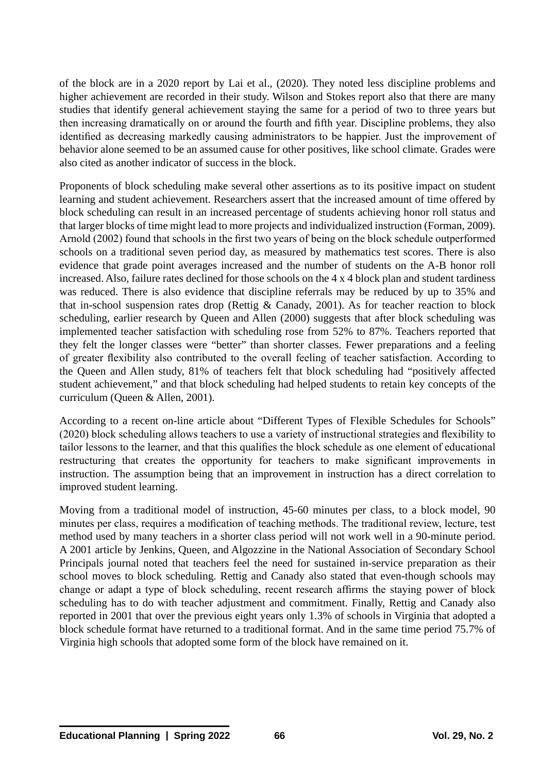of the block are in a 2020 report by Lai et al., (2020). They noted less discipline problems and higher achievement are recorded in their study. Wilson and Stokes report also that there are many studies that identify general achievement staying the same for a period of two to three years but then increasing dramatically on or around the fourth and fifth year. Discipline problems, they also identified as decreasing markedly causing administrators to be happier. Just the improvement of behavior alone seemed to be an assumed cause for other positives, like school climate. Grades were also cited as another indicator of success in the block.

Proponents of block scheduling make several other assertions as to its positive impact on student learning and student achievement. Researchers assert that the increased amount of time offered by block scheduling can result in an increased percentage of students achieving honor roll status and that larger blocks of time might lead to more projects and individualized instruction (Forman, 2009). Arnold (2002) found that schools in the first two years of being on the block schedule outperformed schools on a traditional seven period day, as measured by mathematics test scores. There is also evidence that grade point averages increased and the number of students on the A-B honor roll increased. Also, failure rates declined for those schools on the 4 x 4 block plan and student tardiness was reduced. There is also evidence that discipline referrals may be reduced by up to 35% and that in-school suspension rates drop (Rettig & Canady, 2001). As for teacher reaction to block scheduling, earlier research by Queen and Allen (2000) suggests that after block scheduling was implemented teacher satisfaction with scheduling rose from 52% to 87%. Teachers reported that they felt the longer classes were "better" than shorter classes. Fewer preparations and a feeling of greater flexibility also contributed to the overall feeling of teacher satisfaction. According to the Queen and Allen study, 81% of teachers felt that block scheduling had "positively affected student achievement," and that block scheduling had helped students to retain key concepts of the curriculum (Queen & Allen, 2001).

According to a recent on-line article about "Different Types of Flexible Schedules for Schools" (2020) block scheduling allows teachers to use a variety of instructional strategies and flexibility to tailor lessons to the learner, and that this qualifies the block schedule as one element of educational restructuring that creates the opportunity for teachers to make significant improvements in instruction. The assumption being that an improvement in instruction has a direct correlation to improved student learning.

Moving from a traditional model of instruction, 45-60 minutes per class, to a block model, 90 minutes per class, requires a modification of teaching methods. The traditional review, lecture, test method used by many teachers in a shorter class period will not work well in a 90-minute period. A 2001 article by Jenkins, Queen, and Algozzine in the National Association of Secondary School Principals journal noted that teachers feel the need for sustained in-service preparation as their school moves to block scheduling. Rettig and Canady also stated that even-though schools may change or adapt a type of block scheduling, recent research affirms the staying power of block scheduling has to do with teacher adjustment and commitment. Finally, Rettig and Canady also reported in 2001 that over the previous eight years only 1.3% of schools in Virginia that adopted a block schedule format have returned to a traditional format. And in the same time period 75.7% of Virginia high schools that adopted some form of the block have remained on it.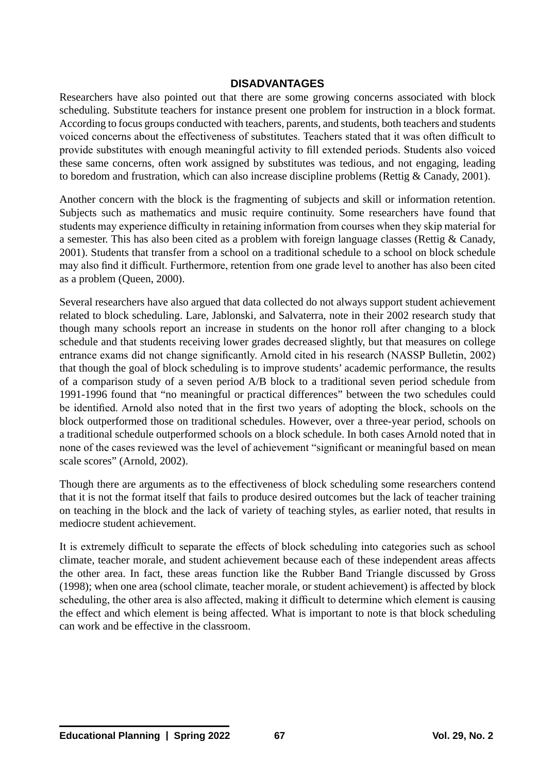#### **DISADVANTAGES**

Researchers have also pointed out that there are some growing concerns associated with block scheduling. Substitute teachers for instance present one problem for instruction in a block format. According to focus groups conducted with teachers, parents, and students, both teachers and students voiced concerns about the effectiveness of substitutes. Teachers stated that it was often difficult to provide substitutes with enough meaningful activity to fill extended periods. Students also voiced these same concerns, often work assigned by substitutes was tedious, and not engaging, leading to boredom and frustration, which can also increase discipline problems (Rettig & Canady, 2001).

Another concern with the block is the fragmenting of subjects and skill or information retention. Subjects such as mathematics and music require continuity. Some researchers have found that students may experience difficulty in retaining information from courses when they skip material for a semester. This has also been cited as a problem with foreign language classes (Rettig & Canady, 2001). Students that transfer from a school on a traditional schedule to a school on block schedule may also find it difficult. Furthermore, retention from one grade level to another has also been cited as a problem (Queen, 2000).

Several researchers have also argued that data collected do not always support student achievement related to block scheduling. Lare, Jablonski, and Salvaterra, note in their 2002 research study that though many schools report an increase in students on the honor roll after changing to a block schedule and that students receiving lower grades decreased slightly, but that measures on college entrance exams did not change significantly. Arnold cited in his research (NASSP Bulletin, 2002) that though the goal of block scheduling is to improve students' academic performance, the results of a comparison study of a seven period A/B block to a traditional seven period schedule from 1991-1996 found that "no meaningful or practical differences" between the two schedules could be identified. Arnold also noted that in the first two years of adopting the block, schools on the block outperformed those on traditional schedules. However, over a three-year period, schools on a traditional schedule outperformed schools on a block schedule. In both cases Arnold noted that in none of the cases reviewed was the level of achievement "significant or meaningful based on mean scale scores" (Arnold, 2002).

Though there are arguments as to the effectiveness of block scheduling some researchers contend that it is not the format itself that fails to produce desired outcomes but the lack of teacher training on teaching in the block and the lack of variety of teaching styles, as earlier noted, that results in mediocre student achievement.

It is extremely difficult to separate the effects of block scheduling into categories such as school climate, teacher morale, and student achievement because each of these independent areas affects the other area. In fact, these areas function like the Rubber Band Triangle discussed by Gross (1998); when one area (school climate, teacher morale, or student achievement) is affected by block scheduling, the other area is also affected, making it difficult to determine which element is causing the effect and which element is being affected. What is important to note is that block scheduling can work and be effective in the classroom.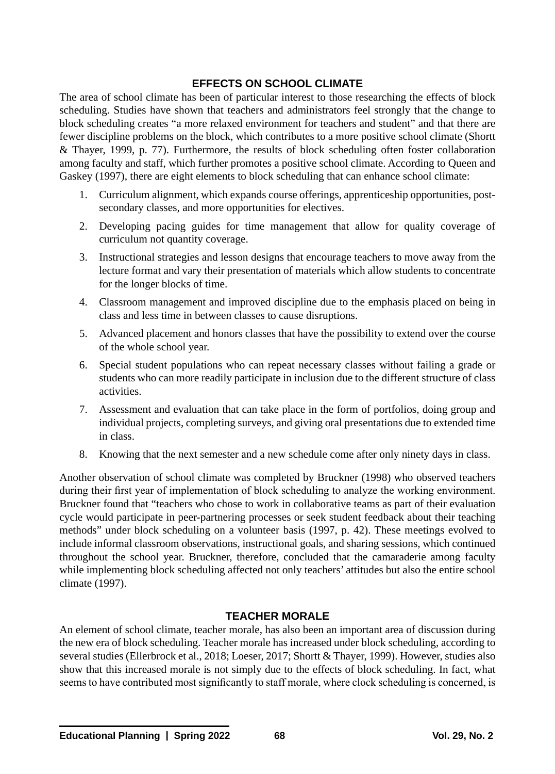# **EFFECTS ON SCHOOL CLIMATE**

The area of school climate has been of particular interest to those researching the effects of block scheduling. Studies have shown that teachers and administrators feel strongly that the change to block scheduling creates "a more relaxed environment for teachers and student" and that there are fewer discipline problems on the block, which contributes to a more positive school climate (Shortt & Thayer, 1999, p. 77). Furthermore, the results of block scheduling often foster collaboration among faculty and staff, which further promotes a positive school climate. According to Queen and Gaskey (1997), there are eight elements to block scheduling that can enhance school climate:

- 1. Curriculum alignment, which expands course offerings, apprenticeship opportunities, postsecondary classes, and more opportunities for electives.
- 2. Developing pacing guides for time management that allow for quality coverage of curriculum not quantity coverage.
- 3. Instructional strategies and lesson designs that encourage teachers to move away from the lecture format and vary their presentation of materials which allow students to concentrate for the longer blocks of time.
- 4. Classroom management and improved discipline due to the emphasis placed on being in class and less time in between classes to cause disruptions.
- 5. Advanced placement and honors classes that have the possibility to extend over the course of the whole school year.
- 6. Special student populations who can repeat necessary classes without failing a grade or students who can more readily participate in inclusion due to the different structure of class activities.
- 7. Assessment and evaluation that can take place in the form of portfolios, doing group and individual projects, completing surveys, and giving oral presentations due to extended time in class.
- 8. Knowing that the next semester and a new schedule come after only ninety days in class.

Another observation of school climate was completed by Bruckner (1998) who observed teachers during their first year of implementation of block scheduling to analyze the working environment. Bruckner found that "teachers who chose to work in collaborative teams as part of their evaluation cycle would participate in peer-partnering processes or seek student feedback about their teaching methods" under block scheduling on a volunteer basis (1997, p. 42). These meetings evolved to include informal classroom observations, instructional goals, and sharing sessions, which continued throughout the school year. Bruckner, therefore, concluded that the camaraderie among faculty while implementing block scheduling affected not only teachers' attitudes but also the entire school climate (1997).

# **TEACHER MORALE**

An element of school climate, teacher morale, has also been an important area of discussion during the new era of block scheduling. Teacher morale has increased under block scheduling, according to several studies (Ellerbrock et al., 2018; Loeser, 2017; Shortt & Thayer, 1999). However, studies also show that this increased morale is not simply due to the effects of block scheduling. In fact, what seems to have contributed most significantly to staff morale, where clock scheduling is concerned, is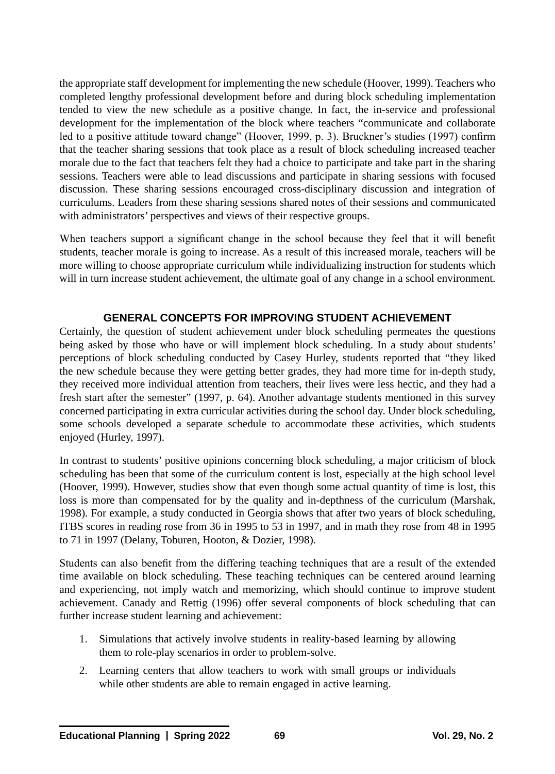the appropriate staff development for implementing the new schedule (Hoover, 1999). Teachers who completed lengthy professional development before and during block scheduling implementation tended to view the new schedule as a positive change. In fact, the in-service and professional development for the implementation of the block where teachers "communicate and collaborate led to a positive attitude toward change" (Hoover, 1999, p. 3). Bruckner's studies (1997) confirm that the teacher sharing sessions that took place as a result of block scheduling increased teacher morale due to the fact that teachers felt they had a choice to participate and take part in the sharing sessions. Teachers were able to lead discussions and participate in sharing sessions with focused discussion. These sharing sessions encouraged cross-disciplinary discussion and integration of curriculums. Leaders from these sharing sessions shared notes of their sessions and communicated with administrators' perspectives and views of their respective groups.

When teachers support a significant change in the school because they feel that it will benefit students, teacher morale is going to increase. As a result of this increased morale, teachers will be more willing to choose appropriate curriculum while individualizing instruction for students which will in turn increase student achievement, the ultimate goal of any change in a school environment.

# **GENERAL CONCEPTS FOR IMPROVING STUDENT ACHIEVEMENT**

Certainly, the question of student achievement under block scheduling permeates the questions being asked by those who have or will implement block scheduling. In a study about students' perceptions of block scheduling conducted by Casey Hurley, students reported that "they liked the new schedule because they were getting better grades, they had more time for in-depth study, they received more individual attention from teachers, their lives were less hectic, and they had a fresh start after the semester" (1997, p. 64). Another advantage students mentioned in this survey concerned participating in extra curricular activities during the school day. Under block scheduling, some schools developed a separate schedule to accommodate these activities, which students enjoyed (Hurley, 1997).

In contrast to students' positive opinions concerning block scheduling, a major criticism of block scheduling has been that some of the curriculum content is lost, especially at the high school level (Hoover, 1999). However, studies show that even though some actual quantity of time is lost, this loss is more than compensated for by the quality and in-depthness of the curriculum (Marshak, 1998). For example, a study conducted in Georgia shows that after two years of block scheduling, ITBS scores in reading rose from 36 in 1995 to 53 in 1997, and in math they rose from 48 in 1995 to 71 in 1997 (Delany, Toburen, Hooton, & Dozier, 1998).

Students can also benefit from the differing teaching techniques that are a result of the extended time available on block scheduling. These teaching techniques can be centered around learning and experiencing, not imply watch and memorizing, which should continue to improve student achievement. Canady and Rettig (1996) offer several components of block scheduling that can further increase student learning and achievement:

- 1. Simulations that actively involve students in reality-based learning by allowing them to role-play scenarios in order to problem-solve.
- 2. Learning centers that allow teachers to work with small groups or individuals while other students are able to remain engaged in active learning.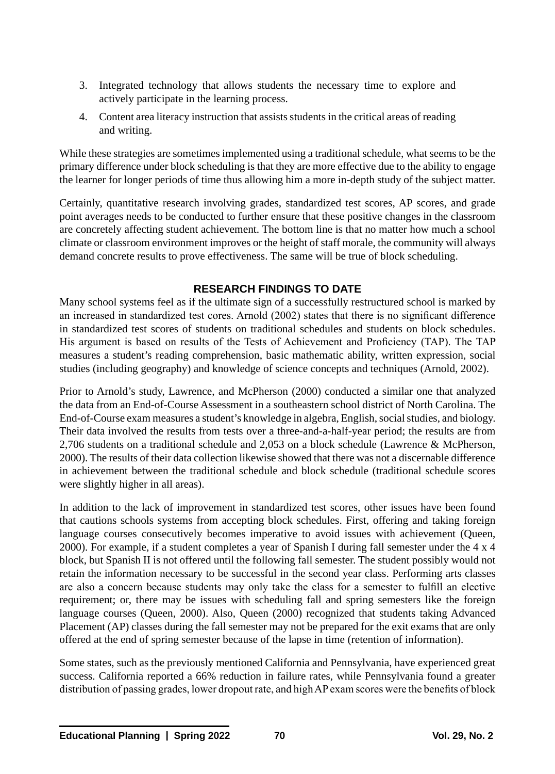- 3. Integrated technology that allows students the necessary time to explore and actively participate in the learning process.
- 4. Content area literacy instruction that assists students in the critical areas of reading and writing.

While these strategies are sometimes implemented using a traditional schedule, what seems to be the primary difference under block scheduling is that they are more effective due to the ability to engage the learner for longer periods of time thus allowing him a more in-depth study of the subject matter.

Certainly, quantitative research involving grades, standardized test scores, AP scores, and grade point averages needs to be conducted to further ensure that these positive changes in the classroom are concretely affecting student achievement. The bottom line is that no matter how much a school climate or classroom environment improves or the height of staff morale, the community will always demand concrete results to prove effectiveness. The same will be true of block scheduling.

# **RESEARCH FINDINGS TO DATE**

Many school systems feel as if the ultimate sign of a successfully restructured school is marked by an increased in standardized test cores. Arnold (2002) states that there is no significant difference in standardized test scores of students on traditional schedules and students on block schedules. His argument is based on results of the Tests of Achievement and Proficiency (TAP). The TAP measures a student's reading comprehension, basic mathematic ability, written expression, social studies (including geography) and knowledge of science concepts and techniques (Arnold, 2002).

Prior to Arnold's study, Lawrence, and McPherson (2000) conducted a similar one that analyzed the data from an End-of-Course Assessment in a southeastern school district of North Carolina. The End-of-Course exam measures a student's knowledge in algebra, English, social studies, and biology. Their data involved the results from tests over a three-and-a-half-year period; the results are from 2,706 students on a traditional schedule and 2,053 on a block schedule (Lawrence & McPherson, 2000). The results of their data collection likewise showed that there was not a discernable difference in achievement between the traditional schedule and block schedule (traditional schedule scores were slightly higher in all areas).

In addition to the lack of improvement in standardized test scores, other issues have been found that cautions schools systems from accepting block schedules. First, offering and taking foreign language courses consecutively becomes imperative to avoid issues with achievement (Queen, 2000). For example, if a student completes a year of Spanish I during fall semester under the 4 x 4 block, but Spanish II is not offered until the following fall semester. The student possibly would not retain the information necessary to be successful in the second year class. Performing arts classes are also a concern because students may only take the class for a semester to fulfill an elective requirement; or, there may be issues with scheduling fall and spring semesters like the foreign language courses (Queen, 2000). Also, Queen (2000) recognized that students taking Advanced Placement (AP) classes during the fall semester may not be prepared for the exit exams that are only offered at the end of spring semester because of the lapse in time (retention of information).

Some states, such as the previously mentioned California and Pennsylvania, have experienced great success. California reported a 66% reduction in failure rates, while Pennsylvania found a greater distribution of passing grades, lower dropout rate, and high AP exam scores were the benefits of block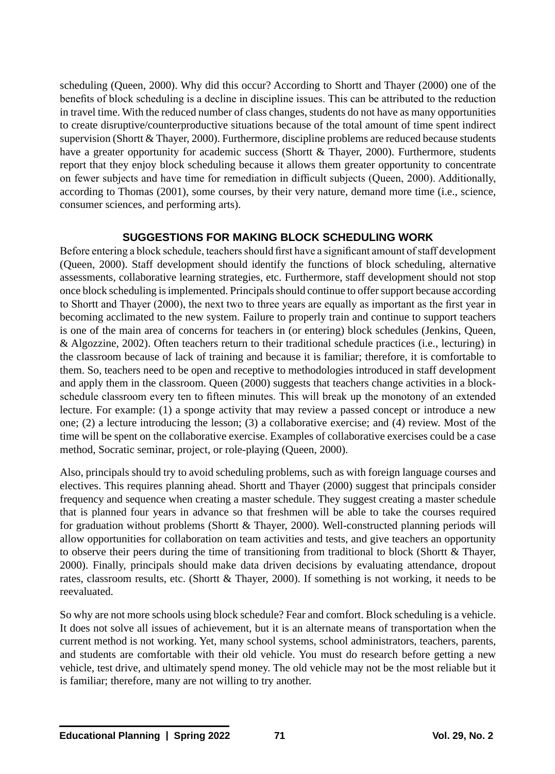scheduling (Queen, 2000). Why did this occur? According to Shortt and Thayer (2000) one of the benefits of block scheduling is a decline in discipline issues. This can be attributed to the reduction in travel time. With the reduced number of class changes, students do not have as many opportunities to create disruptive/counterproductive situations because of the total amount of time spent indirect supervision (Shortt & Thayer, 2000). Furthermore, discipline problems are reduced because students have a greater opportunity for academic success (Shortt & Thayer, 2000). Furthermore, students report that they enjoy block scheduling because it allows them greater opportunity to concentrate on fewer subjects and have time for remediation in difficult subjects (Queen, 2000). Additionally, according to Thomas (2001), some courses, by their very nature, demand more time (i.e., science, consumer sciences, and performing arts).

# **SUGGESTIONS FOR MAKING BLOCK SCHEDULING WORK**

Before entering a block schedule, teachers should first have a significant amount of staff development (Queen, 2000). Staff development should identify the functions of block scheduling, alternative assessments, collaborative learning strategies, etc. Furthermore, staff development should not stop once block scheduling is implemented. Principals should continue to offer support because according to Shortt and Thayer (2000), the next two to three years are equally as important as the first year in becoming acclimated to the new system. Failure to properly train and continue to support teachers is one of the main area of concerns for teachers in (or entering) block schedules (Jenkins, Queen, & Algozzine, 2002). Often teachers return to their traditional schedule practices (i.e., lecturing) in the classroom because of lack of training and because it is familiar; therefore, it is comfortable to them. So, teachers need to be open and receptive to methodologies introduced in staff development and apply them in the classroom. Queen (2000) suggests that teachers change activities in a blockschedule classroom every ten to fifteen minutes. This will break up the monotony of an extended lecture. For example: (1) a sponge activity that may review a passed concept or introduce a new one; (2) a lecture introducing the lesson; (3) a collaborative exercise; and (4) review. Most of the time will be spent on the collaborative exercise. Examples of collaborative exercises could be a case method, Socratic seminar, project, or role-playing (Queen, 2000).

Also, principals should try to avoid scheduling problems, such as with foreign language courses and electives. This requires planning ahead. Shortt and Thayer (2000) suggest that principals consider frequency and sequence when creating a master schedule. They suggest creating a master schedule that is planned four years in advance so that freshmen will be able to take the courses required for graduation without problems (Shortt & Thayer, 2000). Well-constructed planning periods will allow opportunities for collaboration on team activities and tests, and give teachers an opportunity to observe their peers during the time of transitioning from traditional to block (Shortt & Thayer, 2000). Finally, principals should make data driven decisions by evaluating attendance, dropout rates, classroom results, etc. (Shortt & Thayer, 2000). If something is not working, it needs to be reevaluated.

So why are not more schools using block schedule? Fear and comfort. Block scheduling is a vehicle. It does not solve all issues of achievement, but it is an alternate means of transportation when the current method is not working. Yet, many school systems, school administrators, teachers, parents, and students are comfortable with their old vehicle. You must do research before getting a new vehicle, test drive, and ultimately spend money. The old vehicle may not be the most reliable but it is familiar; therefore, many are not willing to try another.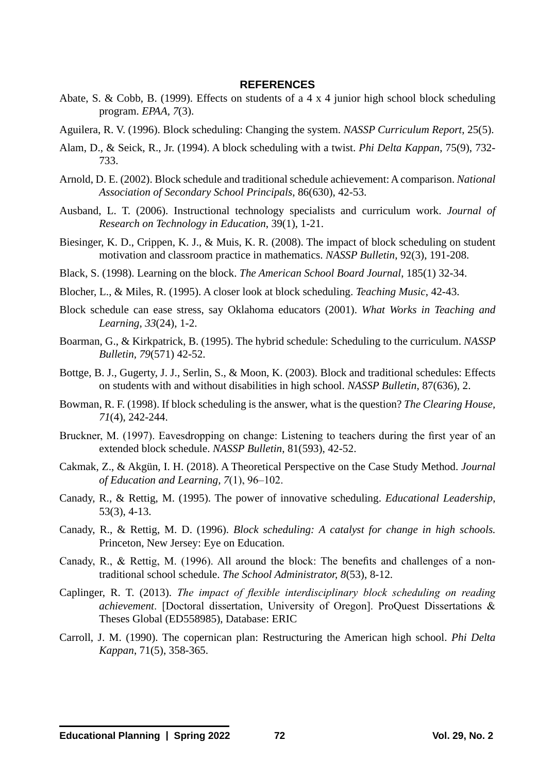#### **REFERENCES**

- Abate, S. & Cobb, B. (1999). Effects on students of a  $4 \times 4$  junior high school block scheduling program. *EPAA, 7*(3).
- Aguilera, R. V. (1996). Block scheduling: Changing the system. *NASSP Curriculum Report*, 25(5).
- Alam, D., & Seick, R., Jr. (1994). A block scheduling with a twist. *Phi Delta Kappan*, 75(9), 732- 733.
- Arnold, D. E. (2002). Block schedule and traditional schedule achievement: A comparison. *National Association of Secondary School Principals*, 86(630), 42-53.
- Ausband, L. T. (2006). Instructional technology specialists and curriculum work. *Journal of Research on Technology in Education*, 39(1), 1-21.
- Biesinger, K. D., Crippen, K. J., & Muis, K. R. (2008). The impact of block scheduling on student motivation and classroom practice in mathematics. *NASSP Bulletin*, 92(3), 191-208.
- Black, S. (1998). Learning on the block. *The American School Board Journal*, 185(1) 32-34.
- Blocher, L., & Miles, R. (1995). A closer look at block scheduling. *Teaching Music*, 42-43.
- Block schedule can ease stress, say Oklahoma educators (2001). *What Works in Teaching and Learning, 33*(24), 1-2.
- Boarman, G., & Kirkpatrick, B. (1995). The hybrid schedule: Scheduling to the curriculum. *NASSP Bulletin, 79*(571) 42-52.
- Bottge, B. J., Gugerty, J. J., Serlin, S., & Moon, K. (2003). Block and traditional schedules: Effects on students with and without disabilities in high school. *NASSP Bulletin*, 87(636), 2.
- Bowman, R. F. (1998). If block scheduling is the answer, what is the question? *The Clearing House, 71*(4), 242-244.
- Bruckner, M. (1997). Eavesdropping on change: Listening to teachers during the first year of an extended block schedule. *NASSP Bulletin*, 81(593), 42-52.
- Cakmak, Z., & Akgün, I. H. (2018). A Theoretical Perspective on the Case Study Method. *Journal of Education and Learning, 7*(1), 96–102.
- Canady, R., & Rettig, M. (1995). The power of innovative scheduling. *Educational Leadership*, 53(3), 4-13.
- Canady, R., & Rettig, M. D. (1996). *Block scheduling: A catalyst for change in high schools.* Princeton, New Jersey: Eye on Education.
- Canady, R., & Rettig, M. (1996). All around the block: The benefits and challenges of a nontraditional school schedule. *The School Administrator, 8*(53), 8-12.
- Caplinger, R. T. (2013). *The impact of flexible interdisciplinary block scheduling on reading achievement*. [Doctoral dissertation, University of Oregon]. ProQuest Dissertations & Theses Global (ED558985), Database: ERIC
- Carroll, J. M. (1990). The copernican plan: Restructuring the American high school. *Phi Delta Kappan*, 71(5), 358-365.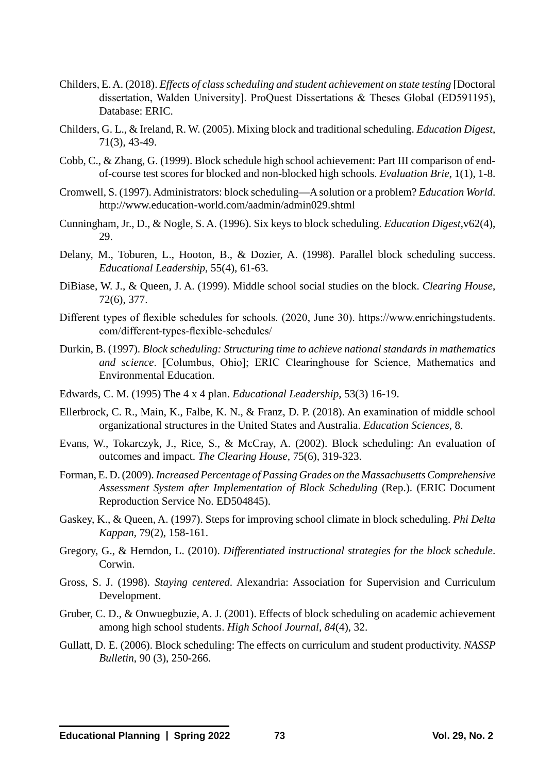- Childers, E. A. (2018). *Effects of classscheduling and student achievement on state testing* [Doctoral dissertation, Walden University]. ProQuest Dissertations & Theses Global (ED591195), Database: ERIC.
- Childers, G. L., & Ireland, R. W. (2005). Mixing block and traditional scheduling. *Education Digest*, 71(3), 43-49.
- Cobb, C., & Zhang, G. (1999). Block schedule high school achievement: Part III comparison of endof-course test scores for blocked and non-blocked high schools. *Evaluation Brie*, 1(1), 1-8.
- Cromwell, S. (1997). Administrators: block scheduling—A solution or a problem? *Education World*. http://www.education-world.com/aadmin/admin029.shtml
- Cunningham, Jr., D., & Nogle, S. A. (1996). Six keys to block scheduling. *Education Digest*,v62(4), 29.
- Delany, M., Toburen, L., Hooton, B., & Dozier, A. (1998). Parallel block scheduling success. *Educational Leadership*, 55(4), 61-63.
- DiBiase, W. J., & Queen, J. A. (1999). Middle school social studies on the block. *Clearing House*, 72(6), 377.
- Different types of flexible schedules for schools. (2020, June 30). https://www.enrichingstudents. com/different-types-flexible-schedules/
- Durkin, B. (1997). *Block scheduling: Structuring time to achieve national standards in mathematics and science*. [Columbus, Ohio]; ERIC Clearinghouse for Science, Mathematics and Environmental Education.
- Edwards, C. M. (1995) The 4 x 4 plan. *Educational Leadership*, 53(3) 16-19.
- Ellerbrock, C. R., Main, K., Falbe, K. N., & Franz, D. P. (2018). An examination of middle school organizational structures in the United States and Australia. *Education Sciences*, 8.
- Evans, W., Tokarczyk, J., Rice, S., & McCray, A. (2002). Block scheduling: An evaluation of outcomes and impact. *The Clearing House*, 75(6), 319-323.
- Forman, E. D. (2009).*Increased Percentage of Passing Grades on the Massachusetts Comprehensive Assessment System after Implementation of Block Scheduling* (Rep.). (ERIC Document Reproduction Service No. ED504845).
- Gaskey, K., & Queen, A. (1997). Steps for improving school climate in block scheduling. *Phi Delta Kappan*, 79(2), 158-161.
- Gregory, G., & Herndon, L. (2010). *Differentiated instructional strategies for the block schedule*. Corwin.
- Gross, S. J. (1998). *Staying centered*. Alexandria: Association for Supervision and Curriculum Development.
- Gruber, C. D., & Onwuegbuzie, A. J. (2001). Effects of block scheduling on academic achievement among high school students. *High School Journal, 84*(4), 32.
- Gullatt, D. E. (2006). Block scheduling: The effects on curriculum and student productivity. *NASSP Bulletin*, 90 (3), 250-266.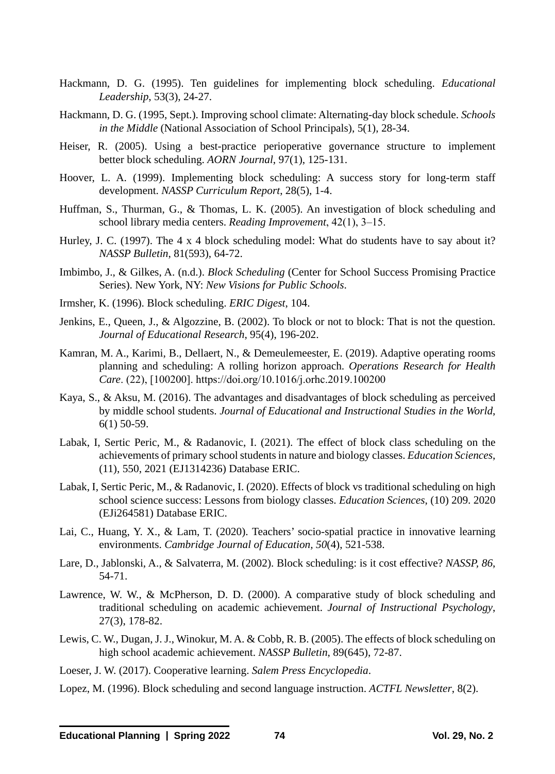- Hackmann, D. G. (1995). Ten guidelines for implementing block scheduling. *Educational Leadership*, 53(3), 24-27.
- Hackmann, D. G. (1995, Sept.). Improving school climate: Alternating-day block schedule. *Schools in the Middle* (National Association of School Principals), 5(1), 28-34.
- Heiser, R. (2005). Using a best-practice perioperative governance structure to implement better block scheduling. *AORN Journal*, 97(1), 125-131.
- Hoover, L. A. (1999). Implementing block scheduling: A success story for long-term staff development. *NASSP Curriculum Report*, 28(5), 1-4.
- Huffman, S., Thurman, G., & Thomas, L. K. (2005). An investigation of block scheduling and school library media centers. *Reading Improvement*, 42(1), 3–15.
- Hurley, J. C. (1997). The 4 x 4 block scheduling model: What do students have to say about it? *NASSP Bulletin*, 81(593), 64-72.
- Imbimbo, J., & Gilkes, A. (n.d.). *Block Scheduling* (Center for School Success Promising Practice Series). New York, NY: *New Visions for Public Schools*.
- Irmsher, K. (1996). Block scheduling. *ERIC Digest*, 104.
- Jenkins, E., Queen, J., & Algozzine, B. (2002). To block or not to block: That is not the question. *Journal of Educational Research*, 95(4), 196-202.
- Kamran, M. A., Karimi, B., Dellaert, N., & Demeulemeester, E. (2019). Adaptive operating rooms planning and scheduling: A rolling horizon approach. *Operations Research for Health Care*. (22), [100200]. https://doi.org/10.1016/j.orhc.2019.100200
- Kaya, S., & Aksu, M. (2016). The advantages and disadvantages of block scheduling as perceived by middle school students. *Journal of Educational and Instructional Studies in the World*, 6(1) 50-59.
- Labak, I, Sertic Peric, M., & Radanovic, I. (2021). The effect of block class scheduling on the achievements of primary school students in nature and biology classes. *Education Sciences*, (11), 550, 2021 (EJ1314236) Database ERIC.
- Labak, I, Sertic Peric, M., & Radanovic, I. (2020). Effects of block vs traditional scheduling on high school science success: Lessons from biology classes. *Education Sciences*, (10) 209. 2020 (EJi264581) Database ERIC.
- Lai, C., Huang, Y. X., & Lam, T. (2020). Teachers' socio-spatial practice in innovative learning environments. *Cambridge Journal of Education, 50*(4), 521-538.
- Lare, D., Jablonski, A., & Salvaterra, M. (2002). Block scheduling: is it cost effective? *NASSP, 86*, 54-71.
- Lawrence, W. W., & McPherson, D. D. (2000). A comparative study of block scheduling and traditional scheduling on academic achievement. *Journal of Instructional Psychology*, 27(3), 178-82.
- Lewis, C. W., Dugan, J. J., Winokur, M. A. & Cobb, R. B. (2005). The effects of block scheduling on high school academic achievement. *NASSP Bulletin*, 89(645), 72-87.

Loeser, J. W. (2017). Cooperative learning. *Salem Press Encyclopedia*.

Lopez, M. (1996). Block scheduling and second language instruction. *ACTFL Newsletter*, 8(2).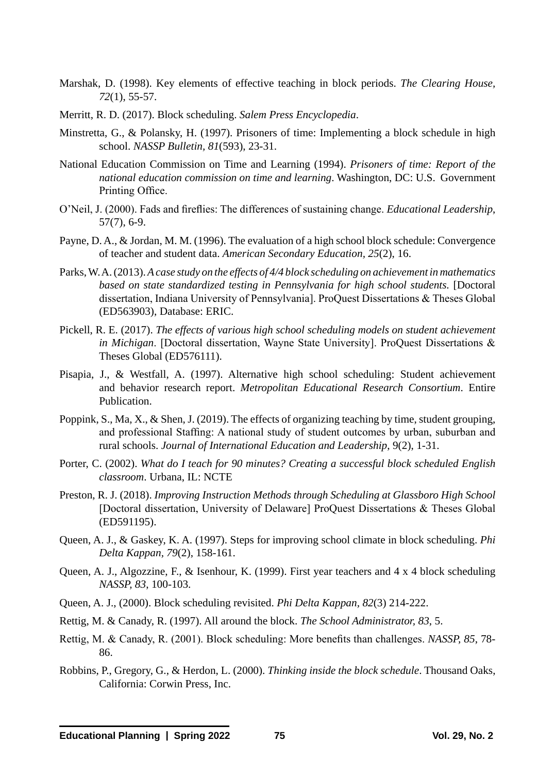- Marshak, D. (1998). Key elements of effective teaching in block periods. *The Clearing House, 72*(1), 55-57.
- Merritt, R. D. (2017). Block scheduling. *Salem Press Encyclopedia*.
- Minstretta, G., & Polansky, H. (1997). Prisoners of time: Implementing a block schedule in high school. *NASSP Bulletin, 81*(593), 23-31.
- National Education Commission on Time and Learning (1994). *Prisoners of time: Report of the national education commission on time and learning*. Washington, DC: U.S. Government Printing Office.
- O'Neil, J. (2000). Fads and fireflies: The differences of sustaining change. *Educational Leadership*, 57(7), 6-9.
- Payne, D. A., & Jordan, M. M. (1996). The evaluation of a high school block schedule: Convergence of teacher and student data. *American Secondary Education, 25*(2), 16.
- Parks, W. A. (2013). *A case study on the effects of 4/4 block scheduling on achievement in mathematics based on state standardized testing in Pennsylvania for high school students.* [Doctoral dissertation, Indiana University of Pennsylvania]. ProQuest Dissertations & Theses Global (ED563903), Database: ERIC.
- Pickell, R. E. (2017). *The effects of various high school scheduling models on student achievement in Michigan*. [Doctoral dissertation, Wayne State University]. ProQuest Dissertations & Theses Global (ED576111).
- Pisapia, J., & Westfall, A. (1997). Alternative high school scheduling: Student achievement and behavior research report. *Metropolitan Educational Research Consortium*. Entire Publication.
- Poppink, S., Ma, X., & Shen, J. (2019). The effects of organizing teaching by time, student grouping, and professional Staffing: A national study of student outcomes by urban, suburban and rural schools. *Journal of International Education and Leadership*, 9(2), 1-31.
- Porter, C. (2002). *What do I teach for 90 minutes? Creating a successful block scheduled English classroom*. Urbana, IL: NCTE
- Preston, R. J. (2018). *Improving Instruction Methods through Scheduling at Glassboro High School*  [Doctoral dissertation, University of Delaware] ProQuest Dissertations & Theses Global (ED591195).
- Queen, A. J., & Gaskey, K. A. (1997). Steps for improving school climate in block scheduling. *Phi Delta Kappan, 79*(2), 158-161.
- Queen, A. J., Algozzine, F., & Isenhour, K. (1999). First year teachers and 4 x 4 block scheduling *NASSP, 83*, 100-103.
- Queen, A. J., (2000). Block scheduling revisited. *Phi Delta Kappan, 82*(3) 214-222.
- Rettig, M. & Canady, R. (1997). All around the block. *The School Administrator, 83*, 5.
- Rettig, M. & Canady, R. (2001). Block scheduling: More benefits than challenges. *NASSP, 85*, 78- 86.
- Robbins, P., Gregory, G., & Herdon, L. (2000). *Thinking inside the block schedule*. Thousand Oaks, California: Corwin Press, Inc.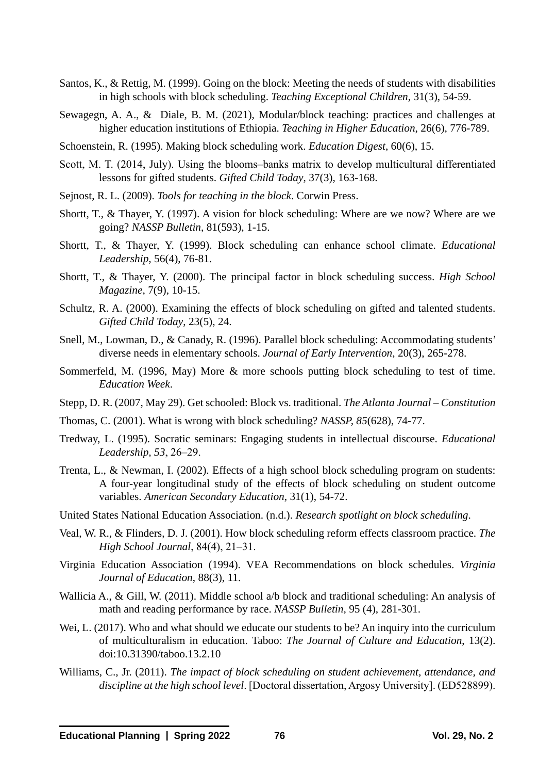- Santos, K., & Rettig, M. (1999). Going on the block: Meeting the needs of students with disabilities in high schools with block scheduling. *Teaching Exceptional Children*, 31(3), 54-59.
- Sewagegn, A. A., & Diale, B. M. (2021), Modular/block teaching: practices and challenges at higher education institutions of Ethiopia. *Teaching in Higher Education*, 26(6), 776-789.
- Schoenstein, R. (1995). Making block scheduling work. *Education Digest*, 60(6), 15.
- Scott, M. T. (2014, July). Using the blooms–banks matrix to develop multicultural differentiated lessons for gifted students. *Gifted Child Today*, 37(3), 163-168.
- Sejnost, R. L. (2009). *Tools for teaching in the block*. Corwin Press.
- Shortt, T., & Thayer, Y. (1997). A vision for block scheduling: Where are we now? Where are we going? *NASSP Bulletin*, 81(593), 1-15.
- Shortt, T., & Thayer, Y. (1999). Block scheduling can enhance school climate. *Educational Leadership*, 56(4), 76-81.
- Shortt, T., & Thayer, Y. (2000). The principal factor in block scheduling success. *High School Magazine*, 7(9), 10-15.
- Schultz, R. A. (2000). Examining the effects of block scheduling on gifted and talented students. *Gifted Child Today*, 23(5), 24.
- Snell, M., Lowman, D., & Canady, R. (1996). Parallel block scheduling: Accommodating students' diverse needs in elementary schools. *Journal of Early Intervention*, 20(3), 265-278.
- Sommerfeld, M. (1996, May) More & more schools putting block scheduling to test of time. *Education Week*.
- Stepp, D. R. (2007, May 29). Get schooled: Block vs. traditional. *The Atlanta Journal Constitution*
- Thomas, C. (2001). What is wrong with block scheduling? *NASSP, 85*(628), 74-77.
- Tredway, L. (1995). Socratic seminars: Engaging students in intellectual discourse. *Educational Leadership, 53*, 26–29.
- Trenta, L., & Newman, I. (2002). Effects of a high school block scheduling program on students: A four-year longitudinal study of the effects of block scheduling on student outcome variables. *American Secondary Education*, 31(1), 54-72.
- United States National Education Association. (n.d.). *Research spotlight on block scheduling*.
- Veal, W. R., & Flinders, D. J. (2001). How block scheduling reform effects classroom practice. *The High School Journal*, 84(4), 21–31.
- Virginia Education Association (1994). VEA Recommendations on block schedules. *Virginia Journal of Education*, 88(3), 11.
- Wallicia A., & Gill, W. (2011). Middle school a/b block and traditional scheduling: An analysis of math and reading performance by race. *NASSP Bulletin,* 95 (4), 281-301.
- Wei, L. (2017). Who and what should we educate our students to be? An inquiry into the curriculum of multiculturalism in education. Taboo: *The Journal of Culture and Education*, 13(2). doi:10.31390/taboo.13.2.10
- Williams, C., Jr. (2011). *The impact of block scheduling on student achievement, attendance, and discipline at the high school level*. [Doctoral dissertation, Argosy University]. (ED528899).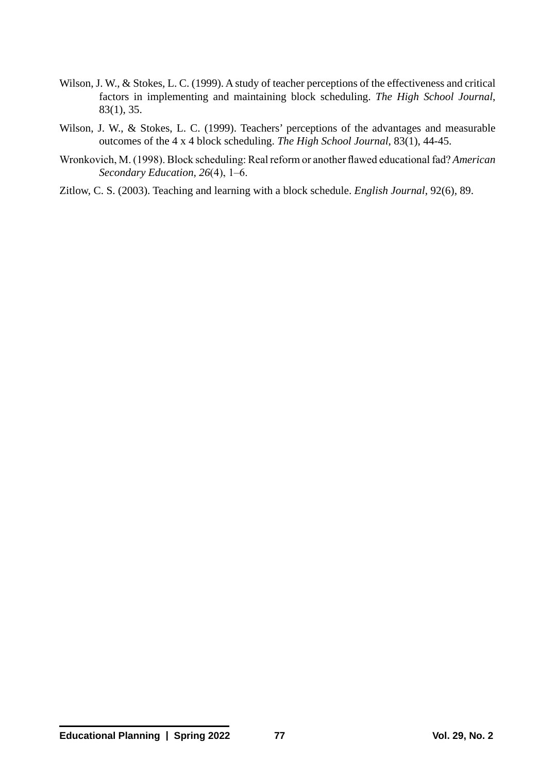- Wilson, J. W., & Stokes, L. C. (1999). A study of teacher perceptions of the effectiveness and critical factors in implementing and maintaining block scheduling. *The High School Journal*, 83(1), 35.
- Wilson, J. W., & Stokes, L. C. (1999). Teachers' perceptions of the advantages and measurable outcomes of the 4 x 4 block scheduling. *The High School Journal*, 83(1), 44-45.
- Wronkovich, M. (1998). Block scheduling: Real reform or another flawed educational fad? *American Secondary Education, 26*(4), 1–6.
- Zitlow, C. S. (2003). Teaching and learning with a block schedule. *English Journal*, 92(6), 89.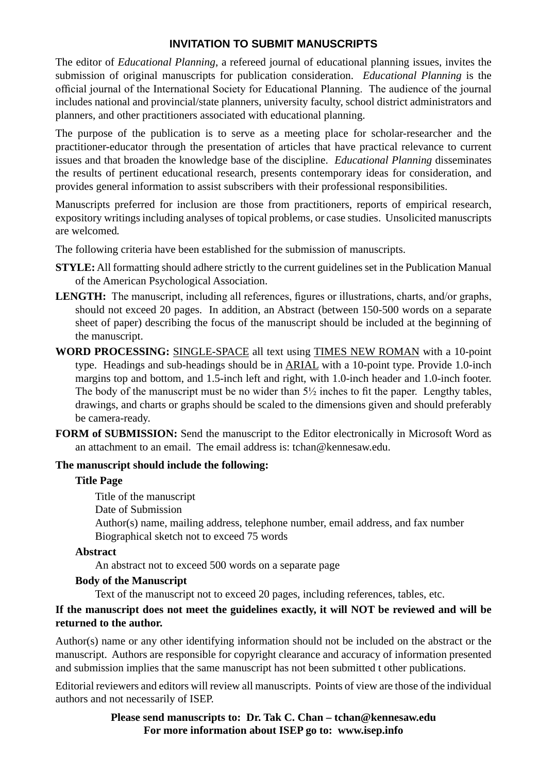#### **INVITATION TO SUBMIT MANUSCRIPTS**

The editor of *Educational Planning*, a refereed journal of educational planning issues, invites the submission of original manuscripts for publication consideration. *Educational Planning* is the official journal of the International Society for Educational Planning. The audience of the journal includes national and provincial/state planners, university faculty, school district administrators and planners, and other practitioners associated with educational planning.

The purpose of the publication is to serve as a meeting place for scholar-researcher and the practitioner-educator through the presentation of articles that have practical relevance to current issues and that broaden the knowledge base of the discipline. *Educational Planning* disseminates the results of pertinent educational research, presents contemporary ideas for consideration, and provides general information to assist subscribers with their professional responsibilities.

Manuscripts preferred for inclusion are those from practitioners, reports of empirical research, expository writings including analyses of topical problems, or case studies. Unsolicited manuscripts are welcomed*.*

The following criteria have been established for the submission of manuscripts.

- **STYLE:** All formatting should adhere strictly to the current guidelines set in the Publication Manual of the American Psychological Association.
- LENGTH: The manuscript, including all references, figures or illustrations, charts, and/or graphs, should not exceed 20 pages. In addition, an Abstract (between 150-500 words on a separate sheet of paper) describing the focus of the manuscript should be included at the beginning of the manuscript.
- **WORD PROCESSING:** SINGLE-SPACE all text using TIMES NEW ROMAN with a 10-point type. Headings and sub-headings should be in ARIAL with a 10-point type. Provide 1.0-inch margins top and bottom, and 1.5-inch left and right, with 1.0-inch header and 1.0-inch footer. The body of the manuscript must be no wider than  $5\frac{1}{2}$  inches to fit the paper. Lengthy tables, drawings, and charts or graphs should be scaled to the dimensions given and should preferably be camera-ready.
- **FORM of SUBMISSION:** Send the manuscript to the Editor electronically in Microsoft Word as an attachment to an email. The email address is: tchan@kennesaw.edu.

#### **The manuscript should include the following:**

#### **Title Page**

Title of the manuscript

Date of Submission

Author(s) name, mailing address, telephone number, email address, and fax number Biographical sketch not to exceed 75 words

#### **Abstract**

An abstract not to exceed 500 words on a separate page

#### **Body of the Manuscript**

Text of the manuscript not to exceed 20 pages, including references, tables, etc.

#### **If the manuscript does not meet the guidelines exactly, it will NOT be reviewed and will be returned to the author.**

Author(s) name or any other identifying information should not be included on the abstract or the manuscript. Authors are responsible for copyright clearance and accuracy of information presented and submission implies that the same manuscript has not been submitted t other publications.

Editorial reviewers and editors will review all manuscripts. Points of view are those of the individual authors and not necessarily of ISEP.

> **Please send manuscripts to: Dr. Tak C. Chan – tchan@kennesaw.edu For more information about ISEP go to: www.isep.info**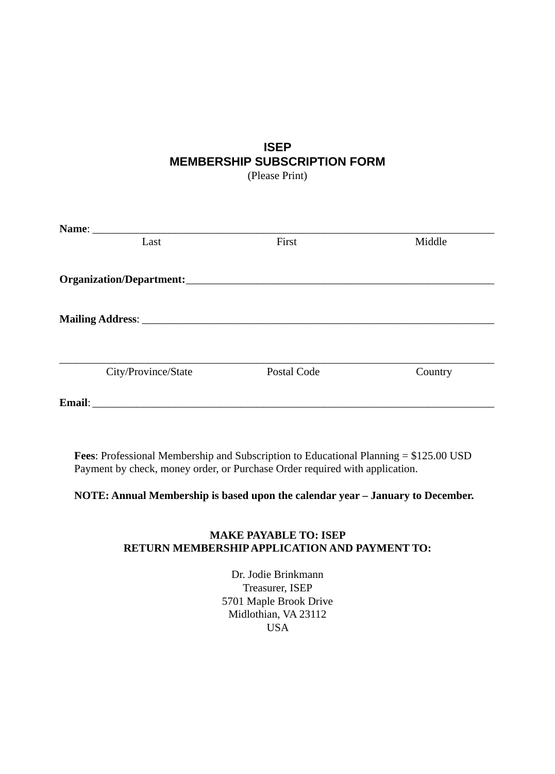## **ISEP MEMBERSHIP SUBSCRIPTION FORM**

(Please Print)

| Last                | First       | Middle  |
|---------------------|-------------|---------|
|                     |             |         |
|                     |             |         |
|                     |             |         |
|                     |             |         |
|                     |             |         |
|                     |             |         |
| City/Province/State | Postal Code | Country |
|                     |             |         |
|                     |             |         |

**Fees**: Professional Membership and Subscription to Educational Planning = \$125.00 USD Payment by check, money order, or Purchase Order required with application.

#### **NOTE: Annual Membership is based upon the calendar year – January to December.**

#### **MAKE PAYABLE TO: ISEP RETURN MEMBERSHIP APPLICATION AND PAYMENT TO:**

Dr. Jodie Brinkmann Treasurer, ISEP 5701 Maple Brook Drive Midlothian, VA 23112 **IISA**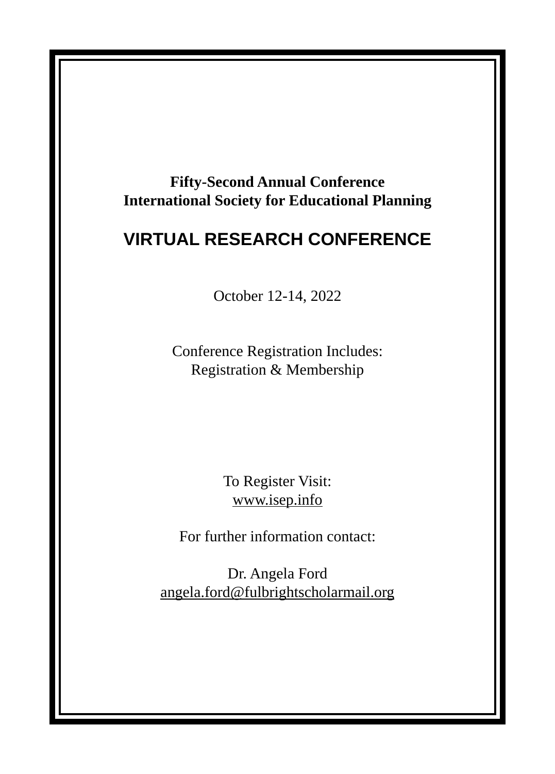**Fifty-Second Annual Conference International Society for Educational Planning**

## **VIRTUAL RESEARCH CONFERENCE**

October 12-14, 2022

Conference Registration Includes: Registration & Membership

> To Register Visit: www.isep.info

For further information contact:

Dr. Angela Ford angela.ford@fulbrightscholarmail.org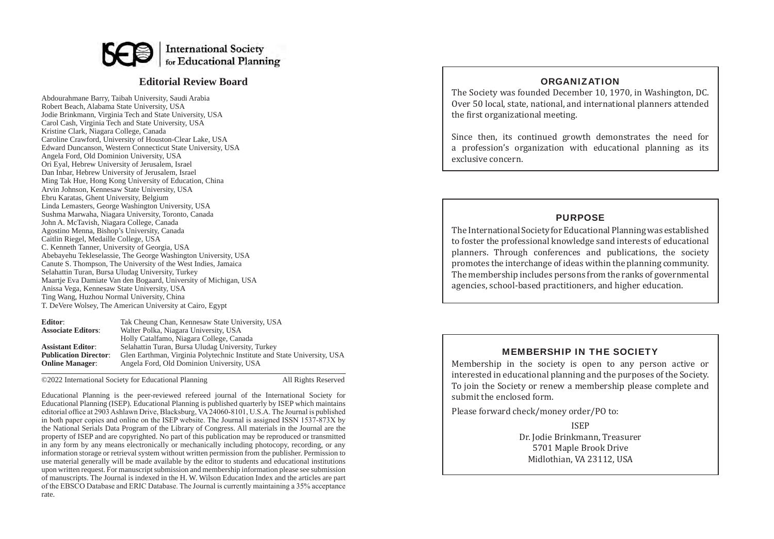## ORGANIZATION

The Society was founded December 10, 1970, in Washington, DC. Over 50 local, state, national, and international planners attended the first organizational meeting.

Since then, its continued growth demonstrates the need for a profession's organization with educational planning as its exclusive concern.

## PURPOSE

The International Society for Educational Planning was established to foster the professional knowledge sand interests of educational planners. Through conferences and publications, the society promotes the interchange of ideas within the planning community. The membership includes persons from the ranks of governmental agencies, school-based practitioners, and higher education.

### MEMBERSHIP IN THE SOCIETY

Membership in the society is open to any person active or interested in educational planning and the purposes of the Society. To join the Society or renew a membership please complete and submit the enclosed form.

Please forward check/money order/PO to:

ISEP

Dr. Jodie Brinkmann, Treasurer 5701 Maple Brook Drive Midlothian, VA 23112, USA